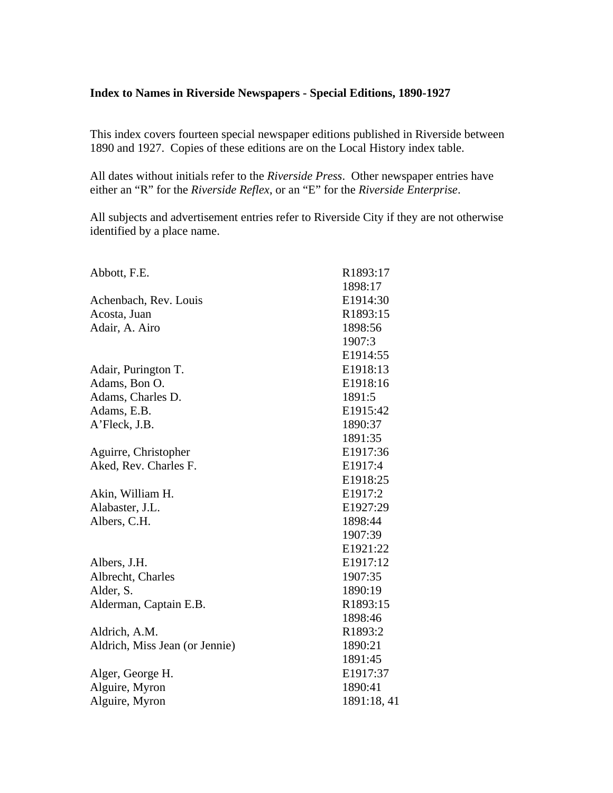### **Index to Names in Riverside Newspapers - Special Editions, 1890-1927**

This index covers fourteen special newspaper editions published in Riverside between 1890 and 1927. Copies of these editions are on the Local History index table.

All dates without initials refer to the *Riverside Press*. Other newspaper entries have either an "R" for the *Riverside Reflex*, or an "E" for the *Riverside Enterprise*.

All subjects and advertisement entries refer to Riverside City if they are not otherwise identified by a place name.

| Abbott, F.E.                   | R1893:17    |
|--------------------------------|-------------|
|                                | 1898:17     |
| Achenbach, Rev. Louis          | E1914:30    |
| Acosta, Juan                   | R1893:15    |
| Adair, A. Airo                 | 1898:56     |
|                                | 1907:3      |
|                                | E1914:55    |
| Adair, Purington T.            | E1918:13    |
| Adams, Bon O.                  | E1918:16    |
| Adams, Charles D.              | 1891:5      |
| Adams, E.B.                    | E1915:42    |
| A'Fleck, J.B.                  | 1890:37     |
|                                | 1891:35     |
| Aguirre, Christopher           | E1917:36    |
| Aked, Rev. Charles F.          | E1917:4     |
|                                | E1918:25    |
| Akin, William H.               | E1917:2     |
| Alabaster, J.L.                | E1927:29    |
| Albers, C.H.                   | 1898:44     |
|                                | 1907:39     |
|                                | E1921:22    |
| Albers, J.H.                   | E1917:12    |
| Albrecht, Charles              | 1907:35     |
| Alder, S.                      | 1890:19     |
| Alderman, Captain E.B.         | R1893:15    |
|                                | 1898:46     |
| Aldrich, A.M.                  | R1893:2     |
| Aldrich, Miss Jean (or Jennie) | 1890:21     |
|                                | 1891:45     |
| Alger, George H.               | E1917:37    |
| Alguire, Myron                 | 1890:41     |
| Alguire, Myron                 | 1891:18, 41 |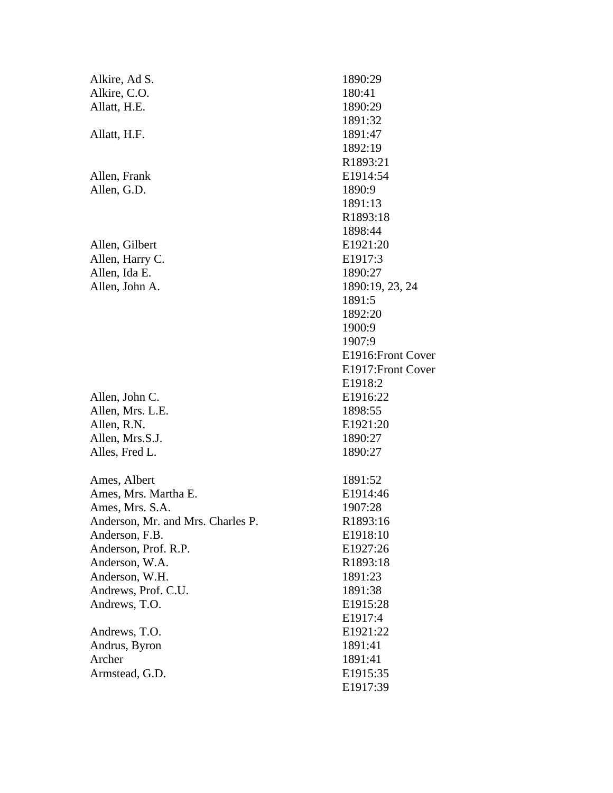| Alkire, Ad S.<br>Alkire, C.O.<br>Allatt, H.E.                                                                                                                                                                      |                                                |
|--------------------------------------------------------------------------------------------------------------------------------------------------------------------------------------------------------------------|------------------------------------------------|
| Allatt, H.F.                                                                                                                                                                                                       |                                                |
| Allen, Frank<br>Allen, G.D.                                                                                                                                                                                        |                                                |
| Allen, Gilbert<br>Allen, Harry C.<br>Allen, Ida E.<br>Allen, John A.                                                                                                                                               | I<br>l                                         |
| Allen, John C.<br>Allen, Mrs. L.E.<br>Allen, R.N.<br>Allen, Mrs.S.J.<br>Alles, Fred L.                                                                                                                             | $\mathbf{I}$<br>$\mathbf{l}$<br>$\overline{a}$ |
| Ames, Albert<br>Ames, Mrs. Martha E.<br>Ames, Mrs. S.A.<br>Anderson, Mr. and Mrs. Charles P.<br>Anderson, F.B.<br>Anderson, Prof. R.P.<br>Anderson, W.A.<br>Anderson, W.H.<br>Andrews, Prof. C.U.<br>Andrews, T.O. | J<br>$\bf{l}$<br>l<br>l                        |
| Andrews, T.O.<br>Andrus, Byron<br>Archer<br>Armstead, G.D.                                                                                                                                                         | l                                              |

1890:29 180:41 1890:29 1891:32 1891:47 1892:19 R1893:21 E1914:54 1890:9 1891:13 R1893:18 1898:44 E1921:20 E1917:3 1890:27 1890:19, 23, 24 1891:5 1892:20 1900:9 1907:9 E1916:Front Cover E1917:Front Cover E1918:2 E1916:22 1898:55 E1921:20 1890:27 1890:27 1891:52 E1914:46 1907:28 R1893:16 E1918:10 E1927:26 R1893:18 1891:23 1891:38 E1915:28 E1917:4 E1921:22 1891:41 1891:41 E1915:35 E1917:39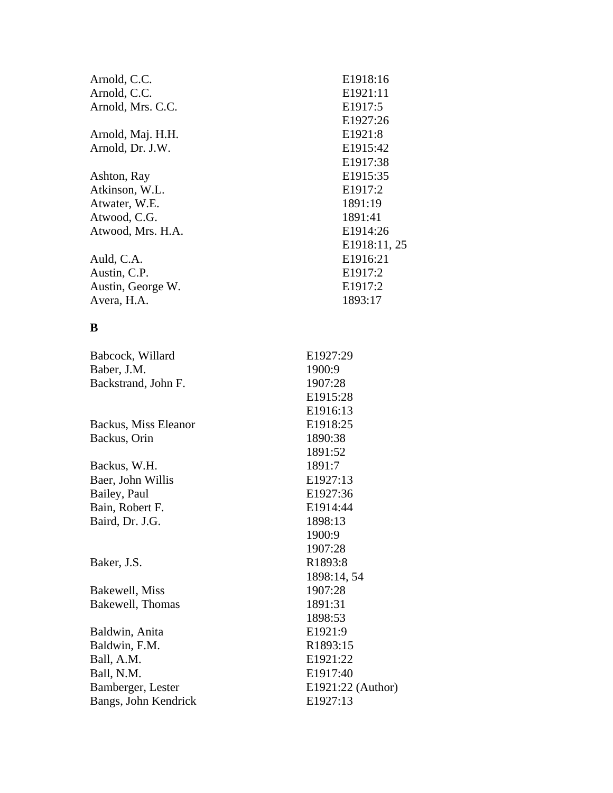| Arnold, C.C.         | E1918:16          |
|----------------------|-------------------|
| Arnold, C.C.         | E1921:11          |
| Arnold, Mrs. C.C.    | E1917:5           |
|                      | E1927:26          |
| Arnold, Maj. H.H.    | E1921:8           |
| Arnold, Dr. J.W.     | E1915:42          |
|                      | E1917:38          |
| Ashton, Ray          | E1915:35          |
| Atkinson, W.L.       | E1917:2           |
| Atwater, W.E.        | 1891:19           |
| Atwood, C.G.         | 1891:41           |
| Atwood, Mrs. H.A.    | E1914:26          |
|                      | E1918:11, 25      |
| Auld, C.A.           | E1916:21          |
| Austin, C.P.         | E1917:2           |
| Austin, George W.    | E1917:2           |
| Avera, H.A.          | 1893:17           |
|                      |                   |
| B                    |                   |
| Babcock, Willard     | E1927:29          |
| Baber, J.M.          | 1900:9            |
| Backstrand, John F.  | 1907:28           |
|                      | E1915:28          |
|                      | E1916:13          |
| Backus, Miss Eleanor | E1918:25          |
| Backus, Orin         | 1890:38           |
|                      | 1891:52           |
| Backus, W.H.         | 1891:7            |
| Baer, John Willis    | E1927:13          |
| Bailey, Paul         | E1927:36          |
| Bain, Robert F.      | E1914:44          |
| Baird, Dr. J.G.      | 1898:13           |
|                      | 1900:9            |
|                      | 1907:28           |
| Baker, J.S.          | R1893:8           |
|                      | 1898:14, 54       |
| Bakewell, Miss       | 1907:28           |
| Bakewell, Thomas     | 1891:31           |
|                      | 1898:53           |
| Baldwin, Anita       | E1921:9           |
| Baldwin, F.M.        | R1893:15          |
| Ball, A.M.           | E1921:22          |
| Ball, N.M.           | E1917:40          |
| Bamberger, Lester    | E1921:22 (Author) |
| Bangs, John Kendrick | E1927:13          |
|                      |                   |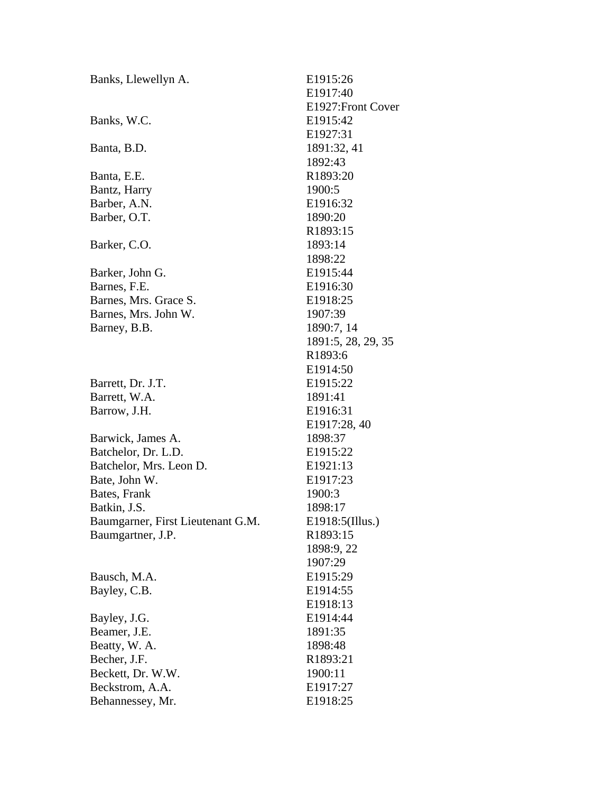| Banks, Llewellyn A.               | E1915:26             |
|-----------------------------------|----------------------|
|                                   | E1917:40             |
|                                   | E1927: Front Cover   |
| Banks, W.C.                       | E1915:42             |
|                                   | E1927:31             |
| Banta, B.D.                       | 1891:32, 41          |
|                                   | 1892:43              |
| Banta, E.E.                       | R1893:20             |
| Bantz, Harry                      | 1900:5               |
| Barber, A.N.                      | E1916:32             |
| Barber, O.T.                      | 1890:20              |
|                                   | R1893:15             |
| Barker, C.O.                      | 1893:14              |
|                                   | 1898:22              |
| Barker, John G.                   | E1915:44             |
| Barnes, F.E.                      | E1916:30             |
| Barnes, Mrs. Grace S.             | E1918:25             |
| Barnes, Mrs. John W.              | 1907:39              |
| Barney, B.B.                      | 1890:7, 14           |
|                                   | 1891:5, 28, 29, 35   |
|                                   | R1893:6              |
|                                   | E <sub>1914:50</sub> |
| Barrett, Dr. J.T.                 | E1915:22             |
| Barrett, W.A.                     | 1891:41              |
| Barrow, J.H.                      | E1916:31             |
|                                   | E1917:28, 40         |
| Barwick, James A.                 | 1898:37              |
| Batchelor, Dr. L.D.               | E1915:22             |
| Batchelor, Mrs. Leon D.           | E1921:13             |
| Bate, John W.                     | E1917:23             |
| Bates, Frank                      | 1900:3               |
| Batkin, J.S.                      | 1898:17              |
| Baumgarner, First Lieutenant G.M. | E1918:5(Illus.)      |
| Baumgartner, J.P.                 | R1893:15             |
|                                   | 1898:9, 22           |
|                                   | 1907:29              |
| Bausch, M.A.                      | E1915:29             |
| Bayley, C.B.                      | E1914:55             |
|                                   | E1918:13             |
| Bayley, J.G.                      | E1914:44             |
| Beamer, J.E.                      | 1891:35              |
| Beatty, W. A.                     | 1898:48              |
| Becher, J.F.                      | R1893:21             |
| Beckett, Dr. W.W.                 | 1900:11              |
| Beckstrom, A.A.                   | E1917:27             |
| Behannessey, Mr.                  | E1918:25             |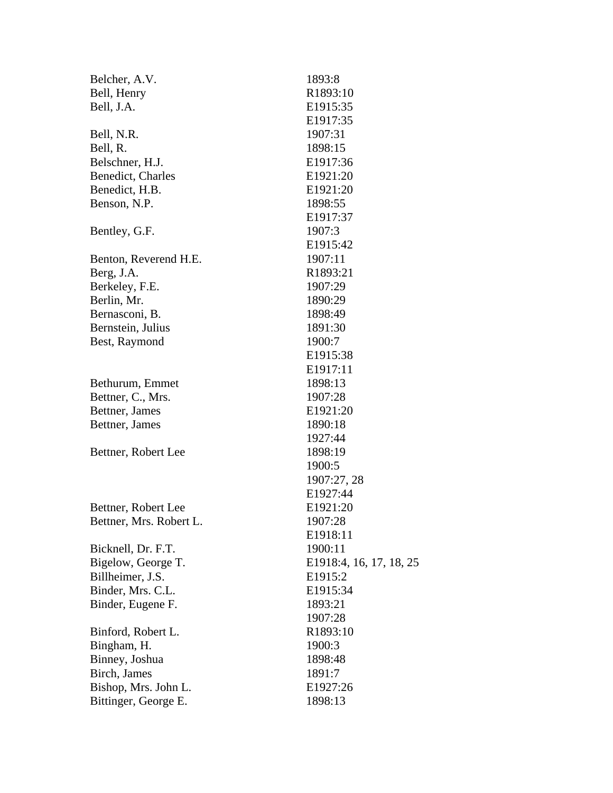| Belcher, A.V.           | 1893:8                  |
|-------------------------|-------------------------|
| Bell, Henry             | R1893:10                |
| Bell, J.A.              | E1915:35                |
|                         | E1917:35                |
| Bell, N.R.              | 1907:31                 |
| Bell, R.                | 1898:15                 |
| Belschner, H.J.         | E1917:36                |
| Benedict, Charles       | E1921:20                |
| Benedict, H.B.          | E1921:20                |
| Benson, N.P.            | 1898:55                 |
|                         | E1917:37                |
| Bentley, G.F.           | 1907:3                  |
|                         | E1915:42                |
| Benton, Reverend H.E.   | 1907:11                 |
| Berg, J.A.              | R1893:21                |
| Berkeley, F.E.          | 1907:29                 |
| Berlin, Mr.             | 1890:29                 |
| Bernasconi, B.          | 1898:49                 |
| Bernstein, Julius       | 1891:30                 |
| Best, Raymond           | 1900:7                  |
|                         | E1915:38                |
|                         | E1917:11                |
| Bethurum, Emmet         | 1898:13                 |
| Bettner, C., Mrs.       | 1907:28                 |
| Bettner, James          | E1921:20                |
| Bettner, James          | 1890:18                 |
|                         | 1927:44                 |
| Bettner, Robert Lee     | 1898:19                 |
|                         | 1900:5                  |
|                         | 1907:27, 28             |
|                         | E1927:44                |
| Bettner, Robert Lee     | E1921:20                |
| Bettner, Mrs. Robert L. | 1907:28                 |
|                         | E1918:11                |
| Bicknell, Dr. F.T.      | 1900:11                 |
| Bigelow, George T.      | E1918:4, 16, 17, 18, 25 |
| Billheimer, J.S.        | E1915:2                 |
| Binder, Mrs. C.L.       | E1915:34                |
| Binder, Eugene F.       | 1893:21                 |
|                         | 1907:28                 |
| Binford, Robert L.      | R1893:10                |
| Bingham, H.             | 1900:3                  |
| Binney, Joshua          | 1898:48                 |
| Birch, James            | 1891:7                  |
| Bishop, Mrs. John L.    | E1927:26                |
| Bittinger, George E.    | 1898:13                 |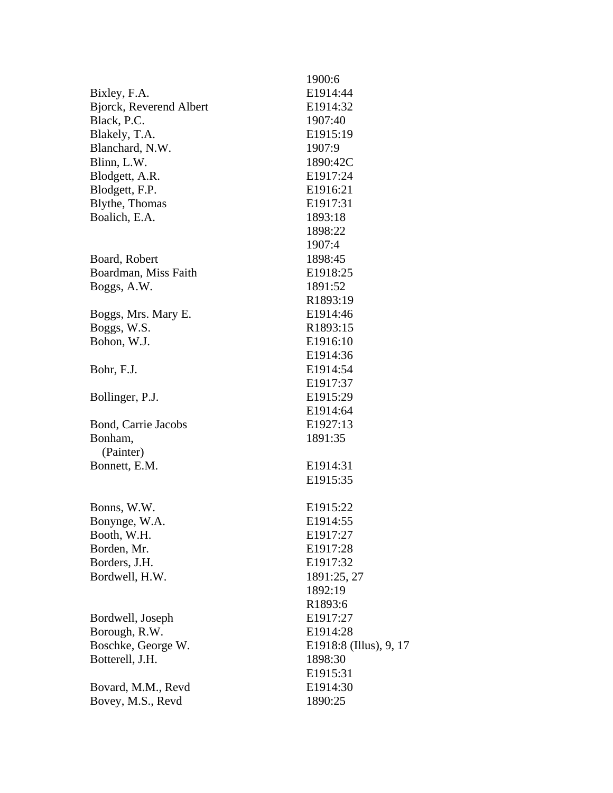|                                | 1900:6                 |
|--------------------------------|------------------------|
| Bixley, F.A.                   | E1914:44               |
| <b>Bjorck, Reverend Albert</b> | E1914:32               |
| Black, P.C.                    | 1907:40                |
| Blakely, T.A.                  | E1915:19               |
| Blanchard, N.W.                | 1907:9                 |
| Blinn, L.W.                    | 1890:42C               |
| Blodgett, A.R.                 | E1917:24               |
| Blodgett, F.P.                 | E1916:21               |
| Blythe, Thomas                 | E1917:31               |
| Boalich, E.A.                  | 1893:18                |
|                                | 1898:22                |
|                                | 1907:4                 |
| Board, Robert                  | 1898:45                |
| Boardman, Miss Faith           | E1918:25               |
| Boggs, A.W.                    | 1891:52                |
|                                | R1893:19               |
| Boggs, Mrs. Mary E.            | E1914:46               |
|                                | R1893:15               |
| Boggs, W.S.                    |                        |
| Bohon, W.J.                    | E1916:10               |
|                                | E1914:36               |
| Bohr, F.J.                     | E1914:54               |
|                                | E1917:37               |
| Bollinger, P.J.                | E1915:29               |
|                                | E1914:64               |
| Bond, Carrie Jacobs            | E1927:13               |
| Bonham,                        | 1891:35                |
| (Painter)                      |                        |
| Bonnett, E.M.                  | E1914:31               |
|                                | E <sub>1915</sub> :35  |
|                                |                        |
| Bonns, W.W.                    | E1915:22               |
| Bonynge, W.A                   | E1914:55               |
| Booth, W.H.                    | E1917:27               |
| Borden, Mr.                    | E1917:28               |
| Borders, J.H.                  | E1917:32               |
| Bordwell, H.W.                 | 1891:25, 27            |
|                                | 1892:19                |
|                                | R1893:6                |
| Bordwell, Joseph               | E1917:27               |
| Borough, R.W.                  | E1914:28               |
| Boschke, George W.             | E1918:8 (Illus), 9, 17 |
| Botterell, J.H.                | 1898:30                |
|                                | E <sub>1915</sub> :31  |
| Bovard, M.M., Revd             | E <sub>1914</sub> :30  |
| Bovey, M.S., Revd              | 1890:25                |
|                                |                        |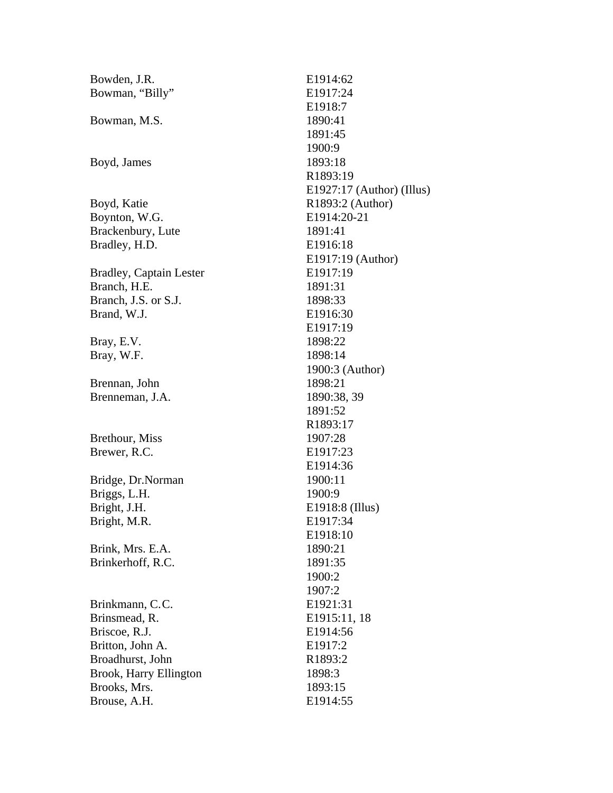| Bowden, J.R.                   | E1914:62                    |
|--------------------------------|-----------------------------|
| Bowman, "Billy"                | E1917:24                    |
|                                | E1918:7                     |
| Bowman, M.S.                   | 1890:41                     |
|                                | 1891:45                     |
|                                | 1900:9                      |
| Boyd, James                    | 1893:18                     |
|                                | R1893:19                    |
|                                | $E1927:17$ (Author) (Illus) |
| Boyd, Katie                    | R1893:2 (Author)            |
| Boynton, W.G.                  | E1914:20-21                 |
| Brackenbury, Lute              | 1891:41                     |
| Bradley, H.D.                  | E1916:18                    |
|                                | E1917:19 (Author)           |
| <b>Bradley, Captain Lester</b> | E1917:19                    |
| Branch, H.E.                   | 1891:31                     |
| Branch, J.S. or S.J.           | 1898:33                     |
| Brand, W.J.                    | E1916:30                    |
|                                | E1917:19                    |
| Bray, E.V.                     | 1898:22                     |
| Bray, W.F.                     | 1898:14                     |
|                                | 1900:3 (Author)             |
| Brennan, John                  | 1898:21                     |
| Brenneman, J.A.                | 1890:38, 39                 |
|                                | 1891:52                     |
|                                | R1893:17                    |
| Brethour, Miss                 | 1907:28                     |
| Brewer, R.C.                   | E1917:23                    |
|                                | E1914:36                    |
| Bridge, Dr.Norman              | 1900:11                     |
| Briggs, L.H.                   | 1900:9                      |
| Bright, J.H.                   | E1918:8 (Illus)             |
| Bright, M.R.                   | E1917:34                    |
|                                | E1918:10                    |
| Brink, Mrs. E.A.               | 1890:21                     |
| Brinkerhoff, R.C.              | 1891:35                     |
|                                | 1900:2                      |
|                                | 1907:2                      |
| Brinkmann, C.C.                | E1921:31                    |
| Brinsmead, R.                  | E1915:11, 18                |
| Briscoe, R.J.                  | E1914:56                    |
| Britton, John A.               | E1917:2                     |
| Broadhurst, John               | R1893:2                     |
| Brook, Harry Ellington         | 1898:3                      |
| Brooks, Mrs.                   | 1893:15                     |
| Brouse, A.H.                   | E1914:55                    |
|                                |                             |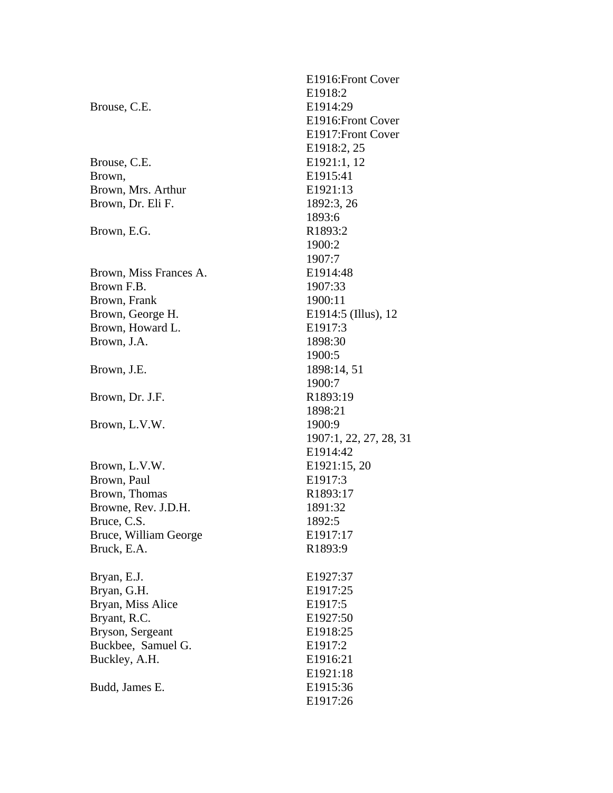|                        | E1916: Front Cover     |
|------------------------|------------------------|
|                        | E1918:2                |
| Brouse, C.E.           | E1914:29               |
|                        | E1916: Front Cover     |
|                        | E1917: Front Cover     |
|                        | E1918:2, 25            |
| Brouse, C.E.           | E1921:1, 12            |
| Brown,                 | E1915:41               |
| Brown, Mrs. Arthur     | E1921:13               |
| Brown, Dr. Eli F.      | 1892:3, 26             |
|                        | 1893:6                 |
| Brown, E.G.            | R1893:2                |
|                        | 1900:2                 |
|                        | 1907:7                 |
| Brown, Miss Frances A. | E1914:48               |
| Brown F.B.             | 1907:33                |
| Brown, Frank           | 1900:11                |
| Brown, George H.       | E1914:5 (Illus), 12    |
| Brown, Howard L.       | E1917:3                |
| Brown, J.A.            | 1898:30                |
|                        | 1900:5                 |
| Brown, J.E.            | 1898:14, 51            |
|                        | 1900:7                 |
| Brown, Dr. J.F.        | R1893:19               |
|                        | 1898:21                |
| Brown, L.V.W.          | 1900:9                 |
|                        | 1907:1, 22, 27, 28, 31 |
|                        | E1914:42               |
| Brown, L.V.W.          | E1921:15, 20           |
| Brown, Paul            | E1917:3                |
| Brown, Thomas          | R1893:17               |
| Browne, Rev. J.D.H.    | 1891:32                |
| Bruce, C.S.            | 1892:5                 |
| Bruce, William George  | E1917:17               |
| Bruck, E.A.            | R1893:9                |
| Bryan, E.J.            | E1927:37               |
| Bryan, G.H.            | E1917:25               |
| Bryan, Miss Alice      | E1917:5                |
| Bryant, R.C.           | E1927:50               |
| Bryson, Sergeant       | E1918:25               |
| Buckbee, Samuel G.     | E1917:2                |
| Buckley, A.H.          | E1916:21               |
|                        | E1921:18               |
| Budd, James E.         | E1915:36               |
|                        | E1917:26               |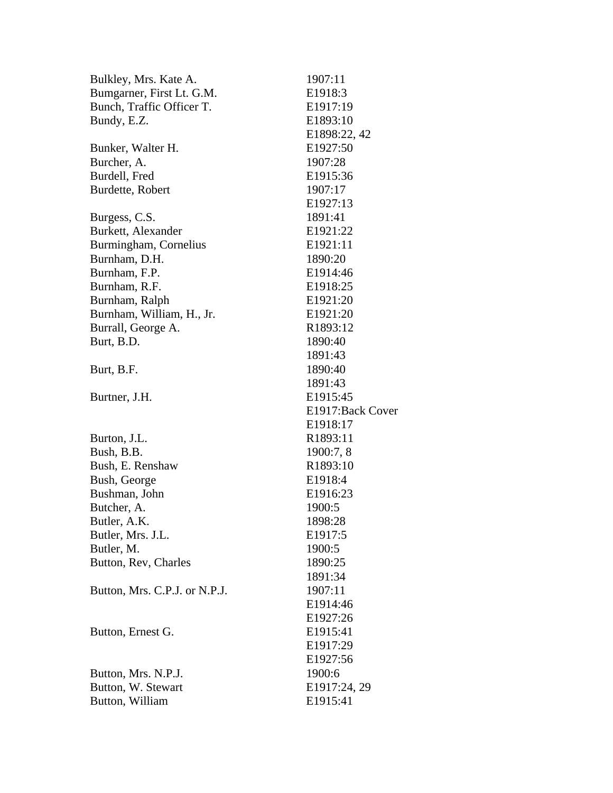| Bulkley, Mrs. Kate A.         | 1907:11           |
|-------------------------------|-------------------|
| Bumgarner, First Lt. G.M.     | E1918:3           |
| Bunch, Traffic Officer T.     | E1917:19          |
| Bundy, E.Z.                   | E1893:10          |
|                               | E1898:22, 42      |
| Bunker, Walter H.             | E1927:50          |
| Burcher, A.                   | 1907:28           |
| Burdell, Fred                 | E1915:36          |
| Burdette, Robert              | 1907:17           |
|                               | E1927:13          |
| Burgess, C.S.                 | 1891:41           |
| Burkett, Alexander            | E1921:22          |
| Burmingham, Cornelius         | E1921:11          |
| Burnham, D.H.                 | 1890:20           |
| Burnham, F.P.                 | E1914:46          |
| Burnham, R.F.                 | E1918:25          |
| Burnham, Ralph                | E1921:20          |
| Burnham, William, H., Jr.     | E1921:20          |
| Burrall, George A.            | R1893:12          |
| Burt, B.D.                    | 1890:40           |
|                               | 1891:43           |
| Burt, B.F.                    | 1890:40           |
|                               | 1891:43           |
| Burtner, J.H.                 | E1915:45          |
|                               | E1917: Back Cover |
|                               | E1918:17          |
| Burton, J.L.                  | R1893:11          |
| Bush, B.B.                    | 1900:7, 8         |
| Bush, E. Renshaw              | R1893:10          |
| Bush, George                  | E1918:4           |
| Bushman, John                 | E1916:23          |
| Butcher, A.                   | 1900:5            |
| Butler, A.K.                  | 1898:28           |
| Butler, Mrs. J.L.             | E1917:5           |
| Butler, M.                    | 1900:5            |
| Button, Rev, Charles          | 1890:25           |
|                               | 1891:34           |
| Button, Mrs. C.P.J. or N.P.J. | 1907:11           |
|                               | E1914:46          |
|                               | E1927:26          |
| Button, Ernest G.             | E1915:41          |
|                               | E1917:29          |
|                               | E1927:56          |
| Button, Mrs. N.P.J.           | 1900:6            |
| Button, W. Stewart            | E1917:24, 29      |
| Button, William               | E1915:41          |
|                               |                   |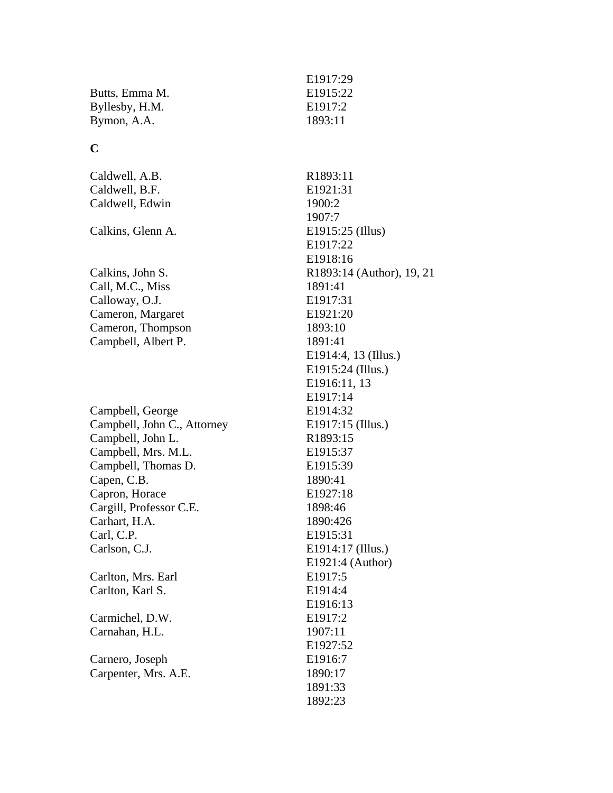|                             | E1917:29            |
|-----------------------------|---------------------|
| Butts, Emma M.              | E1915:22            |
| Byllesby, H.M.              | E1917:2             |
| Bymon, A.A.                 | 1893:11             |
| $\mathbf C$                 |                     |
| Caldwell, A.B.              | R1893:11            |
| Caldwell, B.F.              | E1921:31            |
| Caldwell, Edwin             | 1900:2              |
|                             | 1907:7              |
| Calkins, Glenn A.           | E1915:25 (Illus)    |
|                             | E1917:22            |
|                             | E1918:16            |
| Calkins, John S.            | R1893:14 (Author    |
| Call, M.C., Miss            | 1891:41             |
| Calloway, O.J.              | E1917:31            |
| Cameron, Margaret           | E1921:20            |
| Cameron, Thompson           | 1893:10             |
| Campbell, Albert P.         | 1891:41             |
|                             | E1914:4, 13 (Illus. |
|                             | E1915:24 (Illus.)   |
|                             | E1916:11, 13        |
|                             | E1917:14            |
| Campbell, George            | E1914:32            |
| Campbell, John C., Attorney | E1917:15 (Illus.)   |
| Campbell, John L.           | R1893:15            |
| Campbell, Mrs. M.L.         | E1915:37            |
| Campbell, Thomas D.         | E1915:39            |
| Capen, C.B.                 | 1890:41             |
| Capron, Horace              | E1927:18            |
| Cargill, Professor C.E.     | 1898:46             |
| Carhart, H.A.               | 1890:426            |
| Carl, C.P.                  | E1915:31            |
| Carlson, C.J.               | E1914:17 (Illus.)   |
|                             | E1921:4 (Author)    |
| Carlton, Mrs. Earl          | E1917:5             |
| Carlton, Karl S.            | E1914:4             |
|                             | E1916:13            |
| Carmichel, D.W.             | E1917:2             |
| Carnahan, H.L.              | 1907:11             |
|                             | E1927:52            |
| Carnero, Joseph             | E1916:7             |
| Carpenter, Mrs. A.E.        | 1890:17             |
|                             | 1891:33             |
|                             | 1892:23             |
|                             |                     |

# uthor),  $19, 21$ (Illus.)<br>us.)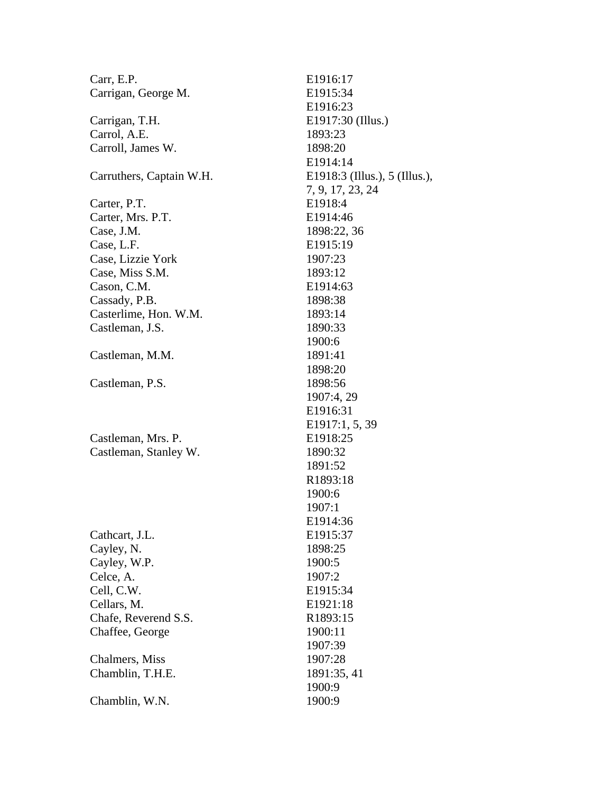| Carr, E.P.               | E1916:17                      |
|--------------------------|-------------------------------|
| Carrigan, George M.      | E1915:34                      |
|                          | E1916:23                      |
| Carrigan, T.H.           | E1917:30 (Illus.)             |
| Carrol, A.E.             | 1893:23                       |
| Carroll, James W.        | 1898:20                       |
|                          | E1914:14                      |
| Carruthers, Captain W.H. | E1918:3 (Illus.), 5 (Illus.), |
|                          | 7, 9, 17, 23, 24              |
| Carter, P.T.             | E1918:4                       |
| Carter, Mrs. P.T.        | E1914:46                      |
| Case, J.M.               | 1898:22, 36                   |
| Case, L.F.               | E1915:19                      |
| Case, Lizzie York        | 1907:23                       |
| Case, Miss S.M.          | 1893:12                       |
| Cason, C.M.              | E1914:63                      |
| Cassady, P.B.            | 1898:38                       |
| Casterlime, Hon. W.M.    | 1893:14                       |
| Castleman, J.S.          | 1890:33                       |
|                          | 1900:6                        |
| Castleman, M.M.          | 1891:41                       |
|                          | 1898:20                       |
| Castleman, P.S.          | 1898:56                       |
|                          | 1907:4, 29                    |
|                          | E1916:31                      |
|                          | E1917:1, 5, 39                |
| Castleman, Mrs. P.       | E1918:25                      |
| Castleman, Stanley W.    | 1890:32                       |
|                          | 1891:52                       |
|                          | R1893:18                      |
|                          | 1900:6                        |
|                          | 1907:1                        |
|                          | E1914:36                      |
| Cathcart, J.L.           | E1915:37                      |
| Cayley, N.               | 1898:25                       |
| Cayley, W.P.             | 1900:5                        |
| Celce, A.                | 1907:2                        |
| Cell, C.W.               | E1915:34                      |
| Cellars, M.              | E1921:18                      |
| Chafe, Reverend S.S.     | R1893:15                      |
| Chaffee, George          | 1900:11                       |
|                          | 1907:39                       |
| Chalmers, Miss           | 1907:28                       |
| Chamblin, T.H.E.         | 1891:35, 41                   |
|                          | 1900:9                        |
| Chamblin, W.N.           | 1900:9                        |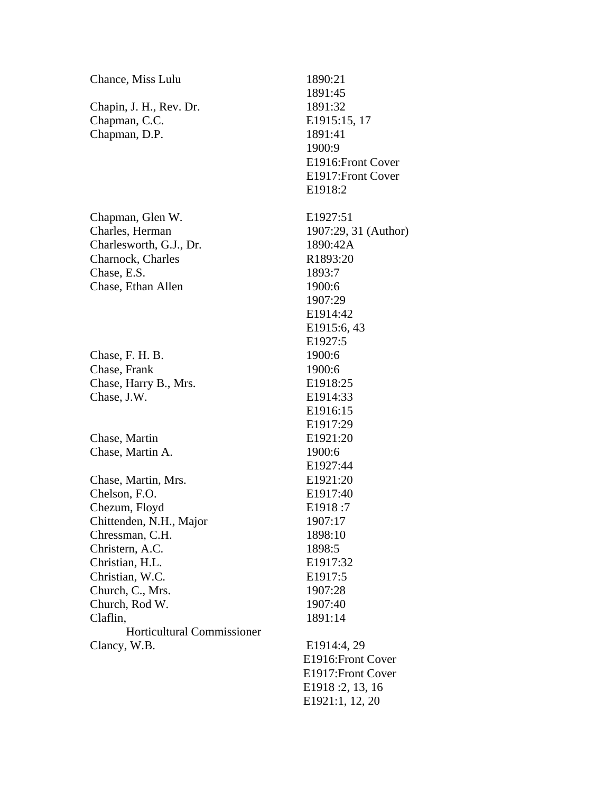| Chance, Miss Lulu                 | 1890:21              |
|-----------------------------------|----------------------|
|                                   | 1891:45              |
| Chapin, J. H., Rev. Dr.           | 1891:32              |
| Chapman, C.C.                     | E1915:15, 17         |
| Chapman, D.P.                     | 1891:41              |
|                                   | 1900:9               |
|                                   | E1916: Front Cover   |
|                                   | E1917: Front Cover   |
|                                   | E1918:2              |
| Chapman, Glen W.                  | E1927:51             |
| Charles, Herman                   | 1907:29, 31 (Author) |
| Charlesworth, G.J., Dr.           | 1890:42A             |
| Charnock, Charles                 | R1893:20             |
| Chase, E.S.                       | 1893:7               |
| Chase, Ethan Allen                | 1900:6               |
|                                   | 1907:29              |
|                                   | E1914:42             |
|                                   | E1915:6, 43          |
|                                   | E1927:5              |
| Chase, F. H. B.                   | 1900:6               |
| Chase, Frank                      | 1900:6               |
| Chase, Harry B., Mrs.             | E1918:25             |
| Chase, J.W.                       | E1914:33             |
|                                   | E1916:15             |
|                                   | E <sub>1917:29</sub> |
| Chase, Martin                     | E1921:20             |
| Chase, Martin A.                  | 1900:6               |
|                                   | E1927:44             |
| Chase, Martin, Mrs.               | E1921:20             |
| Chelson, F.O.                     | E1917:40             |
| Chezum, Floyd                     | E1918:7              |
| Chittenden, N.H., Major           | 1907:17              |
| Chressman, C.H.                   | 1898:10              |
| Christern, A.C.                   | 1898:5               |
| Christian, H.L.                   | E1917:32             |
| Christian, W.C.                   | E1917:5              |
| Church, C., Mrs.                  | 1907:28              |
| Church, Rod W.                    | 1907:40              |
| Claflin,                          | 1891:14              |
| <b>Horticultural Commissioner</b> |                      |
| Clancy, W.B.                      | E1914:4, 29          |
|                                   | E1916: Front Cover   |
|                                   | E1917: Front Cover   |
|                                   | E1918 :2, 13, 16     |
|                                   | E1921:1, 12, 20      |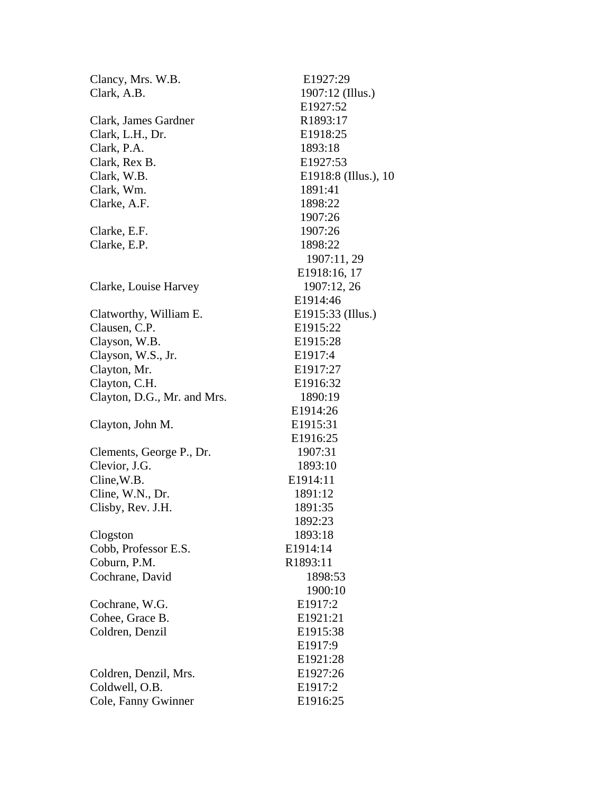| Clancy, Mrs. W.B.           | E1927:29              |
|-----------------------------|-----------------------|
| Clark, A.B.                 | 1907:12 (Illus.)      |
|                             | E1927:52              |
| Clark, James Gardner        | R1893:17              |
| Clark, L.H., Dr.            | E1918:25              |
| Clark, P.A.                 | 1893:18               |
| Clark, Rex B.               | E1927:53              |
| Clark, W.B.                 | E1918:8 (Illus.), 10  |
| Clark, Wm.                  | 1891:41               |
| Clarke, A.F.                | 1898:22               |
|                             | 1907:26               |
| Clarke, E.F.                | 1907:26               |
| Clarke, E.P.                | 1898:22               |
|                             | 1907:11, 29           |
|                             | E1918:16, 17          |
| Clarke, Louise Harvey       | 1907:12, 26           |
|                             | E1914:46              |
| Clatworthy, William E.      | E1915:33 (Illus.)     |
| Clausen, C.P.               | E1915:22              |
| Clayson, W.B.               | E1915:28              |
| Clayson, W.S., Jr.          | E1917:4               |
| Clayton, Mr.                | E1917:27              |
| Clayton, C.H.               | E1916:32              |
| Clayton, D.G., Mr. and Mrs. | 1890:19               |
|                             | E1914:26              |
| Clayton, John M.            | E <sub>1915</sub> :31 |
|                             | E1916:25              |
| Clements, George P., Dr.    | 1907:31               |
| Clevior, J.G.               | 1893:10               |
| Cline, W.B.                 | E1914:11              |
| Cline, W.N., Dr.            | 1891:12               |
| Clisby, Rev. J.H.           | 1891:35               |
|                             | 1892:23               |
| Clogston                    | 1893:18               |
| Cobb, Professor E.S.        | E1914:14              |
| Coburn, P.M.                | R1893:11              |
| Cochrane, David             | 1898:53               |
|                             | 1900:10               |
| Cochrane, W.G.              | E1917:2               |
| Cohee, Grace B.             | E1921:21              |
| Coldren, Denzil             | E1915:38              |
|                             | E1917:9               |
|                             | E1921:28              |
| Coldren, Denzil, Mrs.       | E1927:26              |
| Coldwell, O.B.              | E1917:2               |
| Cole, Fanny Gwinner         | E1916:25              |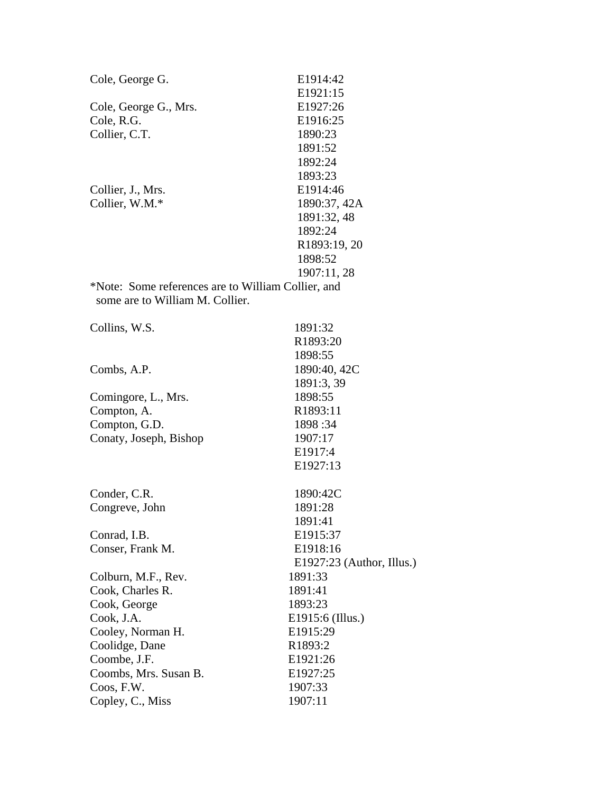| Cole, George G.                                    | E1914:42                  |
|----------------------------------------------------|---------------------------|
|                                                    | E1921:15                  |
| Cole, George G., Mrs.                              | E1927:26                  |
| Cole, R.G.                                         | E1916:25                  |
| Collier, C.T.                                      | 1890:23                   |
|                                                    | 1891:52                   |
|                                                    | 1892:24                   |
|                                                    | 1893:23                   |
| Collier, J., Mrs.                                  | E1914:46                  |
| Collier, W.M.*                                     | 1890:37, 42A              |
|                                                    | 1891:32, 48               |
|                                                    | 1892:24                   |
|                                                    | R1893:19, 20              |
|                                                    | 1898:52                   |
|                                                    | 1907:11, 28               |
| *Note: Some references are to William Collier, and |                           |
| some are to William M. Collier.                    |                           |
|                                                    |                           |
| Collins, W.S.                                      | 1891:32                   |
|                                                    | R1893:20                  |
|                                                    | 1898:55                   |
| Combs, A.P.                                        | 1890:40, 42C              |
|                                                    | 1891:3, 39                |
| Comingore, L., Mrs.                                | 1898:55                   |
| Compton, A.                                        | R1893:11                  |
| Compton, G.D.                                      | 1898:34                   |
| Conaty, Joseph, Bishop                             | 1907:17                   |
|                                                    | E1917:4                   |
|                                                    | E1927:13                  |
| Conder, C.R.                                       | 1890:42C                  |
| Congreve, John                                     | 1891:28                   |
|                                                    | 1891:41                   |
| Conrad, I.B.                                       | E1915:37                  |
| Conser, Frank M.                                   | E1918:16                  |
|                                                    | E1927:23 (Author, Illus.) |
| Colburn, M.F., Rev.                                | 1891:33                   |
| Cook, Charles R.                                   | 1891:41                   |
| Cook, George                                       | 1893:23                   |
| Cook, J.A.                                         | E1915:6 (Illus.)          |
| Cooley, Norman H.                                  | E1915:29                  |
| Coolidge, Dane                                     | R1893:2                   |
| Coombe, J.F.                                       | E1921:26                  |
| Coombs, Mrs. Susan B.                              | E1927:25                  |
| Coos, F.W.                                         | 1907:33                   |
| Copley, C., Miss                                   | 1907:11                   |
|                                                    |                           |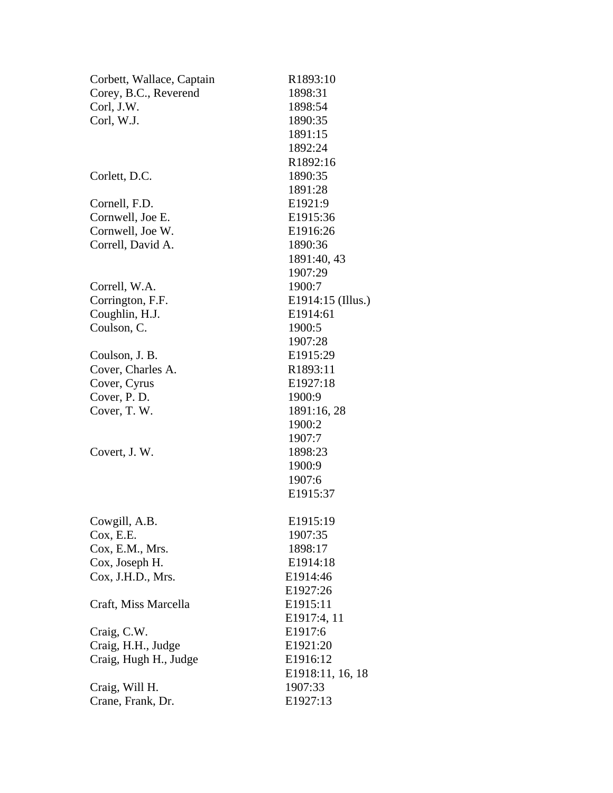| Corbett, Wallace, Captain | R1893:10          |
|---------------------------|-------------------|
| Corey, B.C., Reverend     | 1898:31           |
| Corl, J.W.                | 1898:54           |
| Corl, W.J.                | 1890:35           |
|                           | 1891:15           |
|                           | 1892:24           |
|                           | R1892:16          |
| Corlett, D.C.             | 1890:35           |
|                           | 1891:28           |
| Cornell, F.D.             | E1921:9           |
| Cornwell, Joe E.          | E1915:36          |
| Cornwell, Joe W.          | E1916:26          |
| Correll, David A.         | 1890:36           |
|                           | 1891:40, 43       |
|                           | 1907:29           |
| Correll, W.A.             | 1900:7            |
| Corrington, F.F.          | E1914:15 (Illus.) |
| Coughlin, H.J.            | E1914:61          |
| Coulson, C.               | 1900:5            |
|                           | 1907:28           |
| Coulson, J. B.            | E1915:29          |
| Cover, Charles A.         | R1893:11          |
| Cover, Cyrus              | E1927:18          |
| Cover, P. D.              | 1900:9            |
| Cover, T. W.              | 1891:16, 28       |
|                           | 1900:2            |
|                           | 1907:7            |
| Covert, J. W.             | 1898:23           |
|                           | 1900:9            |
|                           | 1907:6            |
|                           | E1915:37          |
| Cowgill, A.B.             | E1915:19          |
| Cox, E.E.                 | 1907:35           |
| Cox, E.M., Mrs.           | 1898:17           |
| Cox, Joseph H.            | E1914:18          |
| Cox, J.H.D., Mrs.         | E1914:46          |
|                           | E1927:26          |
| Craft, Miss Marcella      | E1915:11          |
|                           | E1917:4, 11       |
| Craig, C.W.               | E1917:6           |
| Craig, H.H., Judge        | E1921:20          |
| Craig, Hugh H., Judge     | E1916:12          |
|                           | E1918:11, 16, 18  |
| Craig, Will H.            | 1907:33           |
| Crane, Frank, Dr.         | E1927:13          |
|                           |                   |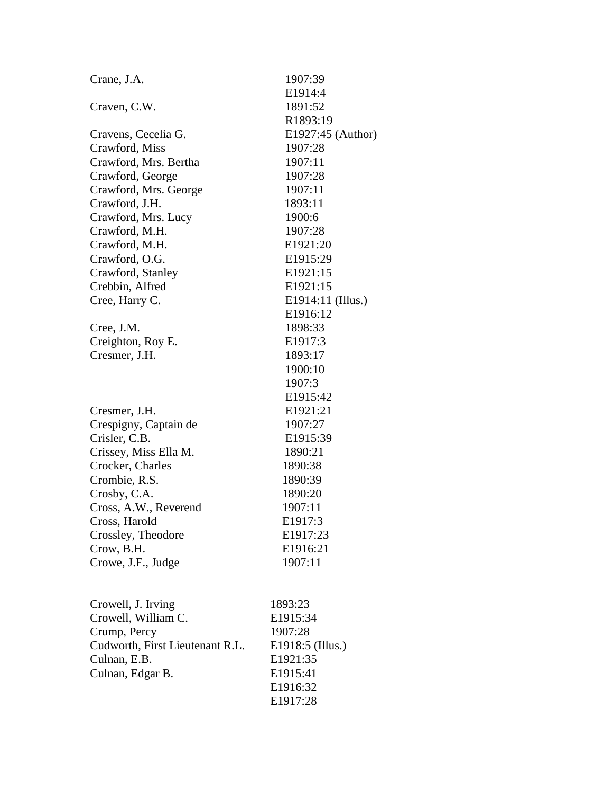| Crane, J.A.                     | 1907:39           |
|---------------------------------|-------------------|
|                                 | E1914:4           |
| Craven, C.W.                    | 1891:52           |
|                                 | R1893:19          |
| Cravens, Cecelia G.             | E1927:45 (Author) |
| Crawford, Miss                  | 1907:28           |
| Crawford, Mrs. Bertha           | 1907:11           |
| Crawford, George                | 1907:28           |
| Crawford, Mrs. George           | 1907:11           |
| Crawford, J.H.                  | 1893:11           |
| Crawford, Mrs. Lucy             | 1900:6            |
| Crawford, M.H.                  | 1907:28           |
| Crawford, M.H.                  | E1921:20          |
| Crawford, O.G.                  | E1915:29          |
| Crawford, Stanley               | E1921:15          |
| Crebbin, Alfred                 | E1921:15          |
| Cree, Harry C.                  | E1914:11 (Illus.) |
|                                 | E1916:12          |
| Cree, J.M.                      | 1898:33           |
| Creighton, Roy E.               | E1917:3           |
| Cresmer, J.H.                   | 1893:17           |
|                                 | 1900:10           |
|                                 | 1907:3            |
|                                 | E1915:42          |
| Cresmer, J.H.                   | E1921:21          |
| Crespigny, Captain de           | 1907:27           |
| Crisler, C.B.                   | E1915:39          |
| Crissey, Miss Ella M.           | 1890:21           |
| Crocker, Charles                | 1890:38           |
| Crombie, R.S.                   | 1890:39           |
| Crosby, C.A.                    | 1890:20           |
| Cross, A.W., Reverend           | 1907:11           |
| Cross, Harold                   | E1917:3           |
| Crossley, Theodore              | E1917:23          |
| Crow, B.H.                      | E1916:21          |
| Crowe, J.F., Judge              | 1907:11           |
|                                 |                   |
|                                 |                   |
| Crowell, J. Irving              | 1893:23           |
| Crowell, William C.             | E1915:34          |
| Crump, Percy                    | 1907:28           |
| Cudworth, First Lieutenant R.L. | E1918:5 (Illus.)  |
| Culnan, E.B.                    | E1921:35          |
| Culnan, Edgar B.                | E1915:41          |
|                                 | E1916:32          |
|                                 | E1917:28          |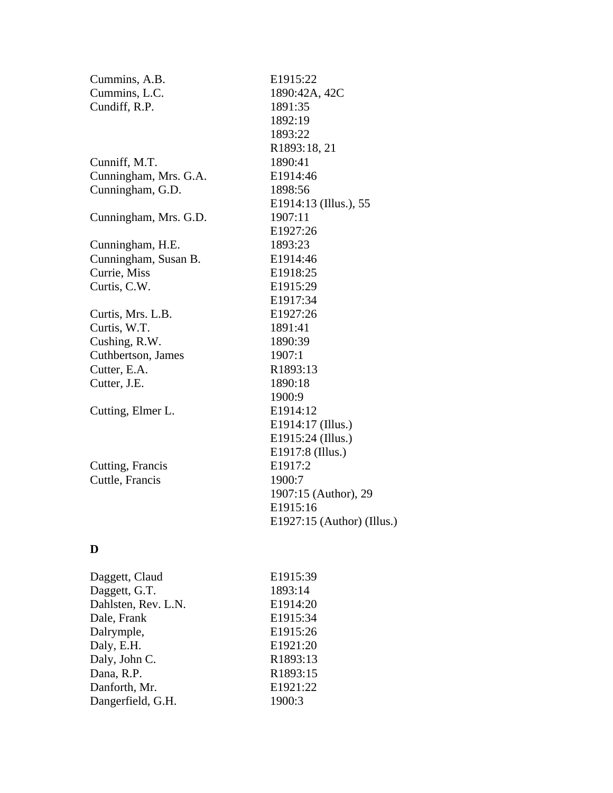| Cummins, A.B.         | E1915:22                   |
|-----------------------|----------------------------|
| Cummins, L.C.         | 1890:42A, 42C              |
| Cundiff, R.P.         | 1891:35                    |
|                       | 1892:19                    |
|                       | 1893:22                    |
|                       | R1893:18, 21               |
| Cunniff, M.T.         | 1890:41                    |
| Cunningham, Mrs. G.A. | E1914:46                   |
| Cunningham, G.D.      | 1898:56                    |
|                       | E1914:13 (Illus.), 55      |
| Cunningham, Mrs. G.D. | 1907:11                    |
|                       | E1927:26                   |
| Cunningham, H.E.      | 1893:23                    |
| Cunningham, Susan B.  | E1914:46                   |
| Currie, Miss          | E1918:25                   |
| Curtis, C.W.          | E1915:29                   |
|                       | E1917:34                   |
| Curtis, Mrs. L.B.     | E1927:26                   |
| Curtis, W.T.          | 1891:41                    |
| Cushing, R.W.         | 1890:39                    |
| Cuthbertson, James    | 1907:1                     |
| Cutter, E.A.          | R1893:13                   |
| Cutter, J.E.          | 1890:18                    |
|                       | 1900:9                     |
| Cutting, Elmer L.     | E1914:12                   |
|                       | E1914:17 (Illus.)          |
|                       | E1915:24 (Illus.)          |
|                       | E1917:8 (Illus.)           |
| Cutting, Francis      | E1917:2                    |
| Cuttle, Francis       | 1900:7                     |
|                       | 1907:15 (Author), 29       |
|                       | E1915:16                   |
|                       | E1927:15 (Author) (Illus.) |
| D                     |                            |
| Daggett, Claud        | E <sub>1915</sub> :39      |
| Daggett, G.T.         | 1893:14                    |
| Dahlsten, Rev. L.N.   | E1914:20                   |
| Dale, Frank           | E1915:34                   |
| Dalrymple,            | E1915:26                   |
| Daly, E.H.            | E1921:20                   |

Daly, E.H. E1921:20 Daly, John C. R1893:13 Dana, R.P.<br>Danforth, Mr. R1893:15<br>E1921:22 Danforth, Mr.<br>
Dangerfield, G.H.<br>
1900:3

Dangerfield, G.H.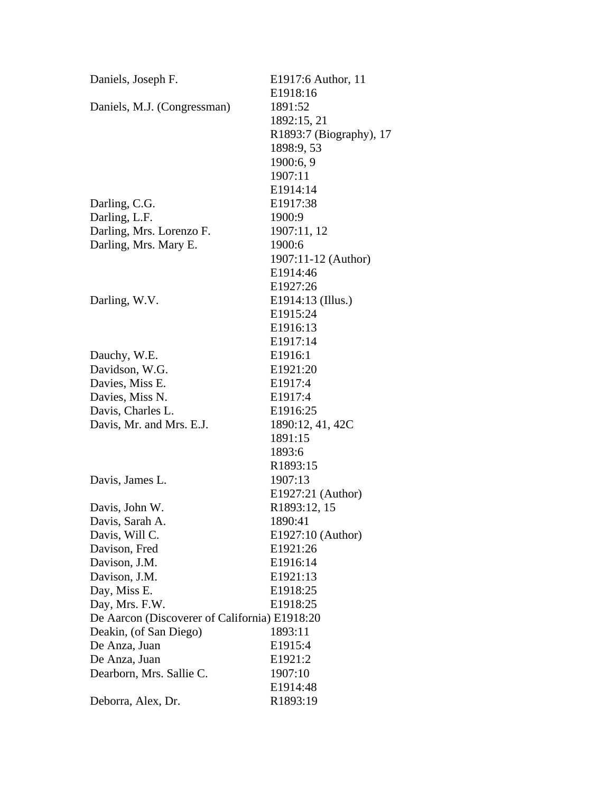| Daniels, Joseph F.                            | E1917:6 Author, 11      |
|-----------------------------------------------|-------------------------|
|                                               | E1918:16                |
| Daniels, M.J. (Congressman)                   | 1891:52                 |
|                                               | 1892:15, 21             |
|                                               | R1893:7 (Biography), 17 |
|                                               | 1898:9, 53              |
|                                               | 1900:6, 9               |
|                                               | 1907:11                 |
|                                               | E1914:14                |
| Darling, C.G.                                 | E <sub>1917</sub> :38   |
| Darling, L.F.                                 | 1900:9                  |
| Darling, Mrs. Lorenzo F.                      | 1907:11, 12             |
| Darling, Mrs. Mary E.                         | 1900:6                  |
|                                               | 1907:11-12 (Author)     |
|                                               | E1914:46                |
|                                               | E1927:26                |
| Darling, W.V.                                 | E1914:13 (Illus.)       |
|                                               | E1915:24                |
|                                               | E1916:13                |
|                                               | E1917:14                |
| Dauchy, W.E.                                  | E1916:1                 |
| Davidson, W.G.                                | E1921:20                |
| Davies, Miss E.                               | E <sub>1917:4</sub>     |
| Davies, Miss N.                               | E1917:4                 |
| Davis, Charles L.                             | E1916:25                |
| Davis, Mr. and Mrs. E.J.                      | 1890:12, 41, 42C        |
|                                               | 1891:15                 |
|                                               | 1893:6                  |
|                                               | R <sub>1893</sub> :15   |
| Davis, James L.                               | 1907:13                 |
|                                               | E1927:21 (Author)       |
| Davis, John W.                                | R1893:12, 15            |
| Davis, Sarah A.                               | 1890:41                 |
| Davis, Will C.                                | E1927:10 (Author)       |
| Davison, Fred                                 | E1921:26                |
| Davison, J.M.                                 | E1916:14                |
| Davison, J.M.                                 | E1921:13                |
| Day, Miss E.                                  | E1918:25                |
| Day, Mrs. F.W.                                | E <sub>1918:25</sub>    |
| De Aarcon (Discoverer of California) E1918:20 |                         |
| Deakin, (of San Diego)                        | 1893:11                 |
| De Anza, Juan                                 | E1915:4                 |
| De Anza, Juan                                 | E1921:2                 |
| Dearborn, Mrs. Sallie C.                      | 1907:10                 |
|                                               | E <sub>1914:48</sub>    |
| Deborra, Alex, Dr.                            | R1893:19                |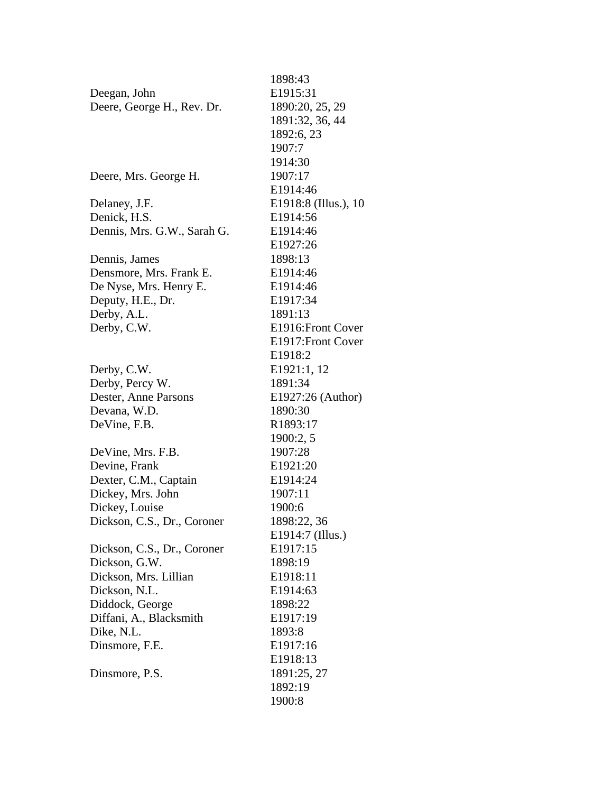| 1898:43               |
|-----------------------|
| E <sub>1915</sub> :31 |
| 1890:20, 25, 29       |
| 1891:32, 36, 44       |
| 1892:6, 23            |
| 1907:7                |
| 1914:30               |
| 1907:17               |
| E1914:46              |
| E1918:8 (Illus.), 10  |
| E1914:56              |
| E1914:46              |
| E1927:26              |
| 1898:13               |
| E1914:46              |
| E1914:46              |
| E1917:34              |
| 1891:13               |
| E1916: Front Cover    |
| E1917: Front Cover    |
| E <sub>1918:2</sub>   |
| E1921:1, 12           |
| 1891:34               |
| E1927:26 (Author)     |
| 1890:30               |
| R1893:17              |
| 1900:2, 5             |
| 1907:28               |
| E1921:20              |
| E1914:24              |
| 1907:11               |
| 1900:6                |
| 1898:22, 36           |
| E1914:7 (Illus.)      |
| E1917:15              |
| 1898:19               |
| E1918:11              |
| E1914:63              |
| 1898:22               |
| E1917:19              |
| 1893:8                |
| E1917:16              |
| E1918:13              |
| 1891:25, 27           |
| 1892:19               |
| 1900:8                |
|                       |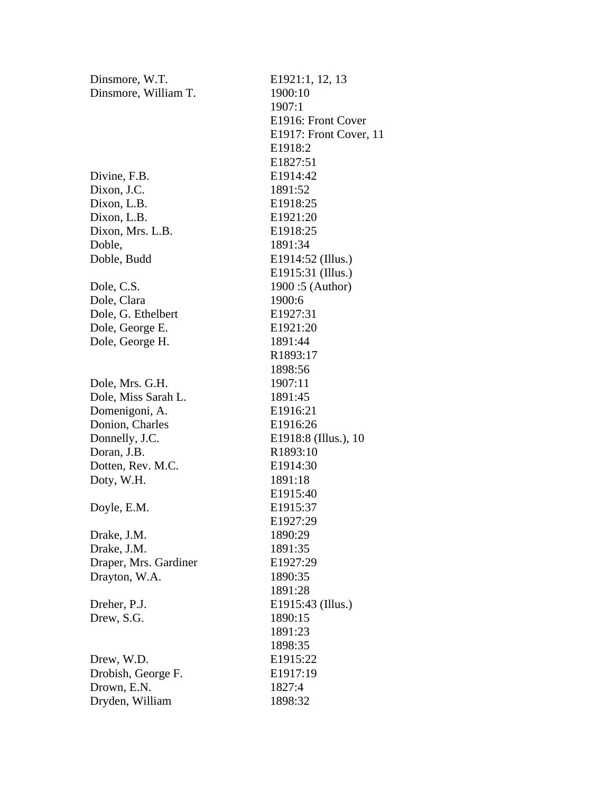| Dinsmore, W.T.        | E1921:1, 12, 13        |
|-----------------------|------------------------|
| Dinsmore, William T.  | 1900:10                |
|                       | 1907:1                 |
|                       | E1916: Front Cover     |
|                       | E1917: Front Cover, 11 |
|                       | E1918:2                |
|                       | E1827:51               |
| Divine, F.B.          | E1914:42               |
| Dixon, J.C.           | 1891:52                |
| Dixon, L.B.           | E1918:25               |
| Dixon, L.B.           | E1921:20               |
| Dixon, Mrs. L.B.      | E1918:25               |
| Doble,                | 1891:34                |
| Doble, Budd           | E1914:52 (Illus.)      |
|                       | E1915:31 (Illus.)      |
| Dole, C.S.            | 1900:5 (Author)        |
| Dole, Clara           | 1900:6                 |
| Dole, G. Ethelbert    | E1927:31               |
| Dole, George E.       | E1921:20               |
| Dole, George H.       | 1891:44                |
|                       | R1893:17               |
|                       | 1898:56                |
| Dole, Mrs. G.H.       | 1907:11                |
| Dole, Miss Sarah L.   | 1891:45                |
| Domenigoni, A.        | E1916:21               |
| Donion, Charles       | E1916:26               |
| Donnelly, J.C.        | E1918:8 (Illus.), 10   |
| Doran, J.B.           | R1893:10               |
| Dotten, Rev. M.C.     | E1914:30               |
| Doty, W.H.            | 1891:18                |
|                       | E1915:40               |
| Doyle, E.M.           | E1915:37               |
|                       | E1927:29               |
| Drake, J.M.           | 1890:29                |
| Drake, J.M.           | 1891:35                |
| Draper, Mrs. Gardiner | E1927:29               |
| Drayton, W.A.         | 1890:35                |
|                       | 1891:28                |
| Dreher, P.J.          | E1915:43 (Illus.)      |
| Drew, S.G.            | 1890:15                |
|                       | 1891:23                |
|                       | 1898:35                |
| Drew, W.D.            | E1915:22               |
|                       | E1917:19               |
| Drobish, George F.    | 1827:4                 |
| Drown, E.N.           |                        |
| Dryden, William       | 1898:32                |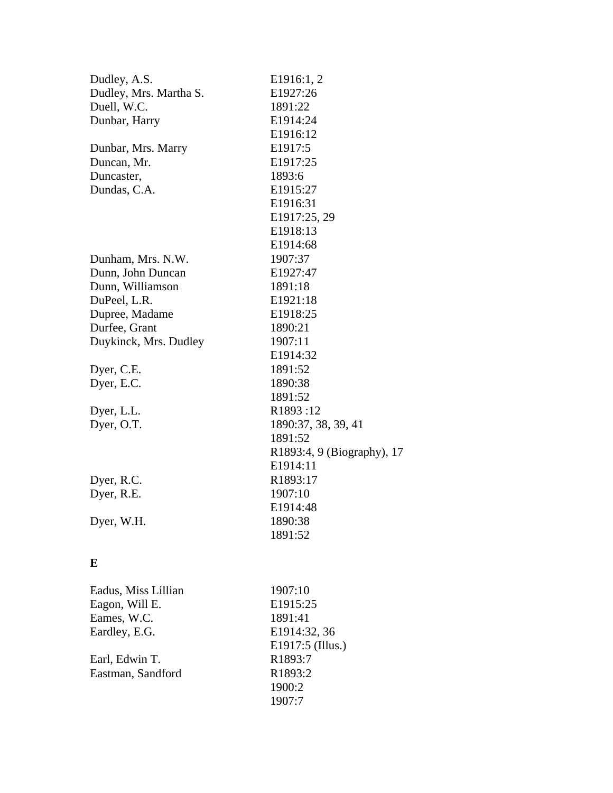| Dudley, A.S.           | E1916:1, 2                 |
|------------------------|----------------------------|
| Dudley, Mrs. Martha S. | E1927:26                   |
| Duell, W.C.            | 1891:22                    |
| Dunbar, Harry          | E1914:24                   |
|                        | E1916:12                   |
| Dunbar, Mrs. Marry     | E1917:5                    |
| Duncan, Mr.            | E1917:25                   |
| Duncaster,             | 1893:6                     |
| Dundas, C.A.           | E1915:27                   |
|                        | E1916:31                   |
|                        | E1917:25, 29               |
|                        | E1918:13                   |
|                        | E1914:68                   |
| Dunham, Mrs. N.W.      | 1907:37                    |
| Dunn, John Duncan      | E1927:47                   |
| Dunn, Williamson       | 1891:18                    |
| DuPeel, L.R.           | E1921:18                   |
| Dupree, Madame         | E1918:25                   |
| Durfee, Grant          | 1890:21                    |
| Duykinck, Mrs. Dudley  | 1907:11                    |
|                        | E1914:32                   |
| Dyer, C.E.             | 1891:52                    |
| Dyer, E.C.             | 1890:38                    |
|                        | 1891:52                    |
| Dyer, L.L.             | R1893:12                   |
| Dyer, O.T.             | 1890:37, 38, 39, 41        |
|                        | 1891:52                    |
|                        | R1893:4, 9 (Biography), 17 |
|                        | E1914:11                   |
| Dyer, R.C.             | R1893:17                   |
| Dyer, R.E.             | 1907:10                    |
|                        | E1914:48                   |
| Dyer, W.H.             | 1890:38                    |
|                        | 1891:52                    |

# **E**

| Eadus, Miss Lillian | 1907:10          |
|---------------------|------------------|
| Eagon, Will E.      | E1915:25         |
| Eames, W.C.         | 1891:41          |
| Eardley, E.G.       | E1914:32, 36     |
|                     | E1917:5 (Illus.) |
| Earl, Edwin T.      | R1893:7          |
| Eastman, Sandford   | R1893:2          |
|                     | 1900:2           |
|                     | 1907:7           |
|                     |                  |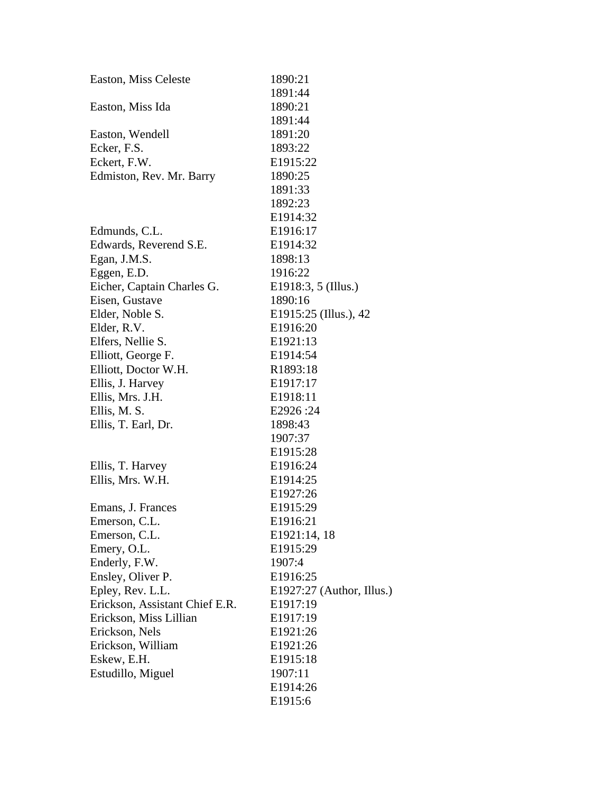| Easton, Miss Celeste           | 1890:21                     |
|--------------------------------|-----------------------------|
|                                | 1891:44                     |
| Easton, Miss Ida               | 1890:21                     |
|                                | 1891:44                     |
| Easton, Wendell                | 1891:20                     |
| Ecker, F.S.                    | 1893:22                     |
| Eckert, F.W.                   | E1915:22                    |
| Edmiston, Rev. Mr. Barry       | 1890:25                     |
|                                | 1891:33                     |
|                                | 1892:23                     |
|                                | E1914:32                    |
| Edmunds, C.L.                  | E1916:17                    |
| Edwards, Reverend S.E.         | E1914:32                    |
| Egan, J.M.S.                   | 1898:13                     |
| Eggen, E.D.                    | 1916:22                     |
| Eicher, Captain Charles G.     | E1918:3, 5 (Illus.)         |
| Eisen, Gustave                 | 1890:16                     |
| Elder, Noble S.                | E1915:25 (Illus.), 42       |
| Elder, R.V.                    | E1916:20                    |
| Elfers, Nellie S.              | E1921:13                    |
| Elliott, George F.             | E1914:54                    |
| Elliott, Doctor W.H.           | R1893:18                    |
| Ellis, J. Harvey               | E1917:17                    |
| Ellis, Mrs. J.H.               | E1918:11                    |
| Ellis, M. S.                   | E2926:24                    |
| Ellis, T. Earl, Dr.            | 1898:43                     |
|                                | 1907:37                     |
|                                | E1915:28                    |
| Ellis, T. Harvey               | E1916:24                    |
| Ellis, Mrs. W.H.               | E1914:25                    |
|                                | E1927:26                    |
| Emans, J. Frances              | E1915:29                    |
| Emerson, C.L.                  | E1916:21                    |
| Emerson, C.L.                  | E1921:14, 18                |
| Emery, O.L.                    | E1915:29                    |
| Enderly, F.W.                  | 1907:4                      |
| Ensley, Oliver P.              | E1916:25                    |
| Epley, Rev. L.L.               | $E1927:27$ (Author, Illus.) |
| Erickson, Assistant Chief E.R. | E1917:19                    |
| Erickson, Miss Lillian         | E1917:19                    |
| Erickson, Nels                 | E1921:26                    |
| Erickson, William              | E1921:26                    |
| Eskew, E.H.                    | E1915:18                    |
| Estudillo, Miguel              | 1907:11                     |
|                                | E1914:26                    |
|                                | E1915:6                     |
|                                |                             |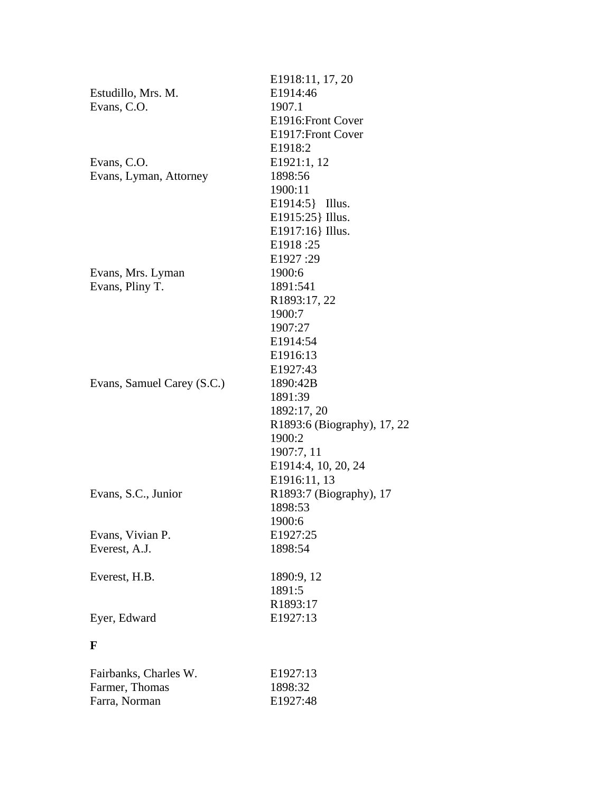|                            | E1918:11, 17, 20            |
|----------------------------|-----------------------------|
| Estudillo, Mrs. M.         | E1914:46                    |
| Evans, C.O.                | 1907.1                      |
|                            | E1916: Front Cover          |
|                            | E1917: Front Cover          |
|                            | E1918:2                     |
| Evans, C.O.                | E1921:1, 12                 |
| Evans, Lyman, Attorney     | 1898:56                     |
|                            | 1900:11                     |
|                            | E1914:5} Illus.             |
|                            | E1915:25 } Illus.           |
|                            | E1917:16} Illus.            |
|                            | E1918:25                    |
|                            | E1927:29                    |
| Evans, Mrs. Lyman          | 1900:6                      |
| Evans, Pliny T.            | 1891:541                    |
|                            | R1893:17, 22                |
|                            | 1900:7                      |
|                            | 1907:27                     |
|                            | E1914:54                    |
|                            | E1916:13                    |
|                            | E1927:43                    |
| Evans, Samuel Carey (S.C.) | 1890:42B                    |
|                            | 1891:39                     |
|                            | 1892:17, 20                 |
|                            | R1893:6 (Biography), 17, 22 |
|                            | 1900:2                      |
|                            | 1907:7, 11                  |
|                            | E1914:4, 10, 20, 24         |
|                            | E1916:11, 13                |
| Evans, S.C., Junior        | R1893:7 (Biography), 17     |
|                            | 1898:53                     |
|                            | 1900:6                      |
| Evans, Vivian P.           | E1927:25                    |
| Everest, A.J.              | 1898:54                     |
|                            |                             |
| Everest, H.B.              | 1890:9, 12                  |
|                            | 1891:5                      |
|                            | R1893:17                    |
| Eyer, Edward               | E1927:13                    |
|                            |                             |
| $\mathbf F$                |                             |
|                            |                             |
| Fairbanks, Charles W.      | E1927:13                    |
| Farmer, Thomas             | 1898:32                     |
| Farra, Norman              | E1927:48                    |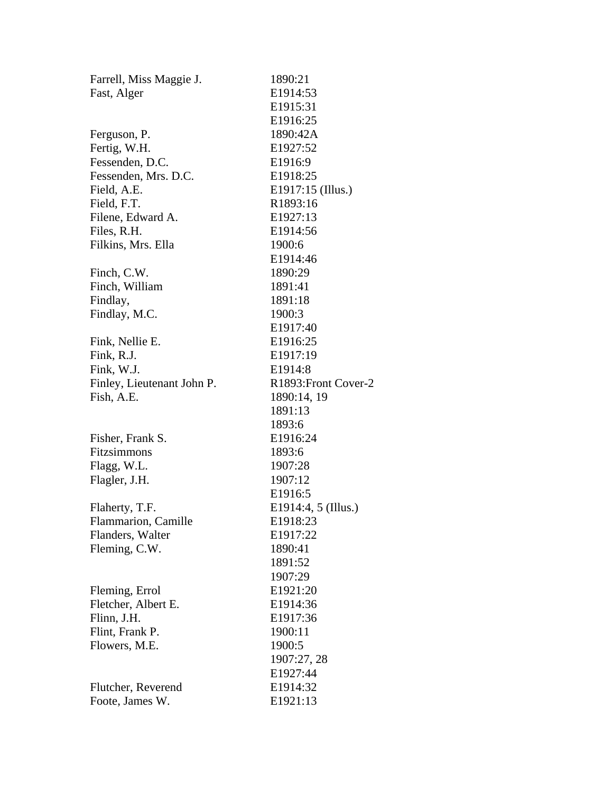| Farrell, Miss Maggie J.    | 1890:21               |
|----------------------------|-----------------------|
| Fast, Alger                | E1914:53              |
|                            | E <sub>1915</sub> :31 |
|                            | E1916:25              |
| Ferguson, P.               | 1890:42A              |
| Fertig, W.H.               | E1927:52              |
| Fessenden, D.C.            | E1916:9               |
| Fessenden, Mrs. D.C.       | E1918:25              |
| Field, A.E.                | E1917:15 (Illus.)     |
| Field, F.T.                | R1893:16              |
| Filene, Edward A.          | E1927:13              |
| Files, R.H.                | E1914:56              |
| Filkins, Mrs. Ella         | 1900:6                |
|                            | E1914:46              |
| Finch, C.W.                | 1890:29               |
| Finch, William             | 1891:41               |
| Findlay,                   | 1891:18               |
| Findlay, M.C.              | 1900:3                |
|                            | E1917:40              |
| Fink, Nellie E.            | E1916:25              |
| Fink, R.J.                 | E1917:19              |
| Fink, W.J.                 | E1914:8               |
| Finley, Lieutenant John P. | R1893: Front Cover-2  |
| Fish, A.E.                 | 1890:14, 19           |
|                            | 1891:13               |
|                            | 1893:6                |
| Fisher, Frank S.           | E1916:24              |
| Fitzsimmons                | 1893:6                |
| Flagg, W.L.                | 1907:28               |
| Flagler, J.H.              | 1907:12               |
|                            | E1916:5               |
| Flaherty, T.F.             | E1914:4, 5 (Illus.)   |
| Flammarion, Camille        | E1918:23              |
| Flanders, Walter           | E1917:22              |
| Fleming, C.W.              | 1890:41               |
|                            | 1891:52               |
|                            | 1907:29               |
| Fleming, Errol             | E1921:20              |
| Fletcher, Albert E.        | E1914:36              |
| Flinn, J.H.                | E1917:36              |
| Flint, Frank P.            | 1900:11               |
| Flowers, M.E.              | 1900:5                |
|                            | 1907:27, 28           |
|                            | E1927:44              |
| Flutcher, Reverend         | E1914:32              |
| Foote, James W.            | E1921:13              |
|                            |                       |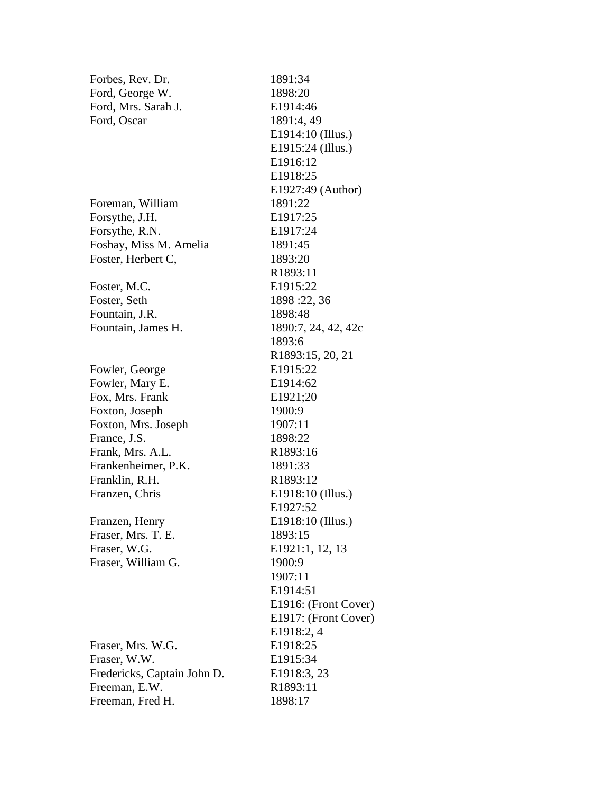| Forbes, Rev. Dr.            | 1891:34                       |
|-----------------------------|-------------------------------|
| Ford, George W.             | 1898:20                       |
| Ford, Mrs. Sarah J.         | E1914:46                      |
| Ford, Oscar                 | 1891:4, 49                    |
|                             | E1914:10 (Illus.)             |
|                             | E1915:24 (Illus.)             |
|                             | E1916:12                      |
|                             | E1918:25                      |
|                             | E1927:49 (Author)             |
| Foreman, William            | 1891:22                       |
| Forsythe, J.H.              | E1917:25                      |
| Forsythe, R.N.              | E1917:24                      |
| Foshay, Miss M. Amelia      | 1891:45                       |
| Foster, Herbert C,          | 1893:20                       |
|                             | R1893:11                      |
| Foster, M.C.                | E1915:22                      |
| Foster, Seth                | 1898:22, 36                   |
| Fountain, J.R.              | 1898:48                       |
| Fountain, James H.          | 1890:7, 24, 42, 42c           |
|                             | 1893:6                        |
|                             | R <sub>1893</sub> :15, 20, 21 |
| Fowler, George              | E1915:22                      |
| Fowler, Mary E.             | E1914:62                      |
| Fox, Mrs. Frank             | E1921;20                      |
| Foxton, Joseph              | 1900:9                        |
| Foxton, Mrs. Joseph         | 1907:11                       |
| France, J.S.                | 1898:22                       |
| Frank, Mrs. A.L.            | R1893:16                      |
| Frankenheimer, P.K.         | 1891:33                       |
| Franklin, R.H.              | R <sub>1893</sub> :12         |
| Franzen, Chris              | E1918:10 (Illus.)             |
|                             | E1927:52                      |
| Franzen, Henry              | E1918:10 (Illus.)             |
| Fraser, Mrs. T. E.          | 1893:15                       |
| Fraser, W.G.                | E1921:1, 12, 13               |
| Fraser, William G.          | 1900:9                        |
|                             | 1907:11                       |
|                             | E1914:51                      |
|                             | E1916: (Front Cover)          |
|                             | E1917: (Front Cover)          |
|                             | E1918:2, 4                    |
| Fraser, Mrs. W.G.           | E1918:25                      |
| Fraser, W.W.                | E1915:34                      |
| Fredericks, Captain John D. | E1918:3, 23                   |
| Freeman, E.W.               | R1893:11                      |
| Freeman, Fred H.            | 1898:17                       |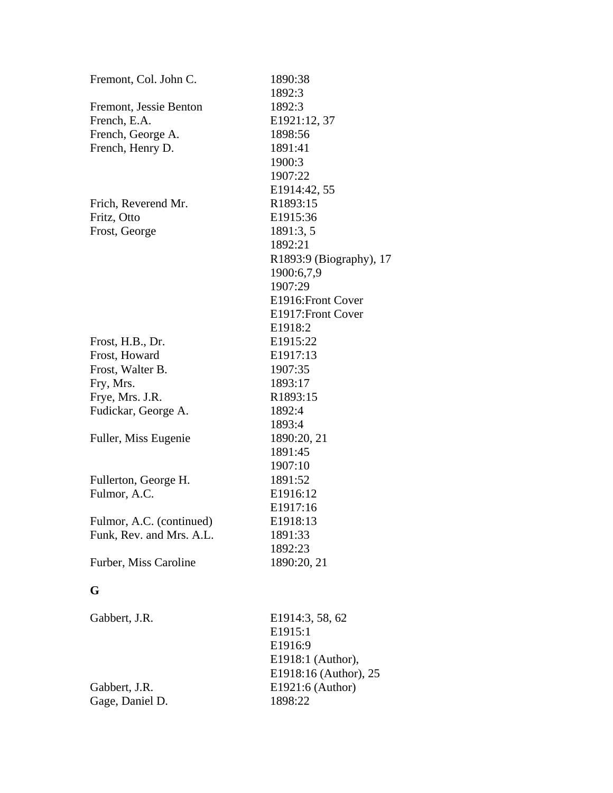| Fremont, Col. John C.    | 1890:38                 |
|--------------------------|-------------------------|
|                          | 1892:3                  |
| Fremont, Jessie Benton   | 1892:3                  |
| French, E.A.             | E1921:12, 37            |
| French, George A.        | 1898:56                 |
| French, Henry D.         | 1891:41                 |
|                          | 1900:3                  |
|                          | 1907:22                 |
|                          | E1914:42, 55            |
| Frich, Reverend Mr.      | R1893:15                |
| Fritz, Otto              | E1915:36                |
| Frost, George            | 1891:3, 5               |
|                          | 1892:21                 |
|                          | R1893:9 (Biography), 17 |
|                          | 1900:6,7,9              |
|                          | 1907:29                 |
|                          | E1916: Front Cover      |
|                          | E1917: Front Cover      |
|                          | E1918:2                 |
| Frost, H.B., Dr.         | E1915:22                |
| Frost, Howard            | E1917:13                |
| Frost, Walter B.         | 1907:35                 |
| Fry, Mrs.                | 1893:17                 |
| Frye, Mrs. J.R.          | R1893:15                |
| Fudickar, George A.      | 1892:4                  |
|                          | 1893:4                  |
| Fuller, Miss Eugenie     | 1890:20, 21             |
|                          | 1891:45                 |
|                          | 1907:10                 |
| Fullerton, George H.     | 1891:52                 |
| Fulmor, A.C.             | E1916:12                |
|                          | E1917:16                |
| Fulmor, A.C. (continued) | E1918:13                |
| Funk, Rev. and Mrs. A.L. | 1891:33                 |
|                          | 1892:23                 |
| Furber, Miss Caroline    | 1890:20, 21             |
| G                        |                         |
|                          |                         |
| Gabbert, J.R.            | E1914:3, 58, 62         |
|                          | E1915:1                 |
|                          | E1916:9                 |
|                          | E1918:1 (Author),       |
|                          | E1918:16 (Author), 25   |
| Gabbert, J.R.            | E1921:6 (Author)        |
| Gage, Daniel D.          | 1898:22                 |
|                          |                         |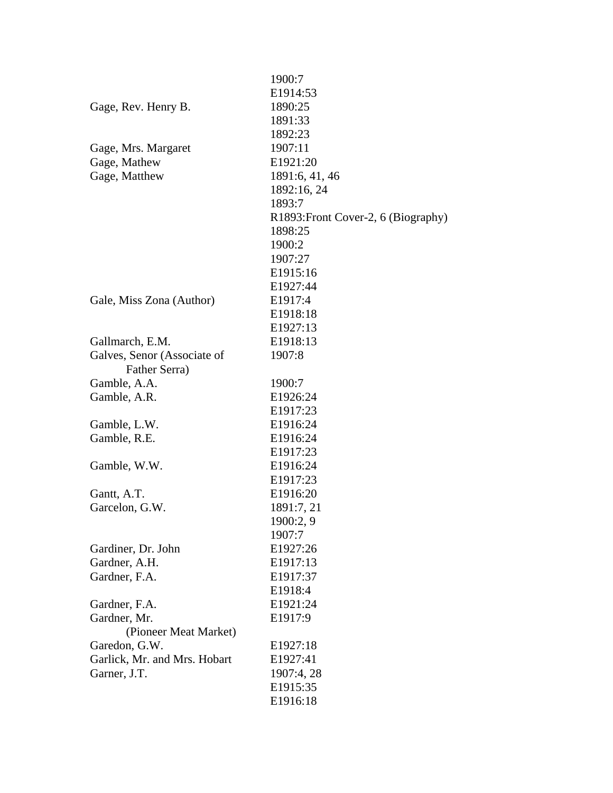|                              | 1900:7                              |
|------------------------------|-------------------------------------|
|                              | E1914:53                            |
| Gage, Rev. Henry B.          | 1890:25                             |
|                              | 1891:33                             |
|                              | 1892:23                             |
| Gage, Mrs. Margaret          | 1907:11                             |
| Gage, Mathew                 | E1921:20                            |
| Gage, Matthew                | 1891:6, 41, 46                      |
|                              | 1892:16, 24                         |
|                              | 1893:7                              |
|                              | R1893: Front Cover-2, 6 (Biography) |
|                              | 1898:25                             |
|                              | 1900:2                              |
|                              | 1907:27                             |
|                              | E1915:16                            |
|                              | E1927:44                            |
| Gale, Miss Zona (Author)     | E1917:4                             |
|                              | E1918:18                            |
|                              | E1927:13                            |
| Gallmarch, E.M.              | E1918:13                            |
| Galves, Senor (Associate of  | 1907:8                              |
| Father Serra)                |                                     |
| Gamble, A.A.                 | 1900:7                              |
| Gamble, A.R.                 | E1926:24                            |
|                              | E1917:23                            |
| Gamble, L.W.                 | E1916:24                            |
| Gamble, R.E.                 | E1916:24                            |
|                              | E1917:23                            |
| Gamble, W.W.                 | E1916:24                            |
|                              | E <sub>1917:23</sub>                |
| Gantt, A.T.                  | E1916:20                            |
| Garcelon, G.W.               | 1891:7, 21                          |
|                              | 1900:2, 9                           |
|                              | 1907:7                              |
| Gardiner, Dr. John           | E1927:26                            |
| Gardner, A.H.                | E1917:13                            |
| Gardner, F.A.                | E1917:37                            |
|                              | E1918:4                             |
| Gardner, F.A.                | E1921:24                            |
| Gardner, Mr.                 | E1917:9                             |
| (Pioneer Meat Market)        |                                     |
| Garedon, G.W.                | E1927:18                            |
| Garlick, Mr. and Mrs. Hobart | E1927:41                            |
| Garner, J.T.                 | 1907:4, 28                          |
|                              | E1915:35                            |
|                              | E1916:18                            |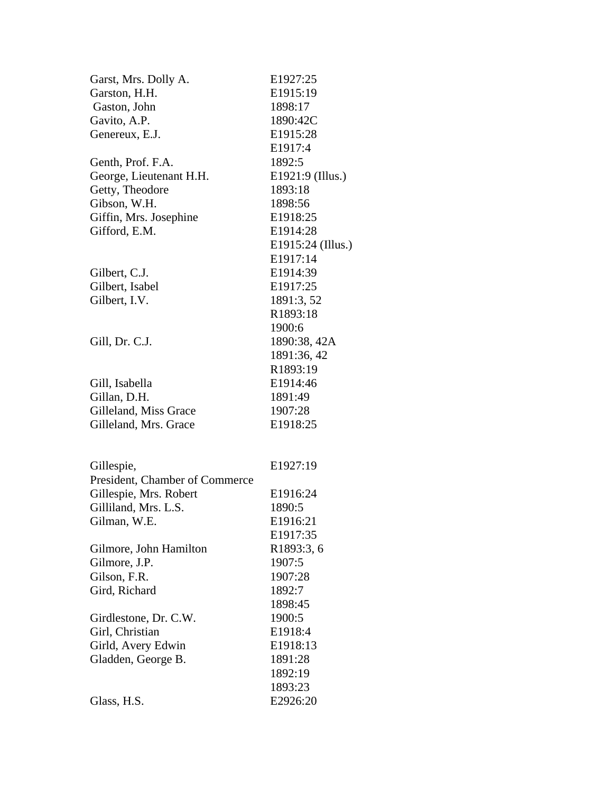| Garst, Mrs. Dolly A.           | E1927:25          |
|--------------------------------|-------------------|
| Garston, H.H.                  | E1915:19          |
| Gaston, John                   | 1898:17           |
| Gavito, A.P.                   | 1890:42C          |
| Genereux, E.J.                 | E1915:28          |
|                                | E1917:4           |
| Genth, Prof. F.A.              | 1892:5            |
| George, Lieutenant H.H.        | E1921:9 (Illus.)  |
| Getty, Theodore                | 1893:18           |
| Gibson, W.H.                   | 1898:56           |
| Giffin, Mrs. Josephine         | E1918:25          |
| Gifford, E.M.                  | E1914:28          |
|                                | E1915:24 (Illus.) |
|                                | E1917:14          |
| Gilbert, C.J.                  | E1914:39          |
| Gilbert, Isabel                | E1917:25          |
| Gilbert, I.V.                  | 1891:3, 52        |
|                                | R1893:18          |
|                                | 1900:6            |
| Gill, Dr. C.J.                 | 1890:38, 42A      |
|                                | 1891:36, 42       |
|                                | R1893:19          |
| Gill, Isabella                 | E1914:46          |
| Gillan, D.H.                   | 1891:49           |
| Gilleland, Miss Grace          | 1907:28           |
| Gilleland, Mrs. Grace          | E1918:25          |
|                                |                   |
| Gillespie,                     | E1927:19          |
| President, Chamber of Commerce |                   |
| Gillespie, Mrs. Robert         | E1916:24          |
| Gilliland, Mrs. L.S.           | 1890:5            |
| Gilman, W.E.                   | E1916:21          |
|                                | E1917:35          |
| Gilmore, John Hamilton         | R1893:3, 6        |
| Gilmore, J.P.                  | 1907:5            |
| Gilson, F.R.                   | 1907:28           |
| Gird, Richard                  | 1892:7            |
|                                | 1898:45           |
| Girdlestone, Dr. C.W.          | 1900:5            |
| Girl, Christian                | E1918:4           |
| Girld, Avery Edwin             | E1918:13          |
| Gladden, George B.             | 1891:28           |
|                                | 1892:19           |
|                                | 1893:23           |
| Glass, H.S.                    | E2926:20          |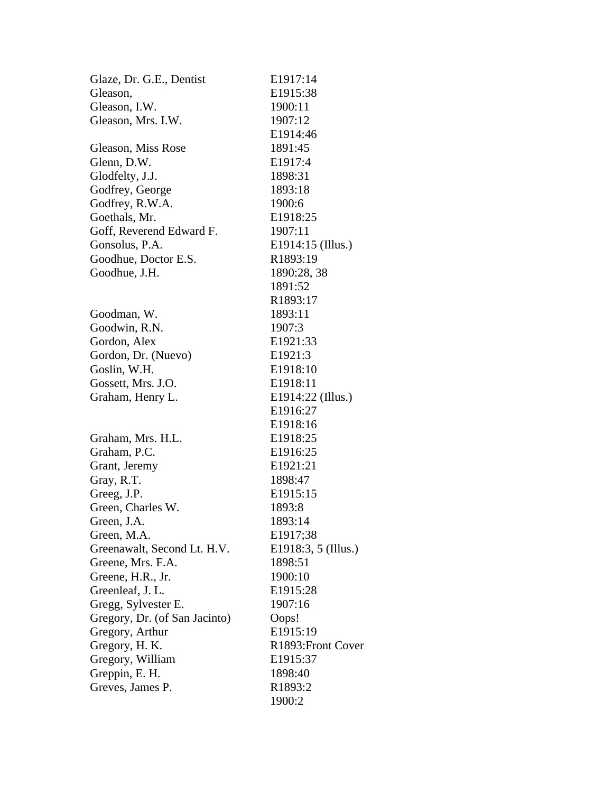| Glaze, Dr. G.E., Dentist      | E1917:14             |
|-------------------------------|----------------------|
| Gleason,                      | E1915:38             |
| Gleason, I.W.                 | 1900:11              |
| Gleason, Mrs. I.W.            | 1907:12              |
|                               | E1914:46             |
| Gleason, Miss Rose            | 1891:45              |
| Glenn, D.W.                   | E1917:4              |
| Glodfelty, J.J.               | 1898:31              |
| Godfrey, George               | 1893:18              |
| Godfrey, R.W.A.               | 1900:6               |
| Goethals, Mr.                 | E1918:25             |
| Goff, Reverend Edward F.      | 1907:11              |
| Gonsolus, P.A.                | E1914:15 (Illus.)    |
| Goodhue, Doctor E.S.          | R1893:19             |
| Goodhue, J.H.                 | 1890:28, 38          |
|                               | 1891:52              |
|                               | R1893:17             |
| Goodman, W.                   | 1893:11              |
| Goodwin, R.N.                 | 1907:3               |
| Gordon, Alex                  | E1921:33             |
| Gordon, Dr. (Nuevo)           | E1921:3              |
| Goslin, W.H.                  | E1918:10             |
| Gossett, Mrs. J.O.            | E1918:11             |
| Graham, Henry L.              | E1914:22 (Illus.)    |
|                               | E1916:27             |
|                               | E <sub>1918:16</sub> |
| Graham, Mrs. H.L.             | E1918:25             |
| Graham, P.C.                  | E1916:25             |
| Grant, Jeremy                 | E1921:21             |
| Gray, R.T.                    | 1898:47              |
| Greeg, J.P.                   | E1915:15             |
| Green, Charles W.             | 1893:8               |
| Green, J.A.                   | 1893:14              |
| Green, M.A.                   | E1917;38             |
| Greenawalt, Second Lt. H.V.   | E1918:3, 5 (Illus.)  |
| Greene, Mrs. F.A.             | 1898:51              |
| Greene, H.R., Jr.             | 1900:10              |
| Greenleaf, J. L.              | E1915:28             |
| Gregg, Sylvester E.           | 1907:16              |
| Gregory, Dr. (of San Jacinto) | Oops!                |
| Gregory, Arthur               | E1915:19             |
| Gregory, H. K.                | R1893: Front Cover   |
| Gregory, William              | E1915:37             |
| Greppin, E. H.                | 1898:40              |
| Greves, James P.              | R <sub>1893</sub> :2 |
|                               | 1900:2               |
|                               |                      |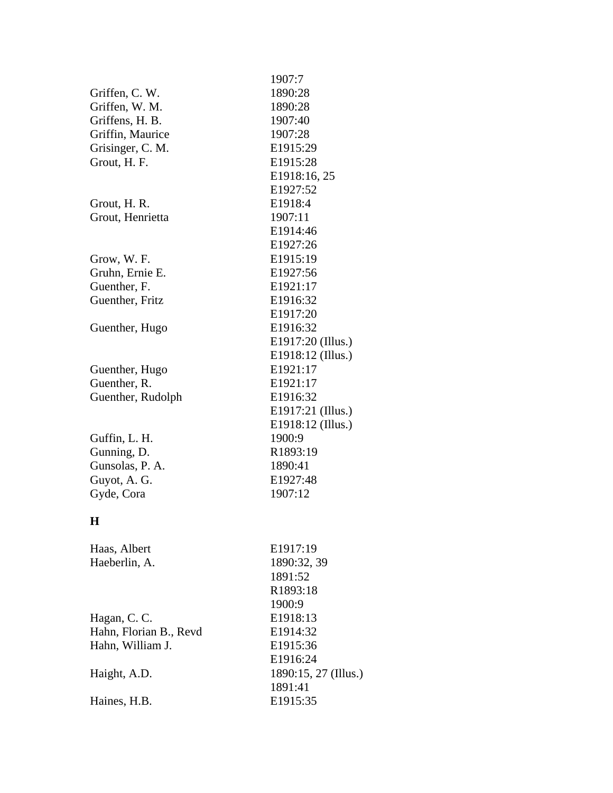|                        | 1907:7               |
|------------------------|----------------------|
| Griffen, C. W.         | 1890:28              |
| Griffen, W. M.         | 1890:28              |
| Griffens, H. B.        | 1907:40              |
| Griffin, Maurice       | 1907:28              |
| Grisinger, C. M.       | E1915:29             |
| Grout, H. F.           | E1915:28             |
|                        | E1918:16, 25         |
|                        | E1927:52             |
| Grout, H. R.           | E1918:4              |
| Grout, Henrietta       | 1907:11              |
|                        | E1914:46             |
|                        | E1927:26             |
| Grow, W. F.            | E1915:19             |
| Gruhn, Ernie E.        | E1927:56             |
| Guenther, F.           | E1921:17             |
| Guenther, Fritz        | E1916:32             |
|                        | E1917:20             |
| Guenther, Hugo         | E1916:32             |
|                        | E1917:20 (Illus.)    |
|                        | E1918:12 (Illus.)    |
| Guenther, Hugo         | E1921:17             |
| Guenther, R.           | E1921:17             |
| Guenther, Rudolph      | E1916:32             |
|                        | E1917:21 (Illus.)    |
|                        | E1918:12 (Illus.)    |
| Guffin, L. H.          | 1900:9               |
| Gunning, D.            | R1893:19             |
| Gunsolas, P. A.        | 1890:41              |
| Guyot, A. G.           | E1927:48             |
| Gyde, Cora             | 1907:12              |
| H                      |                      |
| Haas, Albert           | E1917:19             |
| Haeberlin, A.          | 1890:32, 39          |
|                        | 1891:52              |
|                        | R1893:18             |
|                        | 1900:9               |
| Hagan, C. C.           | E1918:13             |
| Hahn, Florian B., Revd | E1914:32             |
| Hahn, William J.       | E1915:36             |
|                        | E1916:24             |
| Haight, A.D.           | 1890:15, 27 (Illus.) |
|                        | 1891:41              |
| Haines, H.B.           | E1915:35             |
|                        |                      |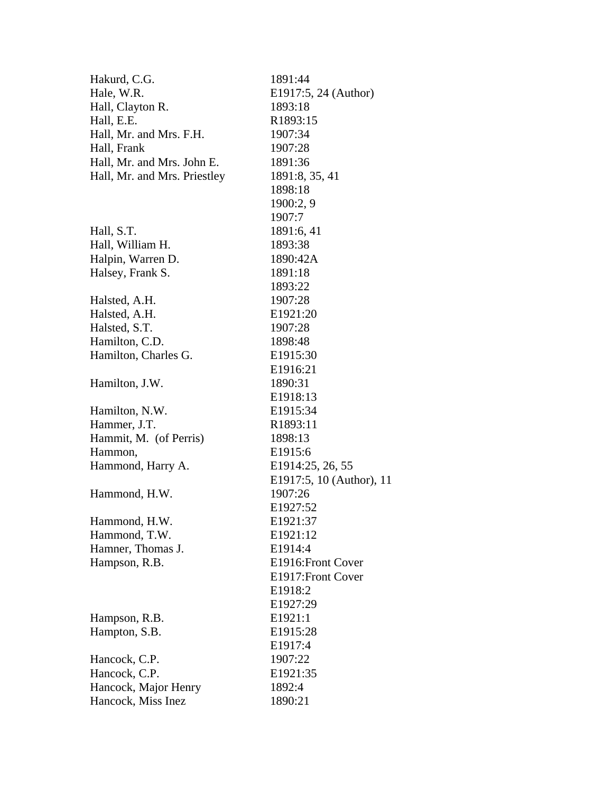| Hakurd, C.G.                 | 1891:44                  |
|------------------------------|--------------------------|
| Hale, W.R.                   | E1917:5, 24 (Author)     |
| Hall, Clayton R.             | 1893:18                  |
| Hall, E.E.                   | R1893:15                 |
| Hall, Mr. and Mrs. F.H.      | 1907:34                  |
| Hall, Frank                  | 1907:28                  |
| Hall, Mr. and Mrs. John E.   | 1891:36                  |
| Hall, Mr. and Mrs. Priestley | 1891:8, 35, 41           |
|                              | 1898:18                  |
|                              | 1900:2, 9                |
|                              | 1907:7                   |
| Hall, S.T.                   | 1891:6, 41               |
| Hall, William H.             | 1893:38                  |
| Halpin, Warren D.            | 1890:42A                 |
| Halsey, Frank S.             | 1891:18                  |
|                              | 1893:22                  |
| Halsted, A.H.                | 1907:28                  |
| Halsted, A.H.                | E1921:20                 |
| Halsted, S.T.                | 1907:28                  |
| Hamilton, C.D.               | 1898:48                  |
| Hamilton, Charles G.         | E <sub>1915</sub> :30    |
|                              | E1916:21                 |
| Hamilton, J.W.               | 1890:31                  |
|                              | E1918:13                 |
| Hamilton, N.W.               | E1915:34                 |
| Hammer, J.T.                 | R <sub>1893</sub> :11    |
| Hammit, M. (of Perris)       | 1898:13                  |
| Hammon,                      | E1915:6                  |
| Hammond, Harry A.            | E1914:25, 26, 55         |
|                              | E1917:5, 10 (Author), 11 |
| Hammond, H.W.                | 1907:26                  |
|                              | E1927:52                 |
| Hammond, H.W.                | E1921:37                 |
| Hammond, T.W.                | E1921:12                 |
| Hamner, Thomas J.            | E1914:4                  |
| Hampson, R.B.                | E1916: Front Cover       |
|                              | E1917: Front Cover       |
|                              | E1918:2                  |
|                              | E1927:29                 |
| Hampson, R.B.                | E1921:1                  |
| Hampton, S.B.                | E1915:28                 |
|                              | E1917:4                  |
| Hancock, C.P.                | 1907:22                  |
| Hancock, C.P.                | E1921:35                 |
| Hancock, Major Henry         | 1892:4                   |
| Hancock, Miss Inez           | 1890:21                  |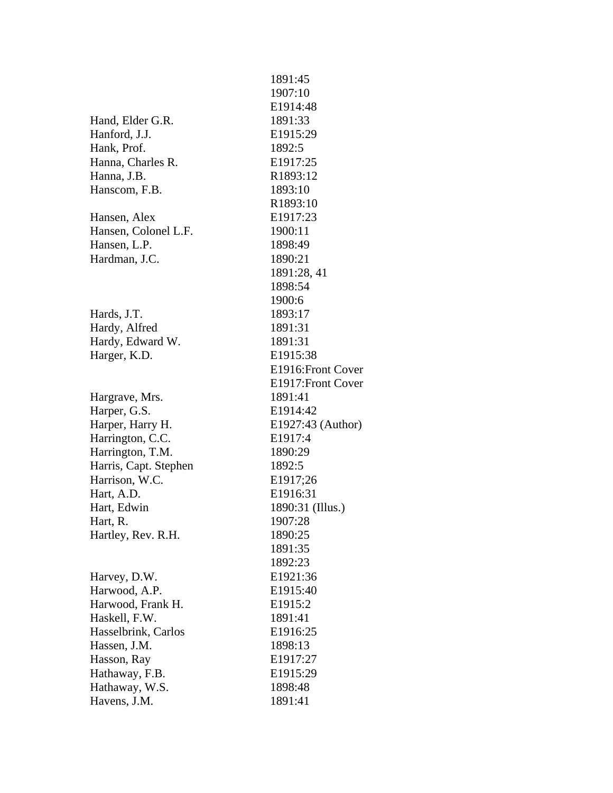|                       | 1891:45            |
|-----------------------|--------------------|
|                       | 1907:10            |
|                       | E1914:48           |
| Hand, Elder G.R.      | 1891:33            |
| Hanford, J.J.         | E1915:29           |
| Hank, Prof.           | 1892:5             |
| Hanna, Charles R.     | E1917:25           |
| Hanna, J.B.           | R1893:12           |
| Hanscom, F.B.         | 1893:10            |
|                       | R1893:10           |
| Hansen, Alex          | E1917:23           |
| Hansen, Colonel L.F.  | 1900:11            |
| Hansen, L.P.          | 1898:49            |
| Hardman, J.C.         | 1890:21            |
|                       | 1891:28, 41        |
|                       | 1898:54            |
|                       | 1900:6             |
| Hards, J.T.           | 1893:17            |
| Hardy, Alfred         | 1891:31            |
| Hardy, Edward W.      | 1891:31            |
| Harger, K.D.          | E1915:38           |
|                       | E1916: Front Cover |
|                       | E1917: Front Cover |
| Hargrave, Mrs.        | 1891:41            |
| Harper, G.S.          | E1914:42           |
| Harper, Harry H.      | E1927:43 (Author)  |
| Harrington, C.C.      | E1917:4            |
| Harrington, T.M.      | 1890:29            |
| Harris, Capt. Stephen | 1892:5             |
| Harrison, W.C.        | E1917;26           |
| Hart, A.D.            | E1916:31           |
| Hart, Edwin           | 1890:31 (Illus.)   |
| Hart, R.              | 1907:28            |
| Hartley, Rev. R.H.    | 1890:25            |
|                       | 1891:35            |
|                       | 1892:23            |
| Harvey, D.W.          | E1921:36           |
| Harwood, A.P.         | E1915:40           |
| Harwood, Frank H.     | E1915:2            |
| Haskell, F.W.         | 1891:41            |
| Hasselbrink, Carlos   | E1916:25           |
| Hassen, J.M.          | 1898:13            |
| Hasson, Ray           | E1917:27           |
| Hathaway, F.B.        | E1915:29           |
| Hathaway, W.S.        | 1898:48            |
| Havens, J.M.          | 1891:41            |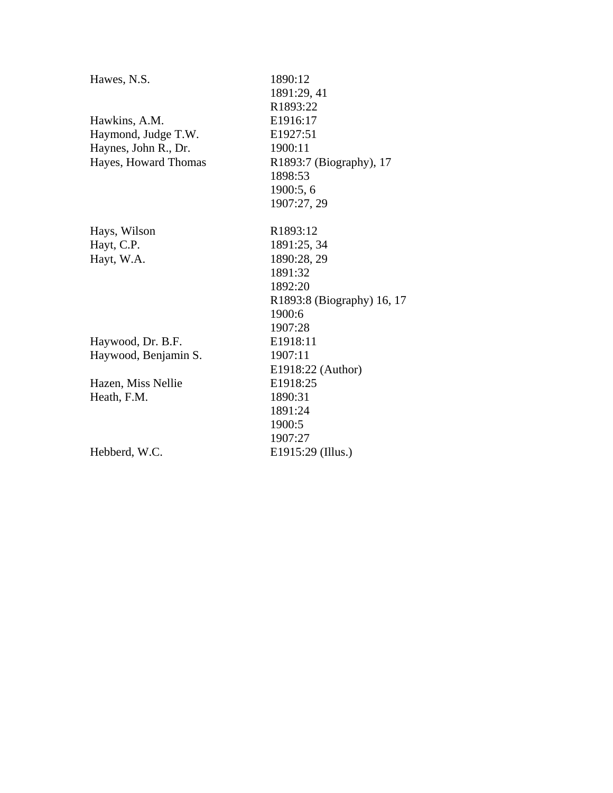| Hawes, N.S.          | 1890:12                    |
|----------------------|----------------------------|
|                      | 1891:29, 41                |
|                      | R1893:22                   |
| Hawkins, A.M.        | E1916:17                   |
| Haymond, Judge T.W.  | E1927:51                   |
| Haynes, John R., Dr. | 1900:11                    |
| Hayes, Howard Thomas | R1893:7 (Biography), 17    |
|                      | 1898:53                    |
|                      | 1900:5, 6                  |
|                      | 1907:27, 29                |
| Hays, Wilson         | R1893:12                   |
| Hayt, C.P.           | 1891:25, 34                |
| Hayt, W.A.           | 1890:28, 29                |
|                      | 1891:32                    |
|                      | 1892:20                    |
|                      | R1893:8 (Biography) 16, 17 |
|                      | 1900:6                     |
|                      | 1907:28                    |
| Haywood, Dr. B.F.    | E1918:11                   |
| Haywood, Benjamin S. | 1907:11                    |
|                      | E1918:22 (Author)          |
| Hazen, Miss Nellie   | E1918:25                   |
| Heath, F.M.          | 1890:31                    |
|                      | 1891:24                    |
|                      | 1900:5                     |
|                      | 1907:27                    |
| Hebberd, W.C.        | E1915:29 (Illus.)          |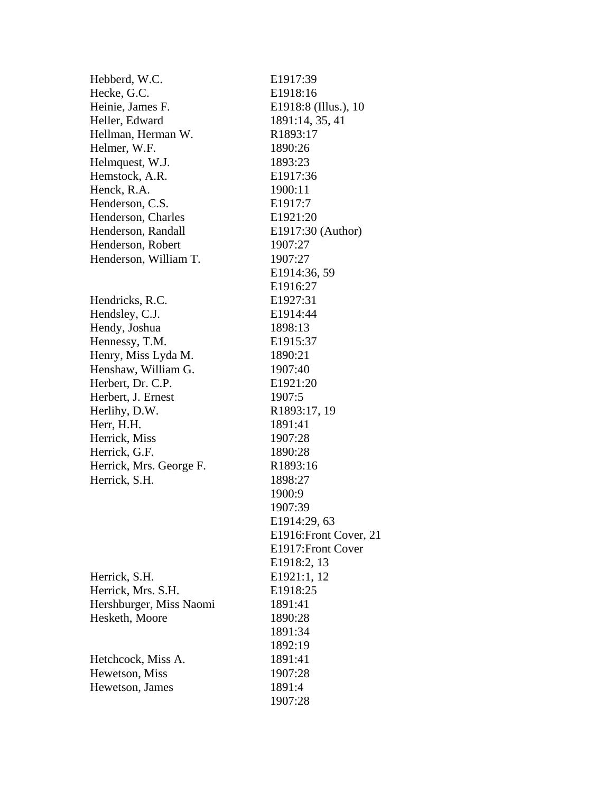| Hebberd, W.C.           | E1917:39               |
|-------------------------|------------------------|
| Hecke, G.C.             | E1918:16               |
| Heinie, James F.        | E1918:8 (Illus.), 10   |
| Heller, Edward          | 1891:14, 35, 41        |
| Hellman, Herman W.      | R1893:17               |
| Helmer, W.F.            | 1890:26                |
| Helmquest, W.J.         | 1893:23                |
| Hemstock, A.R.          | E1917:36               |
| Henck, R.A.             | 1900:11                |
| Henderson, C.S.         | E1917:7                |
| Henderson, Charles      | E1921:20               |
| Henderson, Randall      | E1917:30 (Author)      |
| Henderson, Robert       | 1907:27                |
| Henderson, William T.   | 1907:27                |
|                         | E1914:36, 59           |
|                         | E1916:27               |
| Hendricks, R.C.         | E1927:31               |
| Hendsley, C.J.          | E1914:44               |
| Hendy, Joshua           | 1898:13                |
| Hennessy, T.M.          | E1915:37               |
| Henry, Miss Lyda M.     | 1890:21                |
| Henshaw, William G.     | 1907:40                |
| Herbert, Dr. C.P.       | E1921:20               |
| Herbert, J. Ernest      | 1907:5                 |
| Herlihy, D.W.           | R1893:17, 19           |
| Herr, H.H.              | 1891:41                |
| Herrick, Miss           | 1907:28                |
| Herrick, G.F.           | 1890:28                |
| Herrick, Mrs. George F. | R1893:16               |
| Herrick, S.H.           | 1898:27                |
|                         | 1900:9                 |
|                         | 1907:39                |
|                         | E1914:29, 63           |
|                         | E1916: Front Cover, 21 |
|                         | E1917: Front Cover     |
|                         | E1918:2, 13            |
| Herrick, S.H.           | E1921:1, 12            |
| Herrick, Mrs. S.H.      | E1918:25               |
| Hershburger, Miss Naomi | 1891:41                |
| Hesketh, Moore          | 1890:28                |
|                         | 1891:34                |
|                         | 1892:19                |
| Hetchcock, Miss A.      | 1891:41                |
| Hewetson, Miss          | 1907:28                |
| Hewetson, James         | 1891:4                 |
|                         | 1907:28                |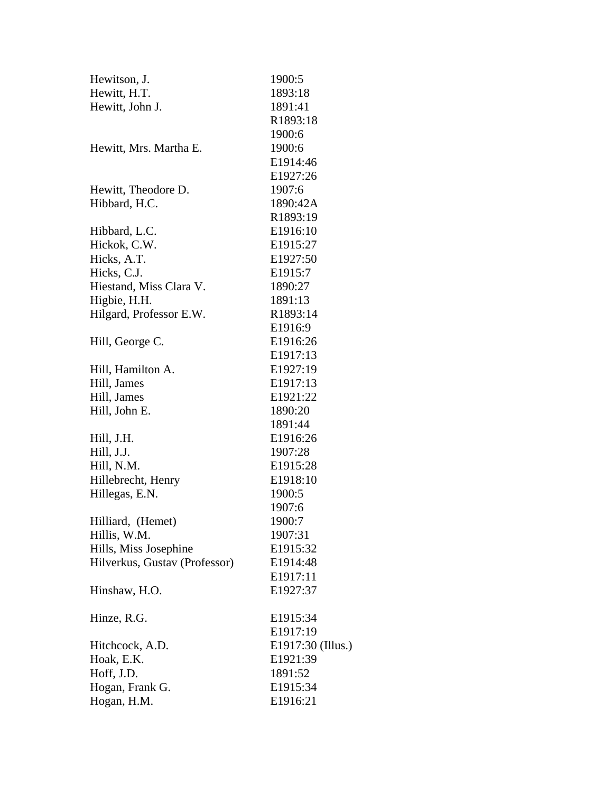| Hewitson, J.                  | 1900:5            |
|-------------------------------|-------------------|
| Hewitt, H.T.                  | 1893:18           |
| Hewitt, John J.               | 1891:41           |
|                               | R1893:18          |
|                               | 1900:6            |
| Hewitt, Mrs. Martha E.        | 1900:6            |
|                               | E1914:46          |
|                               | E1927:26          |
| Hewitt, Theodore D.           | 1907:6            |
| Hibbard, H.C.                 | 1890:42A          |
|                               | R1893:19          |
| Hibbard, L.C.                 | E1916:10          |
| Hickok, C.W.                  | E1915:27          |
| Hicks, A.T.                   | E1927:50          |
| Hicks, C.J.                   | E1915:7           |
| Hiestand, Miss Clara V.       | 1890:27           |
| Higbie, H.H.                  | 1891:13           |
| Hilgard, Professor E.W.       | R1893:14          |
|                               | E1916:9           |
| Hill, George C.               | E1916:26          |
|                               | E1917:13          |
| Hill, Hamilton A.             | E1927:19          |
| Hill, James                   | E1917:13          |
| Hill, James                   | E1921:22          |
| Hill, John E.                 | 1890:20           |
|                               | 1891:44           |
| Hill, J.H.                    | E1916:26          |
| Hill, J.J.                    | 1907:28           |
| Hill, N.M.                    | E1915:28          |
| Hillebrecht, Henry            | E1918:10          |
| Hillegas, E.N.                | 1900:5            |
|                               | 1907:6            |
| Hilliard, (Hemet)             | 1900:7            |
| Hillis, W.M.                  | 1907:31           |
| Hills, Miss Josephine         | E1915:32          |
| Hilverkus, Gustav (Professor) | E1914:48          |
|                               | E1917:11          |
| Hinshaw, H.O.                 | E1927:37          |
| Hinze, R.G.                   | E1915:34          |
|                               | E1917:19          |
| Hitchcock, A.D.               | E1917:30 (Illus.) |
| Hoak, E.K.                    | E1921:39          |
| Hoff, J.D.                    | 1891:52           |
| Hogan, Frank G.               | E1915:34          |
| Hogan, H.M.                   | E1916:21          |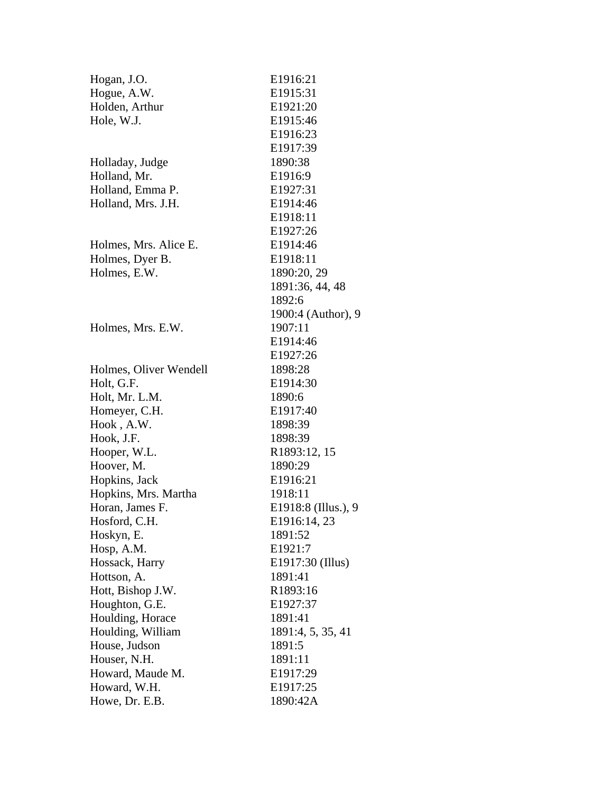| Hogan, J.O.            | E1916:21            |
|------------------------|---------------------|
| Hogue, A.W.            | E1915:31            |
| Holden, Arthur         | E1921:20            |
| Hole, W.J.             | E1915:46            |
|                        | E1916:23            |
|                        | E1917:39            |
| Holladay, Judge        | 1890:38             |
| Holland, Mr.           | E1916:9             |
| Holland, Emma P.       | E1927:31            |
| Holland, Mrs. J.H.     | E1914:46            |
|                        | E1918:11            |
|                        | E1927:26            |
| Holmes, Mrs. Alice E.  | E1914:46            |
| Holmes, Dyer B.        | E1918:11            |
| Holmes, E.W.           | 1890:20, 29         |
|                        | 1891:36, 44, 48     |
|                        | 1892:6              |
|                        | 1900:4 (Author), 9  |
| Holmes, Mrs. E.W.      | 1907:11             |
|                        | E1914:46            |
|                        | E1927:26            |
| Holmes, Oliver Wendell | 1898:28             |
| Holt, G.F.             | E1914:30            |
| Holt, Mr. L.M.         | 1890:6              |
| Homeyer, C.H.          | E1917:40            |
| Hook, A.W.             | 1898:39             |
| Hook, J.F.             | 1898:39             |
| Hooper, W.L.           | R1893:12, 15        |
| Hoover, M.             | 1890:29             |
| Hopkins, Jack          | E1916:21            |
| Hopkins, Mrs. Martha   | 1918:11             |
| Horan, James F.        | E1918:8 (Illus.), 9 |
| Hosford, C.H.          | E1916:14, 23        |
| Hoskyn, E.             | 1891:52             |
| Hosp, A.M.             | E1921:7             |
| Hossack, Harry         | E1917:30 (Illus)    |
| Hottson, A.            | 1891:41             |
| Hott, Bishop J.W.      | R1893:16            |
| Houghton, G.E.         | E1927:37            |
| Houlding, Horace       | 1891:41             |
| Houlding, William      | 1891:4, 5, 35, 41   |
| House, Judson          | 1891:5              |
| Houser, N.H.           | 1891:11             |
| Howard, Maude M.       | E1917:29            |
| Howard, W.H.           | E1917:25            |
| Howe, Dr. E.B.         | 1890:42A            |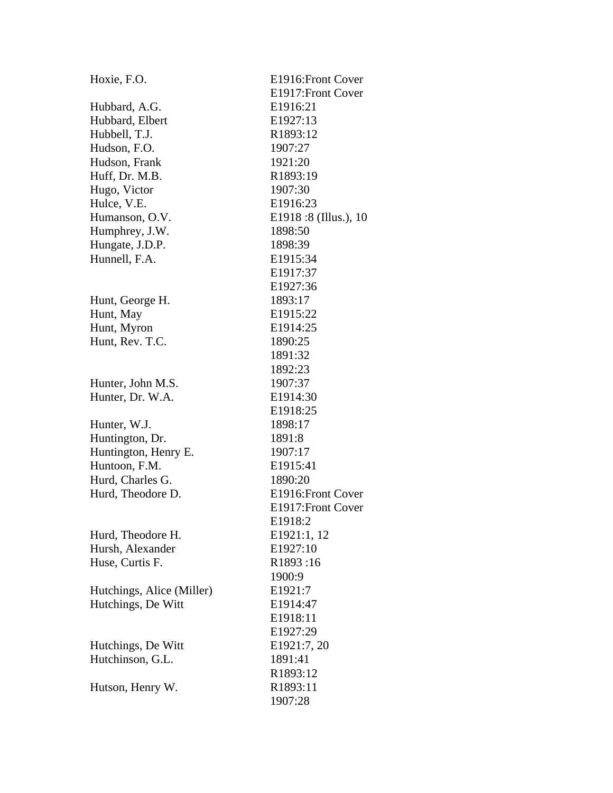| Hoxie, F.O.               | E1916: Front Cover   |
|---------------------------|----------------------|
|                           | E1917: Front Cover   |
| Hubbard, A.G.             | E1916:21             |
| Hubbard, Elbert           | E1927:13             |
| Hubbell, T.J.             | R1893:12             |
| Hudson, F.O.              | 1907:27              |
| Hudson, Frank             | 1921:20              |
| Huff, Dr. M.B.            | R1893:19             |
| Hugo, Victor              | 1907:30              |
| Hulce, V.E.               | E1916:23             |
| Humanson, O.V.            | E1918:8 (Illus.), 10 |
| Humphrey, J.W.            | 1898:50              |
| Hungate, J.D.P.           | 1898:39              |
| Hunnell, F.A.             | E1915:34             |
|                           | E1917:37             |
|                           | E1927:36             |
| Hunt, George H.           | 1893:17              |
| Hunt, May                 | E1915:22             |
| Hunt, Myron               | E1914:25             |
| Hunt, Rev. T.C.           | 1890:25              |
|                           | 1891:32              |
|                           | 1892:23              |
| Hunter, John M.S.         | 1907:37              |
| Hunter, Dr. W.A.          | E1914:30             |
|                           | E1918:25             |
| Hunter, W.J.              | 1898:17              |
| Huntington, Dr.           | 1891:8               |
| Huntington, Henry E.      | 1907:17              |
| Huntoon, F.M.             | E1915:41             |
| Hurd, Charles G.          | 1890:20              |
| Hurd, Theodore D.         | E1916: Front Cover   |
|                           | E1917: Front Cover   |
|                           | E1918:2              |
| Hurd, Theodore H.         | E1921:1, 12          |
| Hursh, Alexander          | E1927:10             |
| Huse, Curtis F.           | R1893:16             |
|                           | 1900:9               |
| Hutchings, Alice (Miller) | E1921:7              |
| Hutchings, De Witt        | E1914:47             |
|                           | E1918:11             |
|                           | E1927:29             |
| Hutchings, De Witt        | E1921:7, 20          |
| Hutchinson, G.L.          | 1891:41              |
|                           | R1893:12             |
| Hutson, Henry W.          | R1893:11             |
|                           | 1907:28              |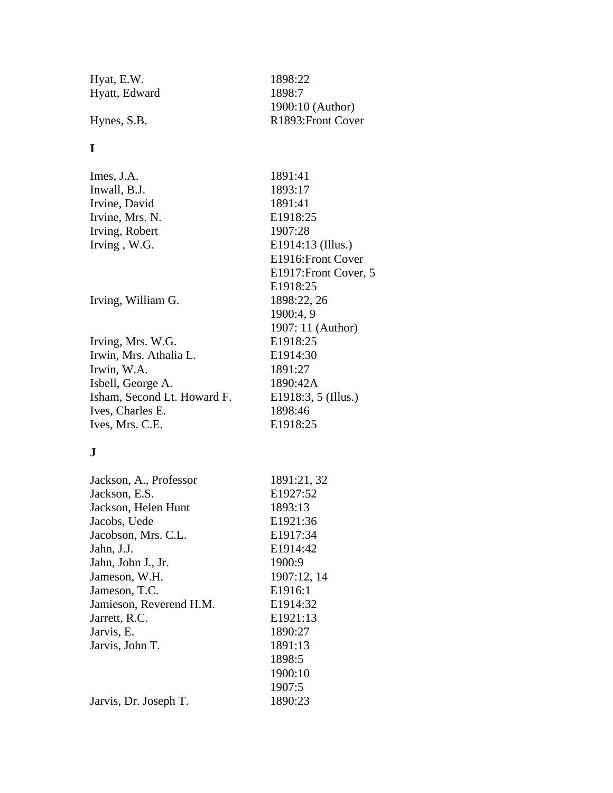| Hyat, E.W.    |  |
|---------------|--|
| Hyatt, Edward |  |

### **I**

Imes, J.A. 1891:41 Inwall, B.J. 1893:17 Irvine, David 1891:41 Irvine, Mrs. N. E1918:25 Irving, Robert 1907:28 Irving , W.G. E1914:13 (Illus.)

Irving, William G. 1898:22, 26

Irving, Mrs. W.G. E1918:25 Irwin, Mrs. Athalia L. E1914:30 Irwin, W.A. 1891:27 Isbell, George A. 1890:42A Isham, Second Lt. Howard F. E1918:3, 5 (Illus.) Ives, Charles E. 1898:46 Ives, Mrs. C.E. E1918:25

### **J**

| Jackson, A., Professor  | 1891:21, 32 |
|-------------------------|-------------|
| Jackson, E.S.           | E1927:52    |
| Jackson, Helen Hunt     | 1893:13     |
| Jacobs, Uede            | E1921:36    |
| Jacobson, Mrs. C.L.     | E1917:34    |
| Jahn, J.J.              | E1914:42    |
| Jahn, John J., Jr.      | 1900:9      |
| Jameson, W.H.           | 1907:12, 14 |
| Jameson, T.C.           | E1916:1     |
| Jamieson, Reverend H.M. | E1914:32    |
| Jarrett, R.C.           | E1921:13    |
| Jarvis, E.              | 1890:27     |
| Jarvis, John T.         | 1891:13     |
|                         | 1898:5      |
|                         | 1900:10     |
|                         | 1907:5      |
| Jarvis, Dr. Joseph T.   | 1890:23     |
|                         |             |

1898:22 1898:7 1900:10 (Author) Hynes, S.B. R1893:Front Cover

> E1916:Front Cover E1917:Front Cover, 5

1907: 11 (Author)

E1918:25

1900:4, 9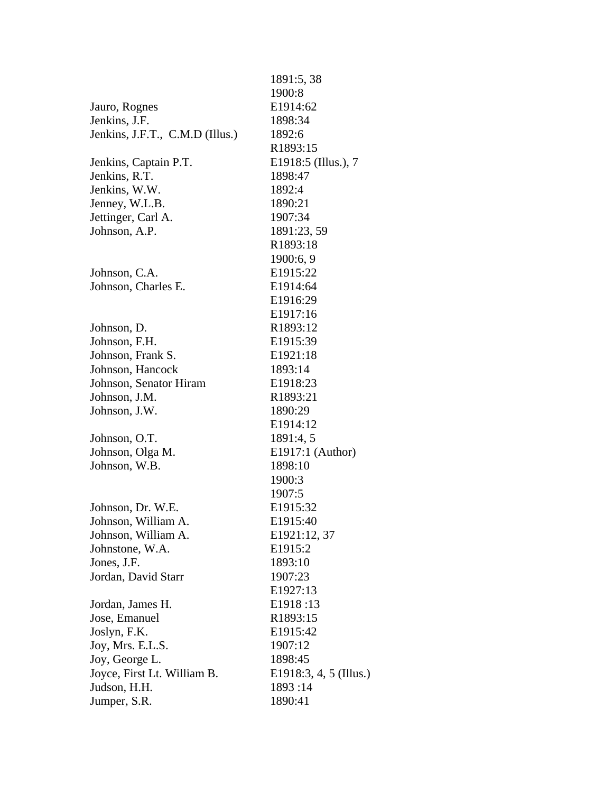|                                 | 1891:5, 38             |
|---------------------------------|------------------------|
|                                 | 1900:8                 |
| Jauro, Rognes                   | E1914:62               |
| Jenkins, J.F.                   | 1898:34                |
| Jenkins, J.F.T., C.M.D (Illus.) | 1892:6                 |
|                                 | R1893:15               |
| Jenkins, Captain P.T.           | E1918:5 (Illus.), 7    |
| Jenkins, R.T.                   | 1898:47                |
| Jenkins, W.W.                   | 1892:4                 |
| Jenney, W.L.B.                  | 1890:21                |
| Jettinger, Carl A.              | 1907:34                |
| Johnson, A.P.                   | 1891:23, 59            |
|                                 | R1893:18               |
|                                 | 1900:6, 9              |
| Johnson, C.A.                   | E1915:22               |
| Johnson, Charles E.             | E1914:64               |
|                                 | E1916:29               |
|                                 | E1917:16               |
| Johnson, D.                     | R1893:12               |
| Johnson, F.H.                   | E1915:39               |
| Johnson, Frank S.               | E1921:18               |
| Johnson, Hancock                | 1893:14                |
| Johnson, Senator Hiram          | E1918:23               |
| Johnson, J.M.                   | R1893:21               |
| Johnson, J.W.                   | 1890:29                |
|                                 | E1914:12               |
| Johnson, O.T.                   | 1891:4, 5              |
| Johnson, Olga M.                | E1917:1 (Author)       |
| Johnson, W.B.                   | 1898:10                |
|                                 | 1900:3                 |
|                                 | 1907:5                 |
| Johnson, Dr. W.E.               | E1915:32               |
| Johnson, William A.             | E1915:40               |
| Johnson, William A.             | E1921:12, 37           |
| Johnstone, W.A.                 | E1915:2                |
| Jones, J.F.                     | 1893:10                |
| Jordan, David Starr             | 1907:23                |
|                                 | E1927:13               |
| Jordan, James H.                | E1918:13               |
| Jose, Emanuel                   | R1893:15               |
| Joslyn, F.K.                    | E1915:42               |
| Joy, Mrs. E.L.S.                | 1907:12                |
| Joy, George L.                  | 1898:45                |
| Joyce, First Lt. William B.     | E1918:3, 4, 5 (Illus.) |
| Judson, H.H.                    | 1893:14                |
| Jumper, S.R.                    | 1890:41                |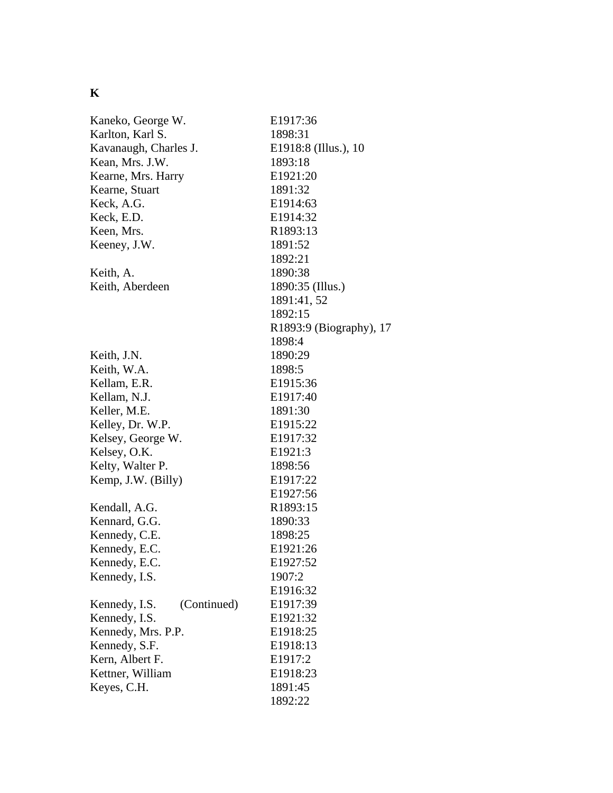# **K**

| Kaneko, George W.            | E1917:36                |
|------------------------------|-------------------------|
| Karlton, Karl S.             | 1898:31                 |
| Kavanaugh, Charles J.        | E1918:8 (Illus.), 10    |
| Kean, Mrs. J.W.              | 1893:18                 |
| Kearne, Mrs. Harry           | E1921:20                |
| Kearne, Stuart               | 1891:32                 |
| Keck, A.G.                   | E1914:63                |
| Keck, E.D.                   | E1914:32                |
| Keen, Mrs.                   | R1893:13                |
| Keeney, J.W.                 | 1891:52                 |
|                              | 1892:21                 |
| Keith, A.                    | 1890:38                 |
| Keith, Aberdeen              | 1890:35 (Illus.)        |
|                              | 1891:41, 52             |
|                              | 1892:15                 |
|                              | R1893:9 (Biography), 17 |
|                              | 1898:4                  |
| Keith, J.N.                  | 1890:29                 |
| Keith, W.A.                  | 1898:5                  |
| Kellam, E.R.                 | E1915:36                |
| Kellam, N.J.                 | E1917:40                |
| Keller, M.E.                 | 1891:30                 |
| Kelley, Dr. W.P.             | E <sub>1915:22</sub>    |
| Kelsey, George W.            | E1917:32                |
| Kelsey, O.K.                 | E1921:3                 |
| Kelty, Walter P.             | 1898:56                 |
| Kemp, J.W. (Billy)           | E1917:22                |
|                              | E1927:56                |
| Kendall, A.G.                | R1893:15                |
| Kennard, G.G.                | 1890:33                 |
| Kennedy, C.E.                | 1898:25                 |
| Kennedy, E.C.                | E1921:26                |
| Kennedy, E.C.                | E1927:52                |
| Kennedy, I.S.                | 1907:2                  |
|                              | E1916:32                |
| (Continued)<br>Kennedy, I.S. | E1917:39                |
| Kennedy, I.S.                | E1921:32                |
| Kennedy, Mrs. P.P.           | E1918:25                |
| Kennedy, S.F.                | E1918:13                |
| Kern, Albert F.              | E1917:2                 |
| Kettner, William             | E1918:23                |
| Keyes, C.H.                  | 1891:45                 |
|                              | 1892:22                 |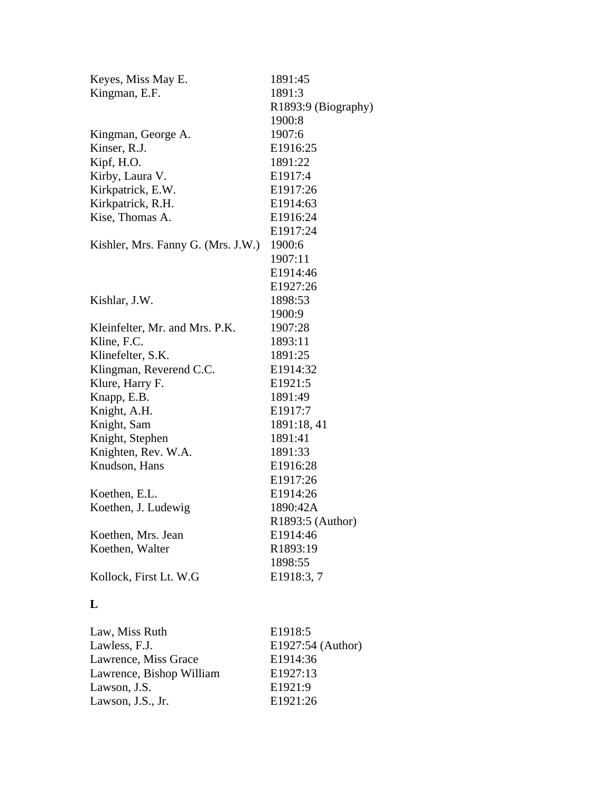| Keyes, Miss May E.                 | 1891:45             |
|------------------------------------|---------------------|
| Kingman, E.F.                      | 1891:3              |
|                                    | R1893:9 (Biography) |
|                                    | 1900:8              |
| Kingman, George A.                 | 1907:6              |
| Kinser, R.J.                       | E1916:25            |
| Kipf, H.O.                         | 1891:22             |
| Kirby, Laura V.                    | E1917:4             |
| Kirkpatrick, E.W.                  | E1917:26            |
| Kirkpatrick, R.H.                  | E1914:63            |
| Kise, Thomas A.                    | E1916:24            |
|                                    | E1917:24            |
| Kishler, Mrs. Fanny G. (Mrs. J.W.) | 1900:6              |
|                                    | 1907:11             |
|                                    | E1914:46            |
|                                    | E1927:26            |
| Kishlar, J.W.                      | 1898:53             |
|                                    | 1900:9              |
| Kleinfelter, Mr. and Mrs. P.K.     | 1907:28             |
| Kline, F.C.                        | 1893:11             |
| Klinefelter, S.K.                  | 1891:25             |
| Klingman, Reverend C.C.            | E1914:32            |
| Klure, Harry F.                    | E1921:5             |
| Knapp, E.B.                        | 1891:49             |
| Knight, A.H.                       | E1917:7             |
| Knight, Sam                        | 1891:18, 41         |
| Knight, Stephen                    | 1891:41             |
| Knighten, Rev. W.A.                | 1891:33             |
| Knudson, Hans                      | E1916:28            |
|                                    | E1917:26            |
| Koethen, E.L.                      | E1914:26            |
| Koethen, J. Ludewig                | 1890:42A            |
|                                    | R1893:5 (Author)    |
| Koethen, Mrs. Jean                 | E1914:46            |
| Koethen, Walter                    | R1893:19            |
|                                    | 1898:55             |
| Kollock, First Lt. W.G             | E1918:3, 7          |
|                                    |                     |
| L                                  |                     |
|                                    |                     |
| Law, Miss Ruth                     | E <sub>1918:5</sub> |
| Lawless, F.J.                      | E1927:54 (Author)   |
| Lawrence, Miss Grace               | E1914:36            |
| Lawrence, Bishop William           | E1927:13            |
| Lawson, J.S.                       | E1921:9             |
| Lawson, J.S., Jr.                  | E1921:26            |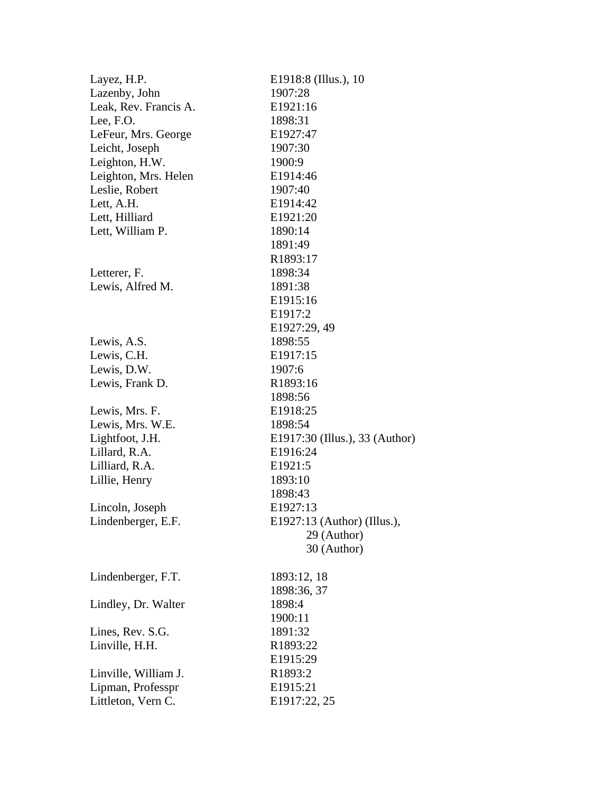| Layez, H.P.           | E1918:8 (Illus.), 10           |
|-----------------------|--------------------------------|
| Lazenby, John         | 1907:28                        |
| Leak, Rev. Francis A. | E1921:16                       |
| Lee, F.O.             | 1898:31                        |
| LeFeur, Mrs. George   | E1927:47                       |
| Leicht, Joseph        | 1907:30                        |
| Leighton, H.W.        | 1900:9                         |
| Leighton, Mrs. Helen  | E1914:46                       |
| Leslie, Robert        | 1907:40                        |
| Lett, A.H.            | E1914:42                       |
| Lett, Hilliard        | E1921:20                       |
| Lett, William P.      | 1890:14                        |
|                       | 1891:49                        |
|                       | R1893:17                       |
| Letterer, F.          | 1898:34                        |
| Lewis, Alfred M.      | 1891:38                        |
|                       | E1915:16                       |
|                       | E1917:2                        |
|                       | E1927:29, 49                   |
| Lewis, A.S.           | 1898:55                        |
| Lewis, C.H.           | E1917:15                       |
| Lewis, D.W.           | 1907:6                         |
| Lewis, Frank D.       | R1893:16                       |
|                       | 1898:56                        |
| Lewis, Mrs. F.        | E1918:25                       |
| Lewis, Mrs. W.E.      | 1898:54                        |
| Lightfoot, J.H.       | E1917:30 (Illus.), 33 (Author) |
| Lillard, R.A.         | E1916:24                       |
| Lilliard, R.A.        | E <sub>1921:5</sub>            |
| Lillie, Henry         | 1893:10                        |
|                       | 1898:43                        |
| Lincoln, Joseph       | E1927:13                       |
| Lindenberger, E.F.    | E1927:13 (Author) (Illus.),    |
|                       | 29 (Author)                    |
|                       | 30 (Author)                    |
| Lindenberger, F.T.    | 1893:12, 18                    |
|                       | 1898:36, 37                    |
| Lindley, Dr. Walter   | 1898:4                         |
|                       | 1900:11                        |
| Lines, Rev. S.G.      | 1891:32                        |
| Linville, H.H.        | R1893:22                       |
|                       | E1915:29                       |
| Linville, William J.  | R1893:2                        |
| Lipman, Professpr     | E1915:21                       |
| Littleton, Vern C.    | E1917:22, 25                   |
|                       |                                |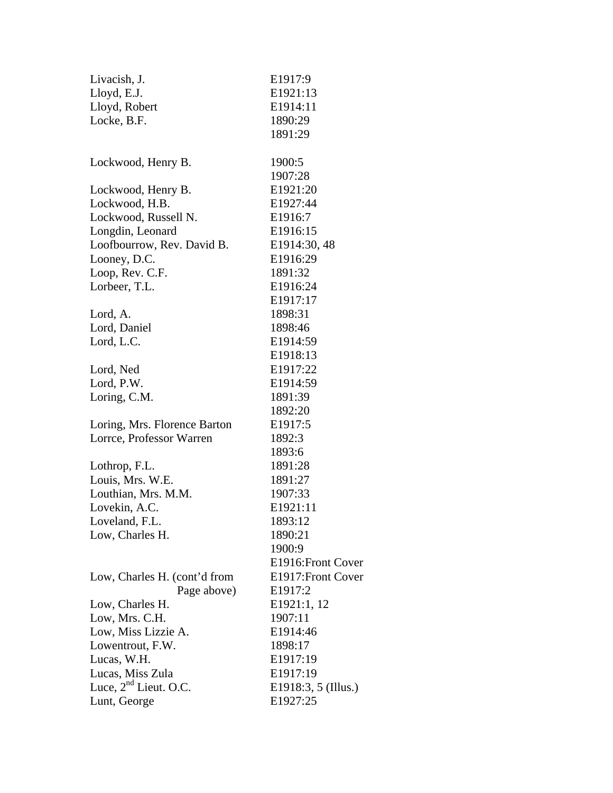| Livacish, J.                      | E1917:9             |
|-----------------------------------|---------------------|
| Lloyd, E.J.                       | E1921:13            |
| Lloyd, Robert                     | E1914:11            |
| Locke, B.F.                       | 1890:29             |
|                                   | 1891:29             |
| Lockwood, Henry B.                | 1900:5              |
|                                   | 1907:28             |
| Lockwood, Henry B.                | E1921:20            |
| Lockwood, H.B.                    | E1927:44            |
| Lockwood, Russell N.              | E1916:7             |
| Longdin, Leonard                  | E1916:15            |
| Loofbourrow, Rev. David B.        | E1914:30, 48        |
| Looney, D.C.                      | E1916:29            |
| Loop, Rev. C.F.                   | 1891:32             |
| Lorbeer, T.L.                     | E1916:24            |
|                                   | E1917:17            |
| Lord, A.                          | 1898:31             |
| Lord, Daniel                      | 1898:46             |
| Lord, L.C.                        | E1914:59            |
|                                   | E1918:13            |
| Lord, Ned                         | E1917:22            |
| Lord, P.W.                        | E1914:59            |
| Loring, C.M.                      | 1891:39             |
|                                   | 1892:20             |
| Loring, Mrs. Florence Barton      | E <sub>1917:5</sub> |
| Lorrce, Professor Warren          | 1892:3              |
|                                   | 1893:6              |
| Lothrop, F.L.                     | 1891:28             |
| Louis, Mrs. W.E.                  | 1891:27             |
| Louthian, Mrs. M.M.               | 1907:33             |
| Lovekin, A.C.                     | E1921:11            |
| Loveland, F.L.                    | 1893:12             |
| Low, Charles H.                   | 1890:21             |
|                                   | 1900:9              |
|                                   | E1916: Front Cover  |
| Low, Charles H. (cont'd from      | E1917: Front Cover  |
| Page above)                       | E1917:2             |
| Low, Charles H.                   | E1921:1, 12         |
| Low, Mrs. C.H.                    | 1907:11             |
| Low, Miss Lizzie A.               | E1914:46            |
| Lowentrout, F.W.                  | 1898:17             |
| Lucas, W.H.                       | E1917:19            |
| Lucas, Miss Zula                  | E1917:19            |
| Luce, 2 <sup>nd</sup> Lieut. O.C. | E1918:3, 5 (Illus.) |
| Lunt, George                      | E1927:25            |
|                                   |                     |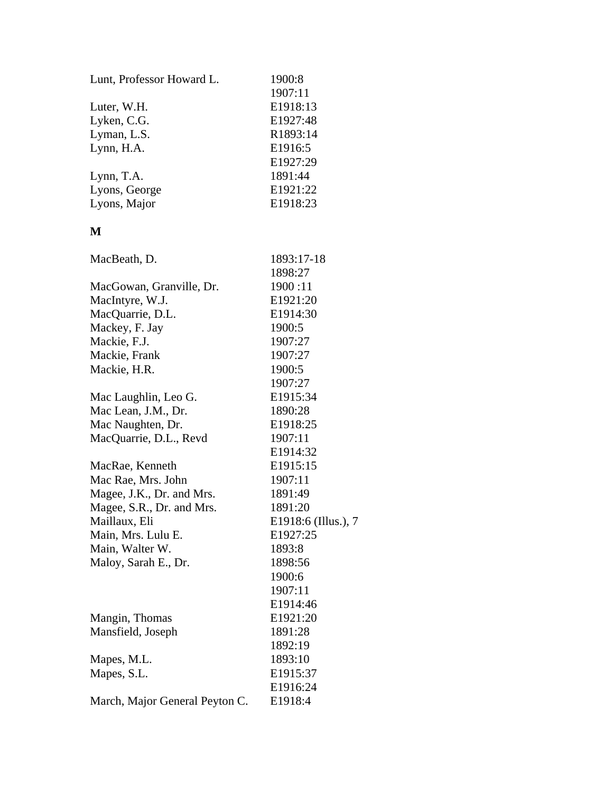| Lunt, Professor Howard L. | 1900:8   |
|---------------------------|----------|
|                           | 1907:11  |
| Luter, W.H.               | E1918:13 |
| Lyken, C.G.               | E1927:48 |
| Lyman, L.S.               | R1893:14 |
| Lynn, H.A.                | E1916:5  |
|                           | E1927:29 |
| Lynn, T.A.                | 1891:44  |
| Lyons, George             | E1921:22 |
| Lyons, Major              | E1918:23 |

## **M**

| MacBeath, D.                   | 1893:17-18          |
|--------------------------------|---------------------|
|                                | 1898:27             |
| MacGowan, Granville, Dr.       | 1900:11             |
| MacIntyre, W.J.                | E1921:20            |
| MacQuarrie, D.L.               | E1914:30            |
| Mackey, F. Jay                 | 1900:5              |
| Mackie, F.J.                   | 1907:27             |
| Mackie, Frank                  | 1907:27             |
| Mackie, H.R.                   | 1900:5              |
|                                | 1907:27             |
| Mac Laughlin, Leo G.           | E1915:34            |
| Mac Lean, J.M., Dr.            | 1890:28             |
| Mac Naughten, Dr.              | E1918:25            |
| MacQuarrie, D.L., Revd         | 1907:11             |
|                                | E1914:32            |
| MacRae, Kenneth                | E1915:15            |
| Mac Rae, Mrs. John             | 1907:11             |
| Magee, J.K., Dr. and Mrs.      | 1891:49             |
| Magee, S.R., Dr. and Mrs.      | 1891:20             |
| Maillaux, Eli                  | E1918:6 (Illus.), 7 |
| Main, Mrs. Lulu E.             | E1927:25            |
| Main, Walter W.                | 1893:8              |
| Maloy, Sarah E., Dr.           | 1898:56             |
|                                | 1900:6              |
|                                | 1907:11             |
|                                | E1914:46            |
| Mangin, Thomas                 | E1921:20            |
| Mansfield, Joseph              | 1891:28             |
|                                | 1892:19             |
| Mapes, M.L.                    | 1893:10             |
| Mapes, S.L.                    | E1915:37            |
|                                | E1916:24            |
| March, Major General Peyton C. | E1918:4             |
|                                |                     |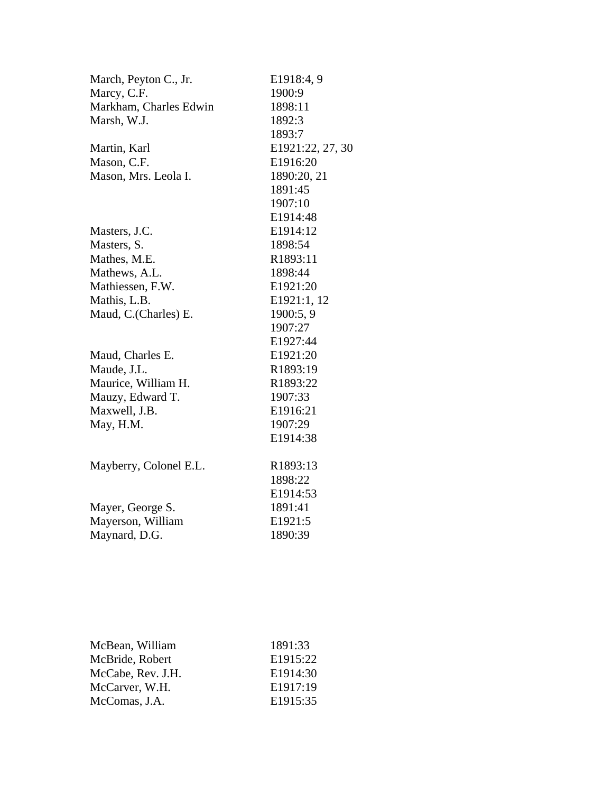| March, Peyton C., Jr.  | E1918:4, 9       |
|------------------------|------------------|
| Marcy, C.F.            | 1900:9           |
| Markham, Charles Edwin | 1898:11          |
| Marsh, W.J.            | 1892:3           |
|                        | 1893:7           |
| Martin, Karl           | E1921:22, 27, 30 |
| Mason, C.F.            | E1916:20         |
| Mason, Mrs. Leola I.   | 1890:20, 21      |
|                        | 1891:45          |
|                        | 1907:10          |
|                        | E1914:48         |
| Masters, J.C.          | E1914:12         |
| Masters, S.            | 1898:54          |
| Mathes, M.E.           | R1893:11         |
| Mathews, A.L.          | 1898:44          |
| Mathiessen, F.W.       | E1921:20         |
| Mathis, L.B.           | E1921:1, 12      |
| Maud, C.(Charles) E.   | 1900:5, 9        |
|                        | 1907:27          |
|                        | E1927:44         |
| Maud, Charles E.       | E1921:20         |
| Maude, J.L.            | R1893:19         |
| Maurice, William H.    | R1893:22         |
| Mauzy, Edward T.       | 1907:33          |
| Maxwell, J.B.          | E1916:21         |
| May, H.M.              | 1907:29          |
|                        | E1914:38         |
| Mayberry, Colonel E.L. | R1893:13         |
|                        | 1898:22          |
|                        | E1914:53         |
| Mayer, George S.       | 1891:41          |
| Mayerson, William      | E1921:5          |
| Maynard, D.G.          | 1890:39          |

| 1891:33  |
|----------|
| E1915:22 |
| E1914:30 |
| E1917:19 |
| E1915:35 |
|          |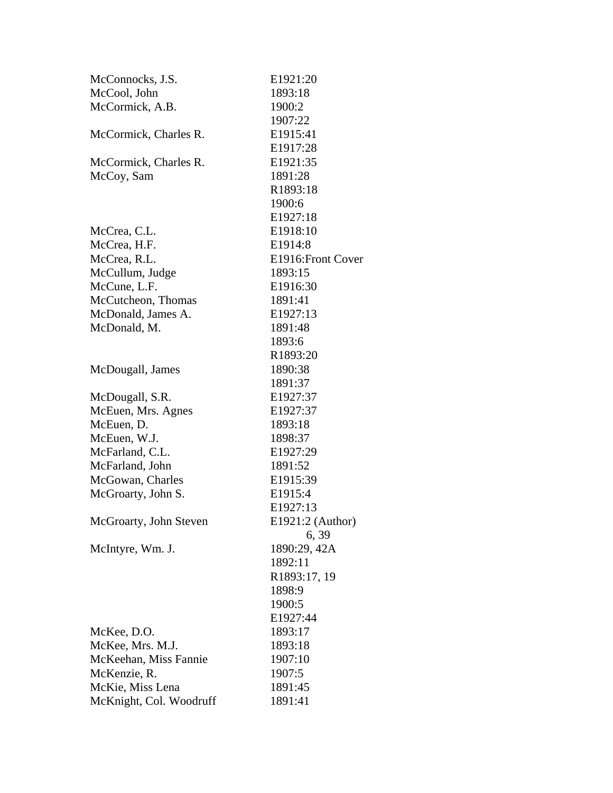| McConnocks, J.S.        | E1921:20           |
|-------------------------|--------------------|
| McCool, John            | 1893:18            |
| McCormick, A.B.         | 1900:2             |
|                         | 1907:22            |
| McCormick, Charles R.   | E1915:41           |
|                         | E1917:28           |
| McCormick, Charles R.   | E1921:35           |
| McCoy, Sam              | 1891:28            |
|                         | R1893:18           |
|                         | 1900:6             |
|                         | E1927:18           |
| McCrea, C.L.            | E1918:10           |
| McCrea, H.F.            | E1914:8            |
| McCrea, R.L.            | E1916: Front Cover |
| McCullum, Judge         | 1893:15            |
| McCune, L.F.            | E1916:30           |
| McCutcheon, Thomas      | 1891:41            |
| McDonald, James A.      | E1927:13           |
| McDonald, M.            | 1891:48            |
|                         | 1893:6             |
|                         | R1893:20           |
| McDougall, James        | 1890:38            |
|                         | 1891:37            |
| McDougall, S.R.         | E1927:37           |
| McEuen, Mrs. Agnes      | E1927:37           |
| McEuen, D.              | 1893:18            |
| McEuen, W.J.            | 1898:37            |
| McFarland, C.L.         | E1927:29           |
| McFarland, John         | 1891:52            |
| McGowan, Charles        | E1915:39           |
| McGroarty, John S.      | E1915:4            |
|                         | E1927:13           |
| McGroarty, John Steven  | E1921:2 (Author)   |
|                         | 6, 39              |
| McIntyre, Wm. J.        | 1890:29, 42A       |
|                         | 1892:11            |
|                         | R1893:17, 19       |
|                         | 1898:9             |
|                         | 1900:5             |
|                         | E1927:44           |
| McKee, D.O.             | 1893:17            |
| McKee, Mrs. M.J.        | 1893:18            |
| McKeehan, Miss Fannie   | 1907:10            |
| McKenzie, R.            | 1907:5             |
| McKie, Miss Lena        | 1891:45            |
| McKnight, Col. Woodruff | 1891:41            |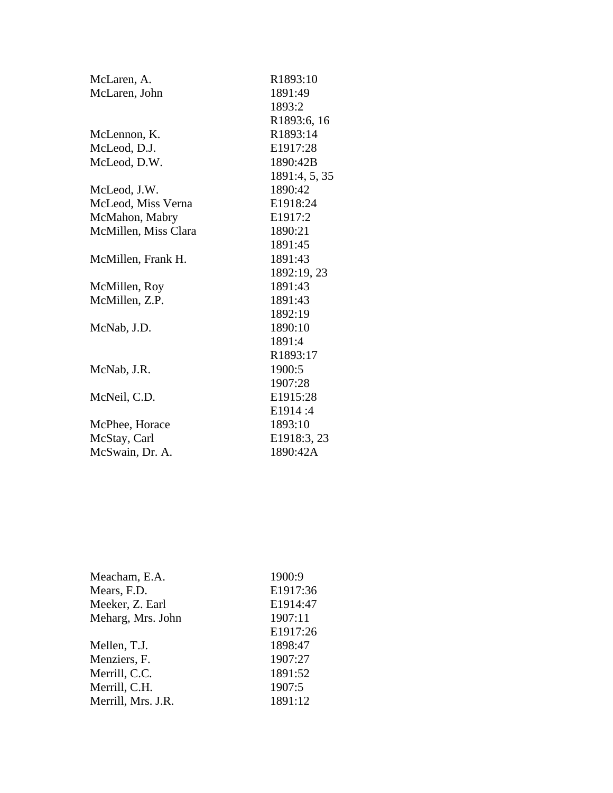| McLaren, A.          | R1893:10      |
|----------------------|---------------|
| McLaren, John        | 1891:49       |
|                      | 1893:2        |
|                      | R1893:6, 16   |
| McLennon, K.         | R1893:14      |
| McLeod, D.J.         | E1917:28      |
| McLeod, D.W.         | 1890:42B      |
|                      | 1891:4, 5, 35 |
| McLeod, J.W.         | 1890:42       |
| McLeod, Miss Verna   | E1918:24      |
| McMahon, Mabry       | E1917:2       |
| McMillen, Miss Clara | 1890:21       |
|                      | 1891:45       |
| McMillen, Frank H.   | 1891:43       |
|                      | 1892:19, 23   |
| McMillen, Roy        | 1891:43       |
| McMillen, Z.P.       | 1891:43       |
|                      | 1892:19       |
| McNab, J.D.          | 1890:10       |
|                      | 1891:4        |
|                      | R1893:17      |
| McNab, J.R.          | 1900:5        |
|                      | 1907:28       |
| McNeil, C.D.         | E1915:28      |
|                      | E1914:4       |
| McPhee, Horace       | 1893:10       |
| McStay, Carl         | E1918:3, 23   |
| McSwain, Dr. A.      | 1890:42A      |

| Meacham, E.A.      | 1900:9   |
|--------------------|----------|
| Mears, F.D.        | E1917:36 |
| Meeker, Z. Earl    | E1914:47 |
| Meharg, Mrs. John  | 1907:11  |
|                    | E1917:26 |
| Mellen, T.J.       | 1898:47  |
| Menziers, F.       | 1907:27  |
| Merrill, C.C.      | 1891:52  |
| Merrill, C.H.      | 1907:5   |
| Merrill, Mrs. J.R. | 1891:12  |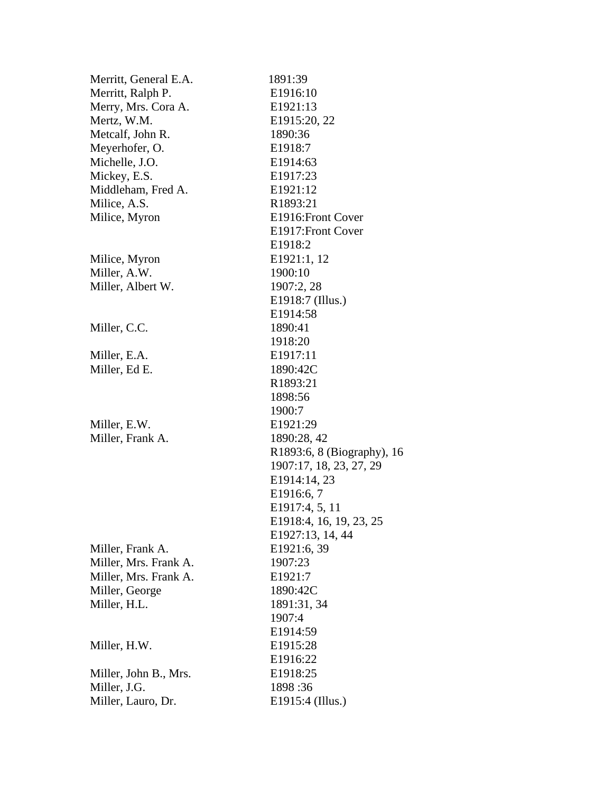| Merritt, General E.A. | 1891:39                    |
|-----------------------|----------------------------|
| Merritt, Ralph P.     | E1916:10                   |
| Merry, Mrs. Cora A.   | E1921:13                   |
| Mertz, W.M.           | E1915:20, 22               |
| Metcalf, John R.      | 1890:36                    |
| Meyerhofer, O.        | E <sub>1918:7</sub>        |
| Michelle, J.O.        | E1914:63                   |
| Mickey, E.S.          | E1917:23                   |
| Middleham, Fred A.    | E1921:12                   |
| Milice, A.S.          | R1893:21                   |
| Milice, Myron         | E1916: Front Cover         |
|                       | E1917: Front Cover         |
|                       | E1918:2                    |
| Milice, Myron         | E1921:1, 12                |
| Miller, A.W.          | 1900:10                    |
| Miller, Albert W.     | 1907:2, 28                 |
|                       | E1918:7 (Illus.)           |
|                       | E1914:58                   |
| Miller, C.C.          | 1890:41                    |
|                       | 1918:20                    |
| Miller, E.A.          | E1917:11                   |
| Miller, Ed E.         | 1890:42C                   |
|                       | R1893:21                   |
|                       | 1898:56                    |
|                       | 1900:7                     |
| Miller, E.W.          | E1921:29                   |
| Miller, Frank A.      | 1890:28, 42                |
|                       | R1893:6, 8 (Biography), 16 |
|                       | 1907:17, 18, 23, 27, 29    |
|                       | E1914:14, 23               |
|                       | E1916:6, 7                 |
|                       | E1917:4, 5, 11             |
|                       | E1918:4, 16, 19, 23, 25    |
|                       | E1927:13, 14, 44           |
| Miller, Frank A.      | E1921:6, 39                |
| Miller, Mrs. Frank A. | 1907:23                    |
| Miller, Mrs. Frank A. | E1921:7                    |
| Miller, George        | 1890:42C                   |
| Miller, H.L.          | 1891:31, 34                |
|                       | 1907:4                     |
|                       | E1914:59                   |
| Miller, H.W.          | E1915:28                   |
|                       | E1916:22                   |
| Miller, John B., Mrs. | E1918:25                   |
| Miller, J.G.          | 1898:36                    |
| Miller, Lauro, Dr.    | E1915:4 (Illus.)           |
|                       |                            |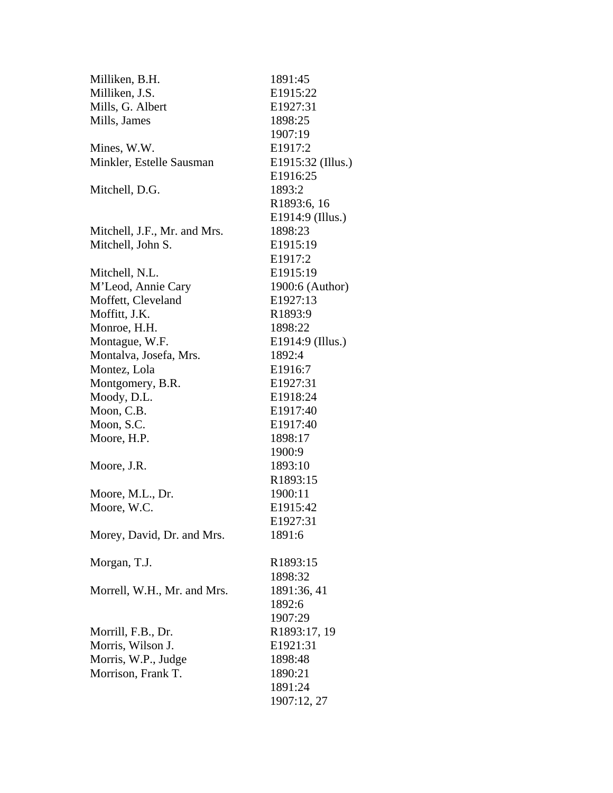| Milliken, B.H.               | 1891:45               |
|------------------------------|-----------------------|
| Milliken, J.S.               | E1915:22              |
| Mills, G. Albert             | E1927:31              |
| Mills, James                 | 1898:25               |
|                              | 1907:19               |
| Mines, W.W.                  | E1917:2               |
| Minkler, Estelle Sausman     | E1915:32 (Illus.)     |
|                              | E1916:25              |
| Mitchell, D.G.               | 1893:2                |
|                              | R1893:6, 16           |
|                              | E1914:9 (Illus.)      |
| Mitchell, J.F., Mr. and Mrs. | 1898:23               |
| Mitchell, John S.            | E1915:19              |
|                              | E1917:2               |
| Mitchell, N.L.               | E1915:19              |
| M'Leod, Annie Cary           | 1900:6 (Author)       |
| Moffett, Cleveland           | E1927:13              |
| Moffitt, J.K.                | R1893:9               |
| Monroe, H.H.                 | 1898:22               |
| Montague, W.F.               | E1914:9 (Illus.)      |
| Montalva, Josefa, Mrs.       | 1892:4                |
| Montez, Lola                 | E1916:7               |
| Montgomery, B.R.             | E1927:31              |
| Moody, D.L.                  | E1918:24              |
| Moon, C.B.                   | E1917:40              |
| Moon, S.C.                   | E1917:40              |
| Moore, H.P.                  | 1898:17               |
|                              | 1900:9                |
| Moore, J.R.                  | 1893:10               |
|                              | R <sub>1893</sub> :15 |
| Moore, M.L., Dr.             | 1900:11               |
| Moore, W.C.                  | E1915:42              |
|                              | E1927:31              |
| Morey, David, Dr. and Mrs.   | 1891:6                |
|                              |                       |
| Morgan, T.J.                 | R <sub>1893</sub> :15 |
|                              | 1898:32               |
| Morrell, W.H., Mr. and Mrs.  | 1891:36, 41           |
|                              | 1892:6                |
|                              | 1907:29               |
| Morrill, F.B., Dr.           | R1893:17, 19          |
| Morris, Wilson J.            | E1921:31              |
| Morris, W.P., Judge          | 1898:48               |
| Morrison, Frank T.           | 1890:21               |
|                              | 1891:24               |
|                              | 1907:12, 27           |
|                              |                       |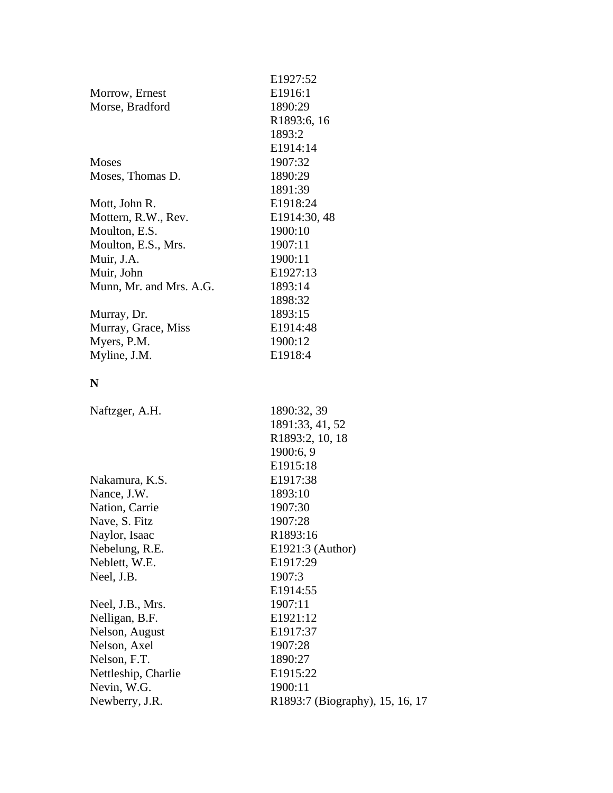| E1927:52<br>E1916:1<br>Morrow, Ernest<br>Morse, Bradford<br>1890:29<br>R1893:6, 16<br>1893:2<br>E1914:14<br>1907:32<br><b>Moses</b><br>Moses, Thomas D.<br>1890:29<br>1891:39<br>E1918:24<br>Mott, John R.<br>E1914:30, 48<br>Mottern, R.W., Rev.<br>Moulton, E.S.<br>1900:10<br>Moulton, E.S., Mrs.<br>1907:11<br>Muir, J.A.<br>1900:11<br>Muir, John<br>E1927:13<br>Munn, Mr. and Mrs. A.G.<br>1893:14<br>1898:32<br>Murray, Dr.<br>1893:15<br>Murray, Grace, Miss<br>E1914:48<br>Myers, P.M.<br>1900:12<br>Myline, J.M.<br>E1918:4<br>N<br>1890:32, 39<br>Naftzger, A.H.<br>1891:33, 41, 52<br>R1893:2, 10, 18<br>1900:6, 9<br>E1915:18<br>E1917:38<br>Nakamura, K.S.<br>Nance, J.W.<br>1893:10<br>Nation, Carrie<br>1907:30<br>Nave, S. Fitz<br>1907:28<br>R1893:16<br>Naylor, Isaac<br>Nebelung, R.E.<br>E1921:3 (Author)<br>Neblett, W.E.<br>E1917:29<br>1907:3<br>Neel, J.B.<br>E1914:55<br>1907:11<br>Neel, J.B., Mrs.<br>Nelligan, B.F.<br>E1921:12<br>E1917:37<br>Nelson, August<br>Nelson, Axel<br>1907:28 |
|-----------------------------------------------------------------------------------------------------------------------------------------------------------------------------------------------------------------------------------------------------------------------------------------------------------------------------------------------------------------------------------------------------------------------------------------------------------------------------------------------------------------------------------------------------------------------------------------------------------------------------------------------------------------------------------------------------------------------------------------------------------------------------------------------------------------------------------------------------------------------------------------------------------------------------------------------------------------------------------------------------------------------|
|                                                                                                                                                                                                                                                                                                                                                                                                                                                                                                                                                                                                                                                                                                                                                                                                                                                                                                                                                                                                                       |
|                                                                                                                                                                                                                                                                                                                                                                                                                                                                                                                                                                                                                                                                                                                                                                                                                                                                                                                                                                                                                       |
|                                                                                                                                                                                                                                                                                                                                                                                                                                                                                                                                                                                                                                                                                                                                                                                                                                                                                                                                                                                                                       |
|                                                                                                                                                                                                                                                                                                                                                                                                                                                                                                                                                                                                                                                                                                                                                                                                                                                                                                                                                                                                                       |
|                                                                                                                                                                                                                                                                                                                                                                                                                                                                                                                                                                                                                                                                                                                                                                                                                                                                                                                                                                                                                       |
|                                                                                                                                                                                                                                                                                                                                                                                                                                                                                                                                                                                                                                                                                                                                                                                                                                                                                                                                                                                                                       |
|                                                                                                                                                                                                                                                                                                                                                                                                                                                                                                                                                                                                                                                                                                                                                                                                                                                                                                                                                                                                                       |
|                                                                                                                                                                                                                                                                                                                                                                                                                                                                                                                                                                                                                                                                                                                                                                                                                                                                                                                                                                                                                       |
|                                                                                                                                                                                                                                                                                                                                                                                                                                                                                                                                                                                                                                                                                                                                                                                                                                                                                                                                                                                                                       |
|                                                                                                                                                                                                                                                                                                                                                                                                                                                                                                                                                                                                                                                                                                                                                                                                                                                                                                                                                                                                                       |
|                                                                                                                                                                                                                                                                                                                                                                                                                                                                                                                                                                                                                                                                                                                                                                                                                                                                                                                                                                                                                       |
|                                                                                                                                                                                                                                                                                                                                                                                                                                                                                                                                                                                                                                                                                                                                                                                                                                                                                                                                                                                                                       |
|                                                                                                                                                                                                                                                                                                                                                                                                                                                                                                                                                                                                                                                                                                                                                                                                                                                                                                                                                                                                                       |
|                                                                                                                                                                                                                                                                                                                                                                                                                                                                                                                                                                                                                                                                                                                                                                                                                                                                                                                                                                                                                       |
|                                                                                                                                                                                                                                                                                                                                                                                                                                                                                                                                                                                                                                                                                                                                                                                                                                                                                                                                                                                                                       |
|                                                                                                                                                                                                                                                                                                                                                                                                                                                                                                                                                                                                                                                                                                                                                                                                                                                                                                                                                                                                                       |
|                                                                                                                                                                                                                                                                                                                                                                                                                                                                                                                                                                                                                                                                                                                                                                                                                                                                                                                                                                                                                       |
|                                                                                                                                                                                                                                                                                                                                                                                                                                                                                                                                                                                                                                                                                                                                                                                                                                                                                                                                                                                                                       |
|                                                                                                                                                                                                                                                                                                                                                                                                                                                                                                                                                                                                                                                                                                                                                                                                                                                                                                                                                                                                                       |
|                                                                                                                                                                                                                                                                                                                                                                                                                                                                                                                                                                                                                                                                                                                                                                                                                                                                                                                                                                                                                       |
|                                                                                                                                                                                                                                                                                                                                                                                                                                                                                                                                                                                                                                                                                                                                                                                                                                                                                                                                                                                                                       |
|                                                                                                                                                                                                                                                                                                                                                                                                                                                                                                                                                                                                                                                                                                                                                                                                                                                                                                                                                                                                                       |
|                                                                                                                                                                                                                                                                                                                                                                                                                                                                                                                                                                                                                                                                                                                                                                                                                                                                                                                                                                                                                       |
|                                                                                                                                                                                                                                                                                                                                                                                                                                                                                                                                                                                                                                                                                                                                                                                                                                                                                                                                                                                                                       |
|                                                                                                                                                                                                                                                                                                                                                                                                                                                                                                                                                                                                                                                                                                                                                                                                                                                                                                                                                                                                                       |
|                                                                                                                                                                                                                                                                                                                                                                                                                                                                                                                                                                                                                                                                                                                                                                                                                                                                                                                                                                                                                       |
|                                                                                                                                                                                                                                                                                                                                                                                                                                                                                                                                                                                                                                                                                                                                                                                                                                                                                                                                                                                                                       |
|                                                                                                                                                                                                                                                                                                                                                                                                                                                                                                                                                                                                                                                                                                                                                                                                                                                                                                                                                                                                                       |
|                                                                                                                                                                                                                                                                                                                                                                                                                                                                                                                                                                                                                                                                                                                                                                                                                                                                                                                                                                                                                       |
|                                                                                                                                                                                                                                                                                                                                                                                                                                                                                                                                                                                                                                                                                                                                                                                                                                                                                                                                                                                                                       |
|                                                                                                                                                                                                                                                                                                                                                                                                                                                                                                                                                                                                                                                                                                                                                                                                                                                                                                                                                                                                                       |
|                                                                                                                                                                                                                                                                                                                                                                                                                                                                                                                                                                                                                                                                                                                                                                                                                                                                                                                                                                                                                       |
|                                                                                                                                                                                                                                                                                                                                                                                                                                                                                                                                                                                                                                                                                                                                                                                                                                                                                                                                                                                                                       |
|                                                                                                                                                                                                                                                                                                                                                                                                                                                                                                                                                                                                                                                                                                                                                                                                                                                                                                                                                                                                                       |
|                                                                                                                                                                                                                                                                                                                                                                                                                                                                                                                                                                                                                                                                                                                                                                                                                                                                                                                                                                                                                       |
|                                                                                                                                                                                                                                                                                                                                                                                                                                                                                                                                                                                                                                                                                                                                                                                                                                                                                                                                                                                                                       |
|                                                                                                                                                                                                                                                                                                                                                                                                                                                                                                                                                                                                                                                                                                                                                                                                                                                                                                                                                                                                                       |
|                                                                                                                                                                                                                                                                                                                                                                                                                                                                                                                                                                                                                                                                                                                                                                                                                                                                                                                                                                                                                       |
|                                                                                                                                                                                                                                                                                                                                                                                                                                                                                                                                                                                                                                                                                                                                                                                                                                                                                                                                                                                                                       |
|                                                                                                                                                                                                                                                                                                                                                                                                                                                                                                                                                                                                                                                                                                                                                                                                                                                                                                                                                                                                                       |
|                                                                                                                                                                                                                                                                                                                                                                                                                                                                                                                                                                                                                                                                                                                                                                                                                                                                                                                                                                                                                       |
| Nelson, F.T.<br>1890:27                                                                                                                                                                                                                                                                                                                                                                                                                                                                                                                                                                                                                                                                                                                                                                                                                                                                                                                                                                                               |
| Nettleship, Charlie<br>E1915:22                                                                                                                                                                                                                                                                                                                                                                                                                                                                                                                                                                                                                                                                                                                                                                                                                                                                                                                                                                                       |
| Nevin, W.G.<br>1900:11                                                                                                                                                                                                                                                                                                                                                                                                                                                                                                                                                                                                                                                                                                                                                                                                                                                                                                                                                                                                |
| Newberry, J.R.<br>R1893:7 (Biography), 15, 16, 17                                                                                                                                                                                                                                                                                                                                                                                                                                                                                                                                                                                                                                                                                                                                                                                                                                                                                                                                                                     |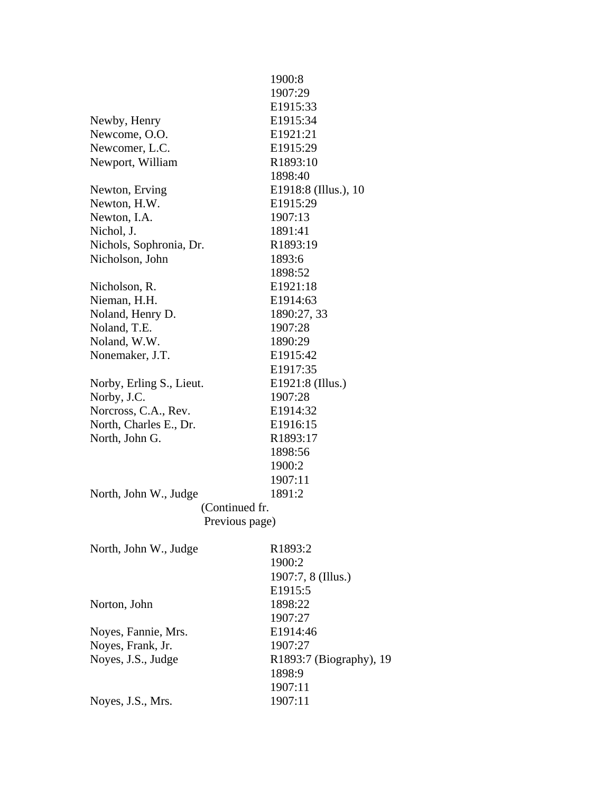|                          | 1900:8                  |
|--------------------------|-------------------------|
|                          | 1907:29                 |
|                          | E1915:33                |
| Newby, Henry             | E1915:34                |
| Newcome, O.O.            | E1921:21                |
| Newcomer, L.C.           | E1915:29                |
| Newport, William         | R1893:10                |
|                          | 1898:40                 |
| Newton, Erving           | E1918:8 (Illus.), 10    |
| Newton, H.W.             | E1915:29                |
| Newton, I.A.             | 1907:13                 |
| Nichol, J.               | 1891:41                 |
| Nichols, Sophronia, Dr.  | R1893:19                |
| Nicholson, John          | 1893:6                  |
|                          | 1898:52                 |
| Nicholson, R.            | E1921:18                |
| Nieman, H.H.             | E1914:63                |
| Noland, Henry D.         | 1890:27, 33             |
| Noland, T.E.             | 1907:28                 |
| Noland, W.W.             | 1890:29                 |
| Nonemaker, J.T.          | E1915:42                |
|                          | E1917:35                |
| Norby, Erling S., Lieut. | E1921:8 (Illus.)        |
| Norby, J.C.              | 1907:28                 |
| Norcross, C.A., Rev.     | E1914:32                |
| North, Charles E., Dr.   | E1916:15                |
| North, John G.           | R1893:17                |
|                          | 1898:56                 |
|                          | 1900:2                  |
|                          | 1907:11                 |
| North, John W., Judge    | 1891:2                  |
| (Continued fr.           |                         |
| Previous page)           |                         |
|                          |                         |
| North, John W., Judge    | R1893:2                 |
|                          | 1900:2                  |
|                          | 1907:7, 8 (Illus.)      |
|                          | E1915:5                 |
| Norton, John             | 1898:22                 |
|                          | 1907:27                 |
| Noyes, Fannie, Mrs.      | E1914:46                |
| Noyes, Frank, Jr.        | 1907:27                 |
| Noyes, J.S., Judge       | R1893:7 (Biography), 19 |
|                          | 1898:9                  |
|                          | 1907:11                 |
| Noyes, J.S., Mrs.        | 1907:11                 |
|                          |                         |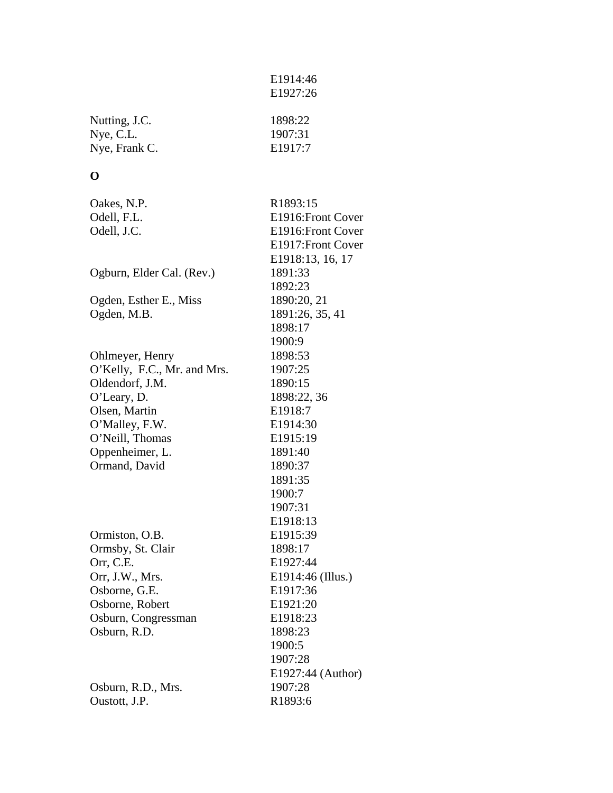| Nutting, J.C. | 1898:22 |
|---------------|---------|
| Nye, C.L.     | 1907:31 |
| Nye, Frank C. | E1917:7 |

 E1914:46 E1927:26

## **O**

| R1893:15           |
|--------------------|
| E1916: Front Cover |
| E1916: Front Cover |
| E1917: Front Cover |
| E1918:13, 16, 17   |
| 1891:33            |
| 1892:23            |
| 1890:20, 21        |
| 1891:26, 35, 41    |
| 1898:17            |
| 1900:9             |
| 1898:53            |
| 1907:25            |
| 1890:15            |
| 1898:22, 36        |
| E1918:7            |
| E1914:30           |
| E1915:19           |
| 1891:40            |
| 1890:37            |
| 1891:35            |
| 1900:7             |
| 1907:31            |
| E1918:13           |
| E1915:39           |
| 1898:17            |
| E1927:44           |
| E1914:46 (Illus.)  |
| E1917:36           |
| E1921:20           |
| E1918:23           |
| 1898:23            |
| 1900:5             |
| 1907:28            |
| E1927:44 (Author)  |
| 1907:28            |
| R1893:6            |
|                    |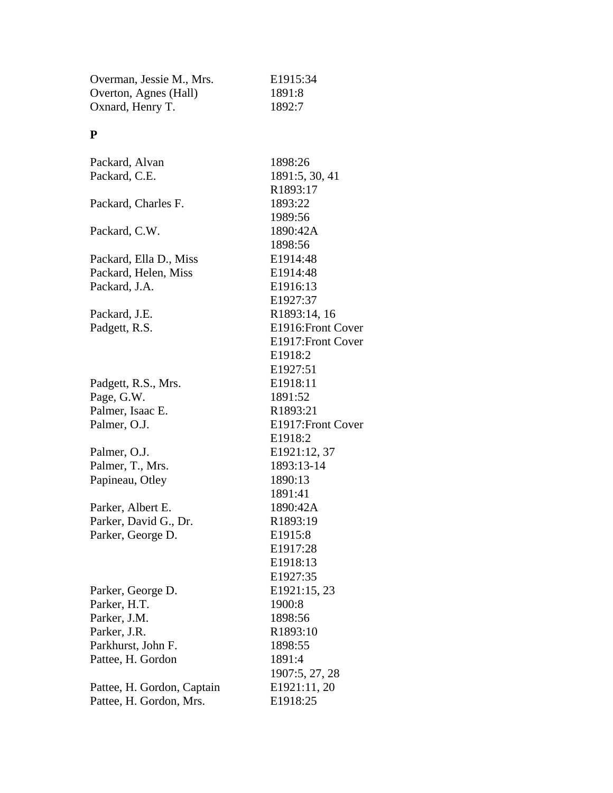| Overman, Jessie M., Mrs.   | E1915:34             |
|----------------------------|----------------------|
| Overton, Agnes (Hall)      | 1891:8               |
| Oxnard, Henry T.           | 1892:7               |
| P                          |                      |
|                            |                      |
| Packard, Alvan             | 1898:26              |
| Packard, C.E.              | 1891:5, 30, 41       |
|                            | R1893:17             |
| Packard, Charles F.        | 1893:22              |
|                            | 1989:56              |
| Packard, C.W.              | 1890:42A             |
|                            | 1898:56              |
| Packard, Ella D., Miss     | E1914:48             |
| Packard, Helen, Miss       | E1914:48             |
| Packard, J.A.              | E1916:13             |
|                            | E1927:37             |
| Packard, J.E.              | R1893:14, 16         |
| Padgett, R.S.              | E1916: Front Cover   |
|                            | E1917: Front Cover   |
|                            | E1918:2              |
|                            | E1927:51             |
| Padgett, R.S., Mrs.        | E1918:11             |
| Page, G.W.                 | 1891:52              |
| Palmer, Isaac E.           | R1893:21             |
| Palmer, O.J.               | E1917: Front Cover   |
|                            | E1918:2              |
| Palmer, O.J.               | E1921:12, 37         |
| Palmer, T., Mrs.           | 1893:13-14           |
| Papineau, Otley            | 1890:13              |
|                            | 1891:41              |
| Parker, Albert E.          | 1890:42A             |
| Parker, David G., Dr.      | R1893:19             |
| Parker, George D.          | E <sub>1915</sub> :8 |
|                            | E1917:28             |
|                            | E1918:13             |
|                            | E1927:35             |
| Parker, George D.          | E1921:15, 23         |
| Parker, H.T.               | 1900:8               |
| Parker, J.M.               | 1898:56              |
| Parker, J.R.               | R1893:10             |
| Parkhurst, John F.         | 1898:55              |
| Pattee, H. Gordon          | 1891:4               |
|                            | 1907:5, 27, 28       |
| Pattee, H. Gordon, Captain | E1921:11, 20         |
| Pattee, H. Gordon, Mrs.    | E1918:25             |
|                            |                      |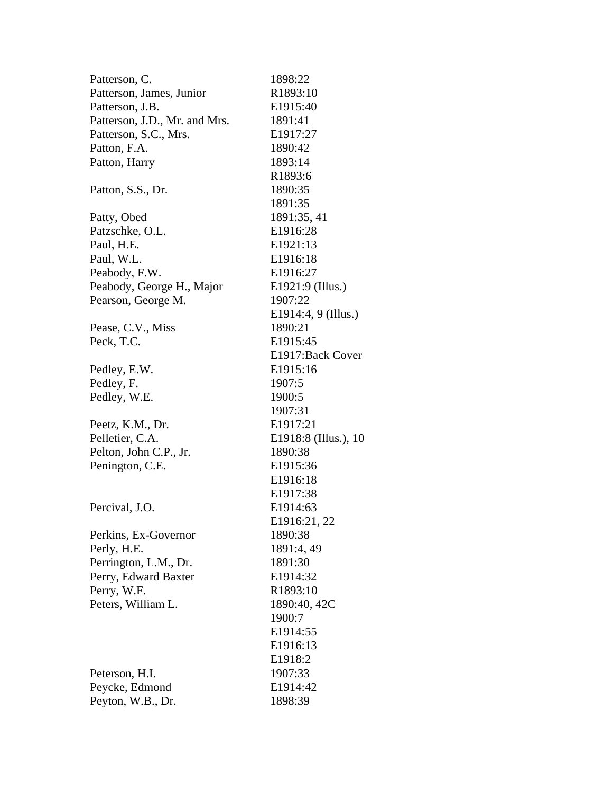| Patterson, C.                 | 1898:22               |
|-------------------------------|-----------------------|
| Patterson, James, Junior      | R1893:10              |
| Patterson, J.B.               | E1915:40              |
| Patterson, J.D., Mr. and Mrs. | 1891:41               |
| Patterson, S.C., Mrs.         | E1917:27              |
| Patton, F.A.                  | 1890:42               |
| Patton, Harry                 | 1893:14               |
|                               | R1893:6               |
| Patton, S.S., Dr.             | 1890:35               |
|                               | 1891:35               |
| Patty, Obed                   | 1891:35, 41           |
| Patzschke, O.L.               | E1916:28              |
| Paul, H.E.                    | E <sub>1921:13</sub>  |
| Paul, W.L.                    | E1916:18              |
| Peabody, F.W.                 | E1916:27              |
| Peabody, George H., Major     | E1921:9 (Illus.)      |
| Pearson, George M.            | 1907:22               |
|                               | E1914:4, 9 (Illus.)   |
| Pease, C.V., Miss             | 1890:21               |
| Peck, T.C.                    | E1915:45              |
|                               | E1917: Back Cover     |
| Pedley, E.W.                  | E1915:16              |
| Pedley, F.                    | 1907:5                |
| Pedley, W.E.                  | 1900:5                |
|                               | 1907:31               |
| Peetz, K.M., Dr.              | E1917:21              |
| Pelletier, C.A.               | E1918:8 (Illus.), 10  |
| Pelton, John C.P., Jr.        | 1890:38               |
| Penington, C.E.               | E1915:36              |
|                               | E <sub>1916</sub> :18 |
|                               | E1917:38              |
| Percival, J.O.                | E1914:63              |
|                               | E1916:21, 22          |
| Perkins, Ex-Governor          | 1890:38               |
| Perly, H.E.                   | 1891:4, 49            |
| Perrington, L.M., Dr.         | 1891:30               |
| Perry, Edward Baxter          | E1914:32              |
| Perry, W.F.                   | R1893:10              |
| Peters, William L.            | 1890:40, 42C          |
|                               | 1900:7                |
|                               | E1914:55              |
|                               | E1916:13              |
|                               | E1918:2               |
| Peterson, H.I.                | 1907:33               |
| Peycke, Edmond                | E1914:42              |
| Peyton, W.B., Dr.             | 1898:39               |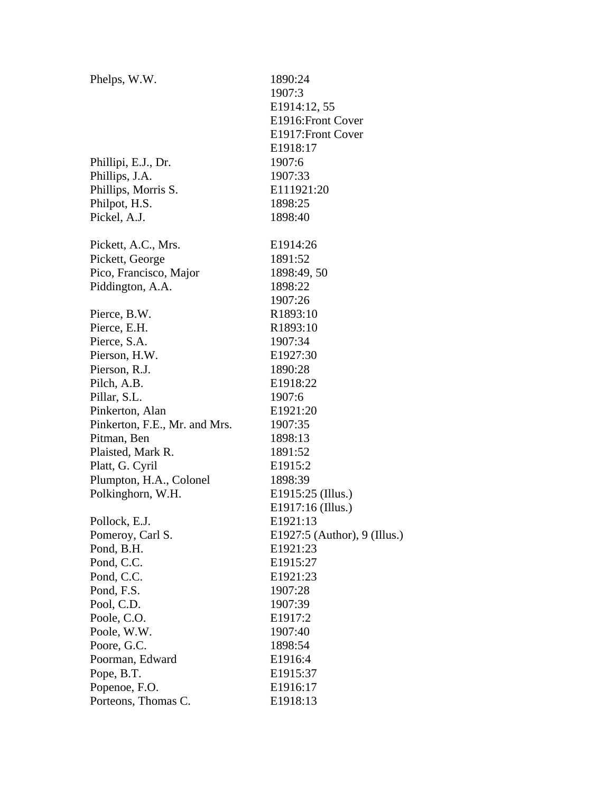| Phelps, W.W.                  | 1890:24                        |
|-------------------------------|--------------------------------|
|                               | 1907:3                         |
|                               | E1914:12, 55                   |
|                               | E1916: Front Cover             |
|                               | E1917: Front Cover             |
|                               | E1918:17                       |
| Phillipi, E.J., Dr.           | 1907:6                         |
| Phillips, J.A.                | 1907:33                        |
| Phillips, Morris S.           | E111921:20                     |
| Philpot, H.S.                 | 1898:25                        |
| Pickel, A.J.                  | 1898:40                        |
| Pickett, A.C., Mrs.           | E1914:26                       |
| Pickett, George               | 1891:52                        |
| Pico, Francisco, Major        | 1898:49, 50                    |
| Piddington, A.A.              | 1898:22                        |
|                               | 1907:26                        |
| Pierce, B.W.                  | R1893:10                       |
| Pierce, E.H.                  | R1893:10                       |
| Pierce, S.A.                  | 1907:34                        |
| Pierson, H.W.                 | E1927:30                       |
| Pierson, R.J.                 | 1890:28                        |
| Pilch, A.B.                   | E1918:22                       |
| Pillar, S.L.                  | 1907:6                         |
| Pinkerton, Alan               | E1921:20                       |
| Pinkerton, F.E., Mr. and Mrs. | 1907:35                        |
| Pitman, Ben                   | 1898:13                        |
| Plaisted, Mark R.             | 1891:52                        |
| Platt, G. Cyril               | E <sub>1915:2</sub>            |
| Plumpton, H.A., Colonel       | 1898:39                        |
| Polkinghorn, W.H.             | E1915:25 (Illus.)              |
|                               | E1917:16 (Illus.)              |
| Pollock, E.J.                 | E1921:13                       |
| Pomeroy, Carl S.              | E1927:5 (Author), $9$ (Illus.) |
| Pond, B.H.                    | E1921:23                       |
| Pond, C.C.                    | E1915:27                       |
| Pond, C.C.                    | E1921:23                       |
| Pond, F.S.                    | 1907:28                        |
| Pool, C.D.                    | 1907:39                        |
| Poole, C.O.                   | E1917:2                        |
| Poole, W.W.                   | 1907:40                        |
| Poore, G.C.                   | 1898:54                        |
| Poorman, Edward               | E1916:4                        |
| Pope, B.T.                    | E1915:37                       |
| Popenoe, F.O.                 | E1916:17                       |
| Porteons, Thomas C.           | E1918:13                       |
|                               |                                |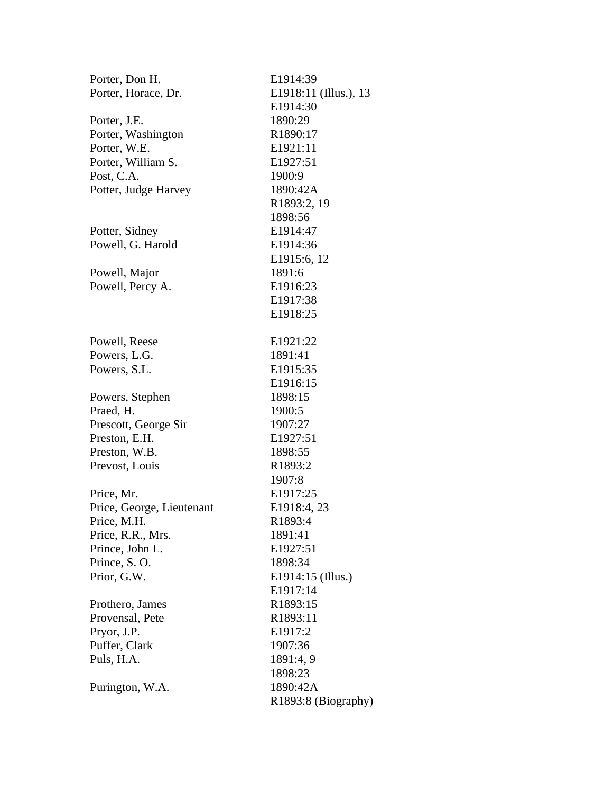| Porter, Don H.            | E1914:39              |
|---------------------------|-----------------------|
| Porter, Horace, Dr.       | E1918:11 (Illus.), 13 |
|                           | E1914:30              |
| Porter, J.E.              | 1890:29               |
| Porter, Washington        | R1890:17              |
| Porter, W.E.              | E1921:11              |
| Porter, William S.        | E1927:51              |
| Post, C.A.                | 1900:9                |
| Potter, Judge Harvey      | 1890:42A              |
|                           | R1893:2, 19           |
|                           | 1898:56               |
| Potter, Sidney            | E1914:47              |
| Powell, G. Harold         | E1914:36              |
|                           | E1915:6, 12           |
| Powell, Major             | 1891:6                |
| Powell, Percy A.          | E1916:23              |
|                           | E1917:38              |
|                           | E1918:25              |
| Powell, Reese             | E1921:22              |
| Powers, L.G.              | 1891:41               |
| Powers, S.L.              | E <sub>1915</sub> :35 |
|                           | E1916:15              |
| Powers, Stephen           | 1898:15               |
| Praed, H.                 | 1900:5                |
| Prescott, George Sir      | 1907:27               |
| Preston, E.H.             | E1927:51              |
| Preston, W.B.             | 1898:55               |
| Prevost, Louis            | R1893:2               |
|                           | 1907:8                |
| Price, Mr.                | E1917:25              |
| Price, George, Lieutenant | E1918:4, 23           |
| Price, M.H.               | R1893:4               |
| Price, R.R., Mrs.         | 1891:41               |
| Prince, John L.           | E1927:51              |
| Prince, S.O.              | 1898:34               |
| Prior, G.W.               | E1914:15 (Illus.)     |
|                           | E1917:14              |
| Prothero, James           | R1893:15              |
| Provensal, Pete           | R1893:11              |
| Pryor, J.P.               | E1917:2               |
| Puffer, Clark             | 1907:36               |
| Puls, H.A.                | 1891:4, 9             |
|                           | 1898:23               |
| Purington, W.A.           | 1890:42A              |
|                           | R1893:8 (Biography)   |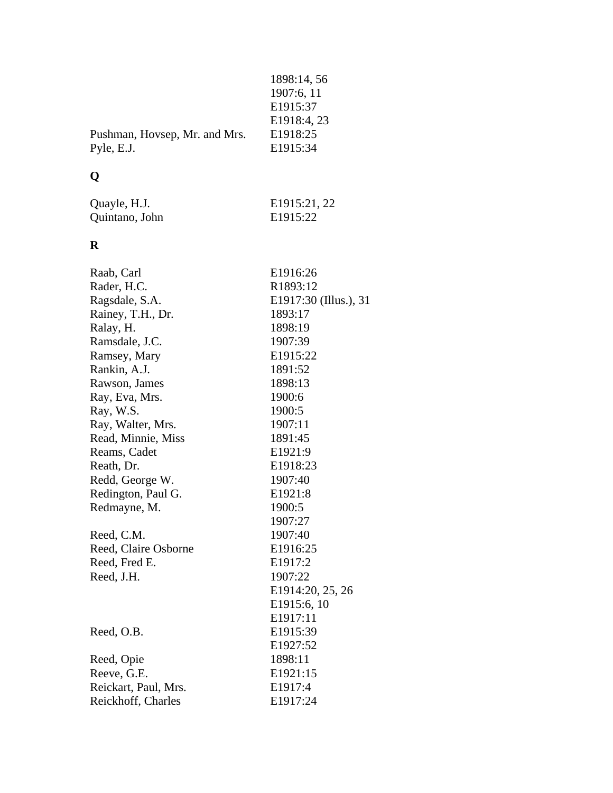| 1898:14, 56 |
|-------------|
|             |
| 1907:6, 11  |
| E1915:37    |
| E1918:4, 23 |
| E1918:25    |
| E1915:34    |
|             |

# **Q**

| Quayle, H.J.   | E1915:21, 22 |
|----------------|--------------|
| Quintano, John | E1915:22     |

## **R**

| Raab, Carl           | E1916:26              |
|----------------------|-----------------------|
| Rader, H.C.          | R1893:12              |
| Ragsdale, S.A.       | E1917:30 (Illus.), 31 |
| Rainey, T.H., Dr.    | 1893:17               |
| Ralay, H.            | 1898:19               |
| Ramsdale, J.C.       | 1907:39               |
| Ramsey, Mary         | E1915:22              |
| Rankin, A.J.         | 1891:52               |
| Rawson, James        | 1898:13               |
| Ray, Eva, Mrs.       | 1900:6                |
| Ray, W.S.            | 1900:5                |
| Ray, Walter, Mrs.    | 1907:11               |
| Read, Minnie, Miss   | 1891:45               |
| Reams, Cadet         | E1921:9               |
| Reath, Dr.           | E1918:23              |
| Redd, George W.      | 1907:40               |
| Redington, Paul G.   | E1921:8               |
| Redmayne, M.         | 1900:5                |
|                      | 1907:27               |
| Reed, C.M.           | 1907:40               |
| Reed, Claire Osborne | E1916:25              |
| Reed, Fred E.        | E1917:2               |
| Reed, J.H.           | 1907:22               |
|                      | E1914:20, 25, 26      |
|                      | E1915:6, 10           |
|                      | E1917:11              |
| Reed, O.B.           | E1915:39              |
|                      | E1927:52              |
| Reed, Opie           | 1898:11               |
| Reeve, G.E.          | E <sub>1921:15</sub>  |
| Reickart, Paul, Mrs. | E1917:4               |
| Reickhoff, Charles   | E1917:24              |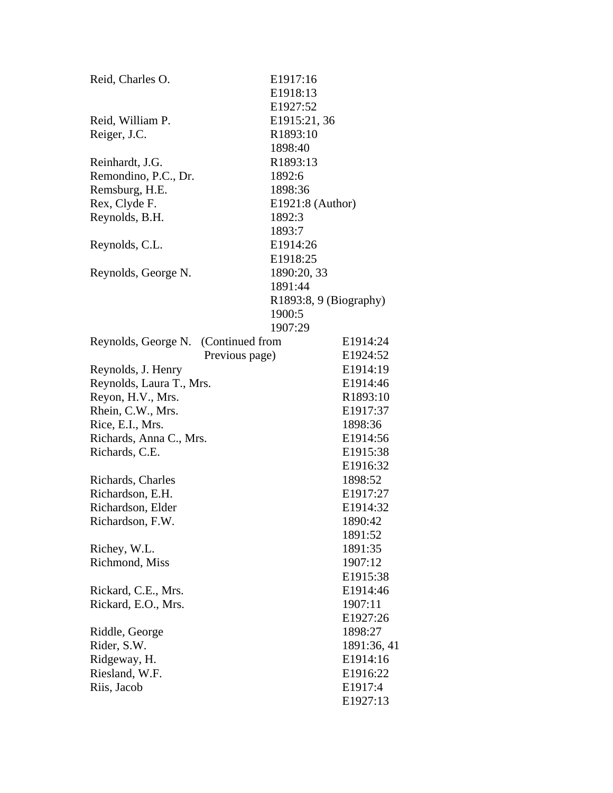| Reid, Charles O.                    | E1917:16         |                          |
|-------------------------------------|------------------|--------------------------|
|                                     | E1918:13         |                          |
|                                     | E1927:52         |                          |
| Reid, William P.                    | E1915:21, 36     |                          |
| Reiger, J.C.                        | R1893:10         |                          |
|                                     | 1898:40          |                          |
| Reinhardt, J.G.                     | R1893:13         |                          |
| Remondino, P.C., Dr.                | 1892:6           |                          |
| Remsburg, H.E.                      | 1898:36          |                          |
| Rex, Clyde F.                       | E1921:8 (Author) |                          |
| Reynolds, B.H.                      | 1892:3           |                          |
|                                     | 1893:7           |                          |
| Reynolds, C.L.                      | E1914:26         |                          |
|                                     | E1918:25         |                          |
| Reynolds, George N.                 | 1890:20, 33      |                          |
|                                     | 1891:44          |                          |
|                                     |                  | $R1893:8, 9$ (Biography) |
|                                     | 1900:5           |                          |
|                                     | 1907:29          |                          |
| Reynolds, George N. (Continued from |                  | E1914:24                 |
|                                     | Previous page)   | E1924:52                 |
| Reynolds, J. Henry                  |                  | E1914:19                 |
| Reynolds, Laura T., Mrs.            |                  | E1914:46                 |
| Reyon, H.V., Mrs.                   |                  | R1893:10                 |
| Rhein, C.W., Mrs.                   |                  | E1917:37                 |
| Rice, E.I., Mrs.                    |                  | 1898:36                  |
| Richards, Anna C., Mrs.             |                  | E1914:56                 |
| Richards, C.E.                      |                  | E1915:38                 |
|                                     |                  | E1916:32                 |
| Richards, Charles                   |                  | 1898:52                  |
| Richardson, E.H.                    |                  | E1917:27                 |
| Richardson, Elder                   |                  | E1914:32                 |
| Richardson, F.W.                    |                  | 1890:42                  |
|                                     |                  | 1891:52                  |
| Richey, W.L.                        |                  | 1891:35                  |
| Richmond, Miss                      |                  | 1907:12                  |
|                                     |                  | E1915:38                 |
| Rickard, C.E., Mrs.                 |                  | E1914:46                 |
| Rickard, E.O., Mrs.                 |                  | 1907:11                  |
|                                     |                  | E1927:26                 |
| Riddle, George                      |                  | 1898:27                  |
| Rider, S.W.                         |                  | 1891:36, 41              |
| Ridgeway, H.                        |                  | E1914:16                 |
| Riesland, W.F.                      |                  | E1916:22                 |
| Riis, Jacob                         |                  | E1917:4                  |
|                                     |                  | E1927:13                 |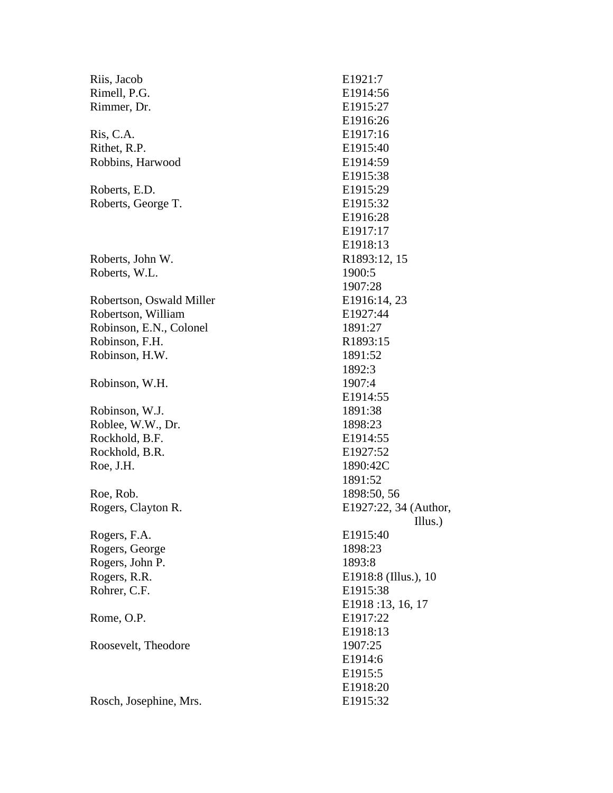| Riis, Jacob              | E1921:7               |
|--------------------------|-----------------------|
| Rimell, P.G.             | E1914:56              |
| Rimmer, Dr.              | E1915:27              |
|                          | E1916:26              |
| Ris, C.A.                | E1917:16              |
| Rithet, R.P.             | E <sub>1915</sub> :40 |
| Robbins, Harwood         | E1914:59              |
|                          | E1915:38              |
| Roberts, E.D.            | E1915:29              |
| Roberts, George T.       | E1915:32              |
|                          | E1916:28              |
|                          | E1917:17              |
|                          | E1918:13              |
| Roberts, John W.         | R1893:12, 15          |
| Roberts, W.L.            | 1900:5                |
|                          | 1907:28               |
| Robertson, Oswald Miller | E1916:14, 23          |
| Robertson, William       | E1927:44              |
| Robinson, E.N., Colonel  | 1891:27               |
| Robinson, F.H.           | R1893:15              |
| Robinson, H.W.           | 1891:52               |
|                          | 1892:3                |
| Robinson, W.H.           | 1907:4                |
|                          | E1914:55              |
| Robinson, W.J.           | 1891:38               |
| Roblee, W.W., Dr.        | 1898:23               |
| Rockhold, B.F.           | E <sub>1914:55</sub>  |
| Rockhold, B.R.           | E1927:52              |
| Roe, J.H.                | 1890:42C              |
|                          | 1891:52               |
| Roe, Rob.                | 1898:50, 56           |
| Rogers, Clayton R.       | E1927:22, 34 (Author, |
|                          | Illus.)               |
| Rogers, F.A.             | E1915:40              |
| Rogers, George           | 1898:23               |
| Rogers, John P.          | 1893:8                |
| Rogers, R.R.             | E1918:8 (Illus.), 10  |
| Rohrer, C.F.             | E1915:38              |
|                          | E1918:13, 16, 17      |
| Rome, O.P.               | E1917:22              |
|                          | E1918:13              |
| Roosevelt, Theodore      | 1907:25               |
|                          | E1914:6               |
|                          | E1915:5               |
|                          | E1918:20              |
| Rosch, Josephine, Mrs.   | E1915:32              |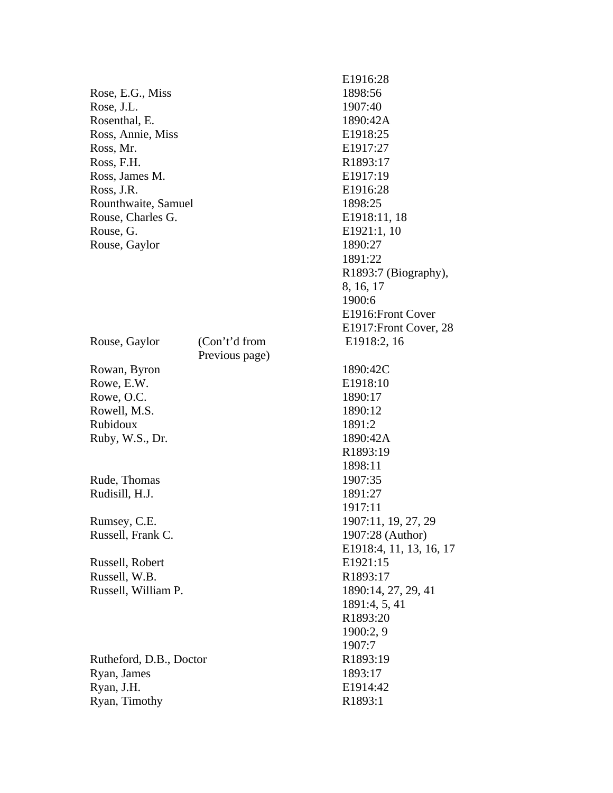|                         |                | 88710.20             |
|-------------------------|----------------|----------------------|
| Rose, E.G., Miss        |                | 1898:56              |
| Rose, J.L.              |                | 1907:40              |
| Rosenthal, E.           |                | 1890:42/             |
| Ross, Annie, Miss       |                | E1918:25             |
| Ross, Mr.               |                | E1917:27             |
| Ross, F.H.              |                | R1893:17             |
| Ross, James M.          |                | E1917:19             |
| Ross, J.R.              |                | E1916:28             |
|                         |                | 1898:25              |
| Rounthwaite, Samuel     |                |                      |
| Rouse, Charles G.       |                | E1918:11             |
| Rouse, G.               |                | E1921:1,             |
| Rouse, Gaylor           |                | 1890:27              |
|                         |                | 1891:22              |
|                         |                | R1893:7              |
|                         |                | 8, 16, 17            |
|                         |                | 1900:6               |
|                         |                | E1916:F1             |
|                         |                | E1917:F1             |
| Rouse, Gaylor           | (Con't'd from  | E1918:2              |
|                         | Previous page) |                      |
| Rowan, Byron            |                | 1890:420             |
| Rowe, E.W.              |                | E1918:10             |
| Rowe, O.C.              |                | 1890:17              |
| Rowell, M.S.            |                | 1890:12              |
| Rubidoux                |                | 1891:2               |
| Ruby, W.S., Dr.         |                | 1890:42/             |
|                         |                | R1893:19             |
|                         |                | 1898:11              |
| Rude, Thomas            |                | 1907:35              |
| Rudisill, H.J.          |                | 1891:27              |
|                         |                | 1917:11              |
| Rumsey, C.E.            |                | 1907:11,             |
| Russell, Frank C.       |                | 1907:28              |
|                         |                | E1918:4,             |
| Russell, Robert         |                | E1921:15             |
| Russell, W.B.           |                | R1893:17             |
| Russell, William P.     |                | 1890:14,             |
|                         |                | 1891:4, 5            |
|                         |                | R1893:20             |
|                         |                | 1900:2, 9            |
|                         |                | 1907:7               |
| Rutheford, D.B., Doctor |                | R1893:19             |
| Ryan, James             |                | 1893:17              |
| Ryan, J.H.              |                | E1914:42             |
| Ryan, Timothy           |                | R <sub>1893</sub> :1 |
|                         |                |                      |

 E1916:28 1898:56 1907:40 1890:42A E1918:25 E1917:27 R1893:17 E1917:19 E1916:28 1898:25 E1918:11, 18 E1921:1, 10 1890:27 1891:22 R1893:7 (Biography), 8, 16, 17 1900:6 E1916:Front Cover E1917:Front Cover, 28 E1918:2, 16 1890:42C E1918:10 1890:17 1890:12 1891:2 1890:42A R1893:19 1898:11 1907:35 1891:27 1917:11 1907:11, 19, 27, 29 1907:28 (Author) E1918:4, 11, 13, 16, 17 E1921:15 R1893:17 1890:14, 27, 29, 41 1891:4, 5, 41 R1893:20 1900:2, 9 1907:7 R1893:19 1893:17 E1914:42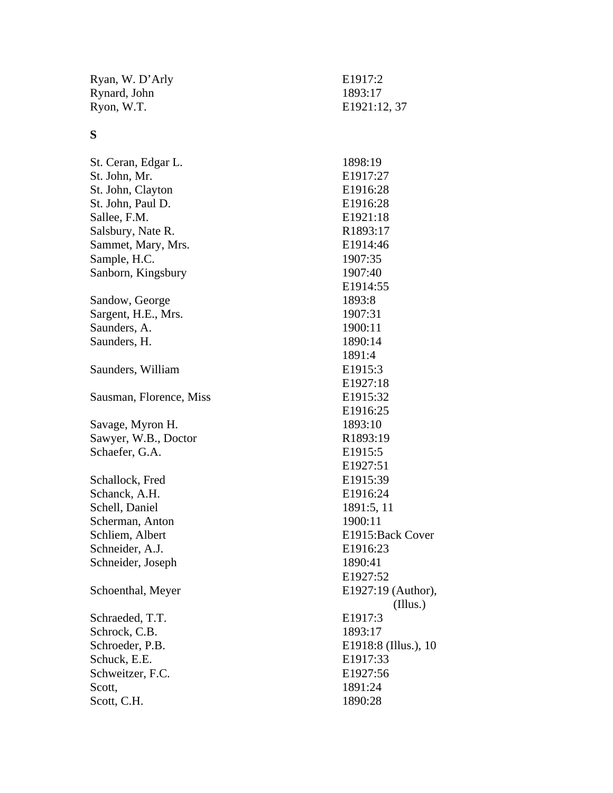| Ryan, W. D'Arly | E1917:2      |
|-----------------|--------------|
| Rynard, John    | 1893:17      |
| Ryon, W.T.      | E1921:12, 37 |

# **S**

| St. Ceran, Edgar L.     | 1898:19              |  |  |
|-------------------------|----------------------|--|--|
| St. John, Mr.           | E1917:27             |  |  |
| St. John, Clayton       | E1916:28             |  |  |
| St. John, Paul D.       | E1916:28             |  |  |
| Sallee, F.M.            | E1921:18             |  |  |
| Salsbury, Nate R.       | R1893:17             |  |  |
| Sammet, Mary, Mrs.      | E1914:46             |  |  |
| Sample, H.C.            | 1907:35              |  |  |
| Sanborn, Kingsbury      | 1907:40              |  |  |
|                         | E1914:55             |  |  |
| Sandow, George          | 1893:8               |  |  |
| Sargent, H.E., Mrs.     | 1907:31              |  |  |
| Saunders, A.            | 1900:11              |  |  |
| Saunders, H.            | 1890:14              |  |  |
|                         | 1891:4               |  |  |
| Saunders, William       | E1915:3              |  |  |
|                         | E1927:18             |  |  |
| Sausman, Florence, Miss | E1915:32             |  |  |
|                         | E1916:25             |  |  |
| Savage, Myron H.        | 1893:10              |  |  |
| Sawyer, W.B., Doctor    | R1893:19             |  |  |
| Schaefer, G.A.          | E1915:5              |  |  |
|                         | E1927:51             |  |  |
| Schallock, Fred         | E1915:39             |  |  |
| Schanck, A.H.           | E1916:24             |  |  |
| Schell, Daniel          | 1891:5, 11           |  |  |
| Scherman, Anton         | 1900:11              |  |  |
| Schliem, Albert         | E1915: Back Cover    |  |  |
| Schneider, A.J.         | E1916:23             |  |  |
| Schneider, Joseph       | 1890:41              |  |  |
|                         | E1927:52             |  |  |
| Schoenthal, Meyer       | E1927:19 (Author),   |  |  |
|                         | (IIIus.)             |  |  |
| Schraeded, T.T.         | E1917:3              |  |  |
| Schrock, C.B.           | 1893:17              |  |  |
| Schroeder, P.B.         | E1918:8 (Illus.), 10 |  |  |
| Schuck, E.E.            | E1917:33             |  |  |
| Schweitzer, F.C.        | E1927:56             |  |  |
| Scott,                  | 1891:24              |  |  |
| Scott, C.H.             | 1890:28              |  |  |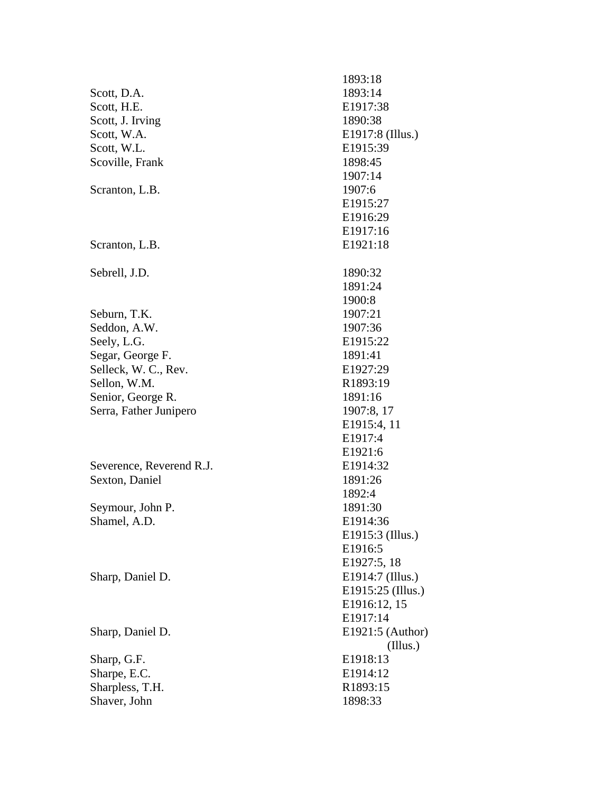|                          | 1893:18           |
|--------------------------|-------------------|
| Scott, D.A.              | 1893:14           |
| Scott, H.E.              | E1917:38          |
| Scott, J. Irving         | 1890:38           |
| Scott, W.A.              | E1917:8 (Illus.)  |
| Scott, W.L.              | E1915:39          |
| Scoville, Frank          | 1898:45           |
|                          | 1907:14           |
| Scranton, L.B.           | 1907:6            |
|                          | E1915:27          |
|                          | E1916:29          |
|                          | E1917:16          |
| Scranton, L.B.           | E1921:18          |
|                          |                   |
| Sebrell, J.D.            | 1890:32           |
|                          | 1891:24           |
|                          | 1900:8            |
| Seburn, T.K.             | 1907:21           |
| Seddon, A.W.             | 1907:36           |
| Seely, L.G.              | E1915:22          |
| Segar, George F.         | 1891:41           |
| Selleck, W. C., Rev.     | E1927:29          |
| Sellon, W.M.             | R1893:19          |
|                          |                   |
| Senior, George R.        | 1891:16           |
| Serra, Father Junipero   | 1907:8, 17        |
|                          | E1915:4, 11       |
|                          | E1917:4           |
|                          | E1921:6           |
| Severence, Reverend R.J. | E1914:32          |
| Sexton, Daniel           | 1891:26           |
|                          | 1892:4            |
| Seymour, John P.         | 1891:30           |
| Shamel, A.D.             | E1914:36          |
|                          | E1915:3 (Illus.)  |
|                          | E1916:5           |
|                          | E1927:5, 18       |
| Sharp, Daniel D.         | E1914:7 (Illus.)  |
|                          | E1915:25 (Illus.) |
|                          | E1916:12, 15      |
|                          | E1917:14          |
| Sharp, Daniel D.         | E1921:5 (Author)  |
|                          | (Illus.)          |
| Sharp, G.F.              | E1918:13          |
| Sharpe, E.C.             | E1914:12          |
| Sharpless, T.H.          | R1893:15          |
| Shaver, John             | 1898:33           |
|                          |                   |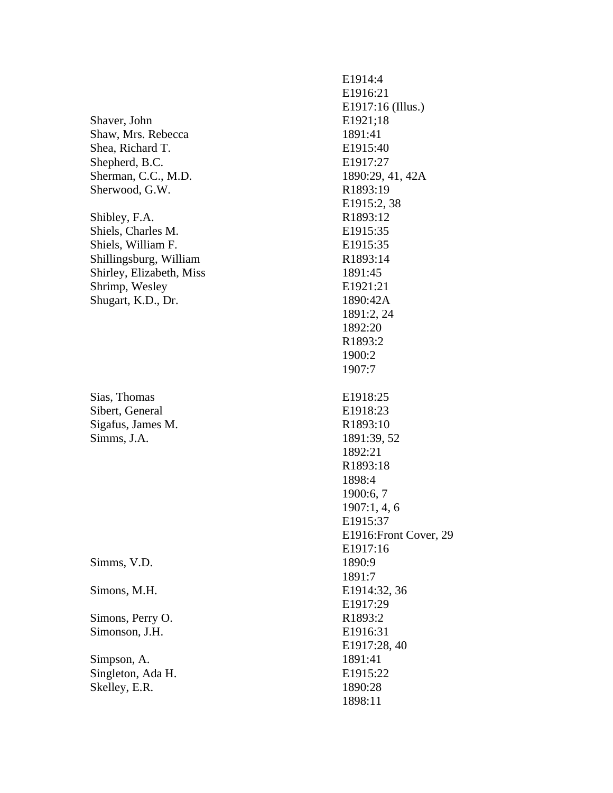Shaver, John E1921;18 Shaw, Mrs. Rebecca 1891:41 Shea, Richard T. E1915:40 Shepherd, B.C. E1917:27 Sherman, C.C., M.D. 1890:29, 41, 42A Sherwood, G.W. R1893:19

Shibley, F.A. R1893:12 Shiels, Charles M. E1915:35 Shiels, William F. E1915:35 Shillingsburg, William R1893:14 Shirley, Elizabeth, Miss 1891:45 Shrimp, Wesley E1921:21 Shugart, K.D., Dr. 1890:42A

Sias, Thomas E1918:25 Sibert, General E1918:23 Sigafus, James M. R1893:10 Simms, J.A. 1891:39, 52

Simms, V.D. 1890:9

Simons, Perry O. R1893:2 Simonson, J.H. **E1916:31** 

Simpson, A. 1891:41 Singleton, Ada H. E1915:22 Skelley, E.R. 1890:28

 E1914:4 E1916:21 E1917:16 (Illus.) E1915:2, 38 1891:2, 24 1892:20 R1893:2 1900:2 1907:7 1892:21 R1893:18 1898:4 1900:6, 7 1907:1, 4, 6 E1915:37 E1916:Front Cover, 29 E1917:16 1891:7 Simons, M.H. E1914:32, 36 E1917:29 E1917:28, 40 1898:11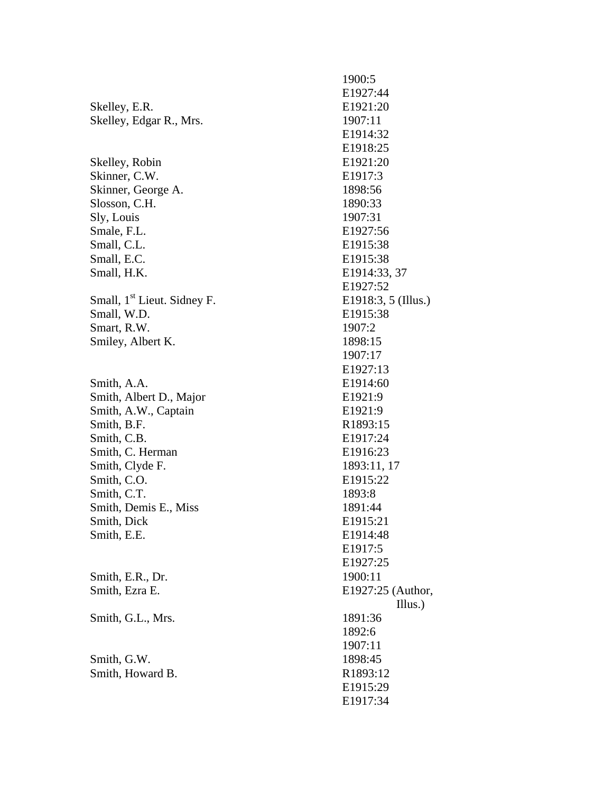1900:5 E1927:44 Skelley, E.R. E1921:20 Skelley, Edgar R., Mrs. 1907:11 E1914:32 E1918:25 Skelley, Robin E1921:20 Skinner, C.W. **E1917:3** Skinner, George A. 1898:56 Slosson, C.H. 1890:33 Sly, Louis 1907:31 Smale, F.L. **E1927:56** Small, C.L. **E1915:38** Small, E.C. **E1915:38** Small, H.K. E1914:33, 37 E1927:52 Small,  $1<sup>st</sup>$  Lieut. Sidney F. E1918:3, 5 (Illus.) Small, W.D. **E1915:38** Smart, R.W. 1907:2 Smiley, Albert K. 1898:15 1907:17 E1927:13 Smith, A.A. **E1914:60** Smith, Albert D., Major E1921:9 Smith, A.W., Captain E1921:9 Smith, B.F. R1893:15 Smith, C.B. **E1917:24** Smith, C. Herman E1916:23 Smith, Clyde F. 1893:11, 17 Smith, C.O. **E1915:22** Smith, C.T. 1893:8 Smith, Demis E., Miss 1891:44 Smith, Dick E1915:21 Smith, E.E. **E1914:48**  E1917:5 E1927:25 Smith, E.R., Dr. 1900:11 Smith, Ezra E. E1927:25 (Author, Illus.) Smith, G.L., Mrs. 1891:36 1892:6 1907:11 Smith, G.W. 1898:45 Smith, Howard B. R1893:12 E1915:29 E1917:34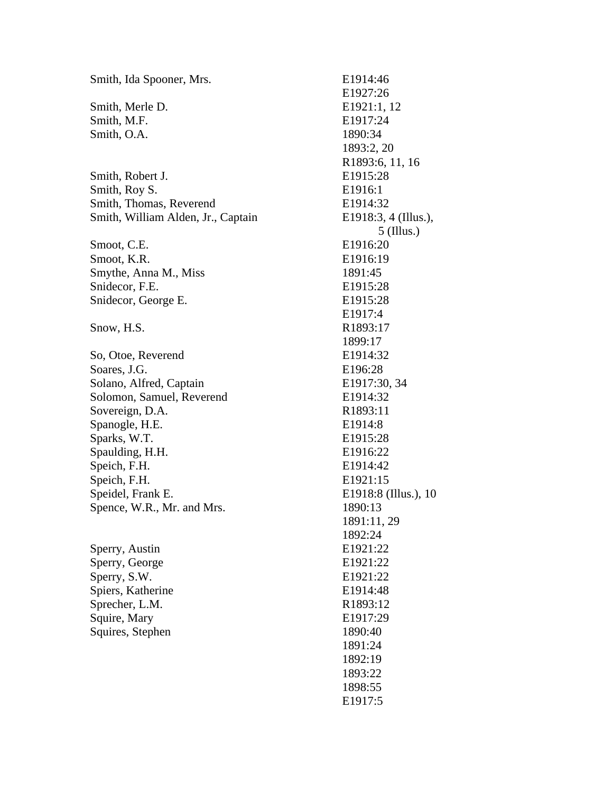Smith, Ida Spooner, Mrs. E1914:46 Smith, Merle D. E1921:1, 12 Smith, M.F. **E1917:24** Smith, O.A. 1890:34 Smith, Robert J. E1915:28 Smith, Roy S. **E1916:1** Smith, Thomas, Reverend E1914:32 Smith, William Alden, Jr., Captain E1918:3, 4 (Illus.), Smoot, C.E. E1916:20 Smoot, K.R. E1916:19 Smythe, Anna M., Miss 1891:45 Snidecor, F.E. E1915:28 Snidecor, George E. E1915:28 Snow, H.S. R1893:17 So, Otoe, Reverend E1914:32 Soares, J.G. **E196:28** Solano, Alfred, Captain E1917:30, 34 Solomon, Samuel, Reverend E1914:32 Sovereign, D.A. R1893:11 Spanogle, H.E. E1914:8 Sparks, W.T. **E1915:28** Spaulding, H.H. E1916:22 Speich, F.H. E1914:42 Speich, F.H. **E1921:15** Speidel, Frank E. E1918:8 (Illus.), 10 Spence, W.R., Mr. and Mrs. 1890:13 Sperry, Austin E1921:22 Sperry, George E1921:22 Sperry, S.W. **E1921:22** Spiers, Katherine E1914:48 Sprecher, L.M. R1893:12 Squire, Mary **E1917:29** Squires, Stephen 1890:40

 E1927:26 1893:2, 20 R1893:6, 11, 16 5 (Illus.) E1917:4 1899:17 1891:11, 29 1892:24 1891:24 1892:19 1893:22 1898:55 E1917:5